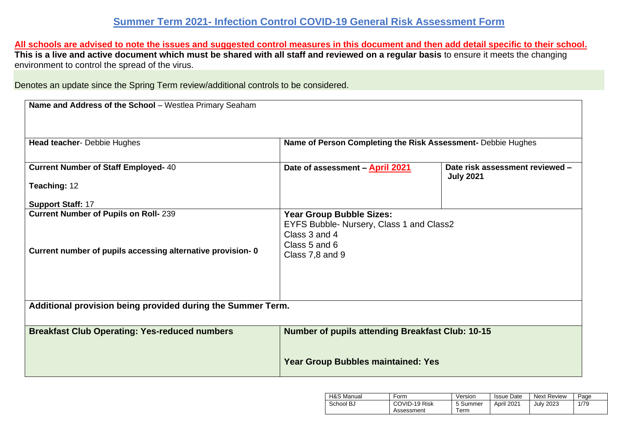## **Summer Term 2021- Infection Control COVID-19 General Risk Assessment Form**

**All schools are advised to note the issues and suggested control measures in this document and then add detail specific to their school. This is a live and active document which must be shared with all staff and reviewed on a regular basis** to ensure it meets the changing environment to control the spread of the virus.

Denotes an update since the Spring Term review/additional controls to be considered.

| Name and Address of the School - Westlea Primary Seaham                                                    |                                                                                                                                  |  |  |  |  |  |
|------------------------------------------------------------------------------------------------------------|----------------------------------------------------------------------------------------------------------------------------------|--|--|--|--|--|
| Head teacher- Debbie Hughes                                                                                | Name of Person Completing the Risk Assessment- Debbie Hughes                                                                     |  |  |  |  |  |
| <b>Current Number of Staff Employed-40</b>                                                                 | Date risk assessment reviewed -<br>Date of assessment - April 2021<br><b>July 2021</b>                                           |  |  |  |  |  |
| Teaching: 12                                                                                               |                                                                                                                                  |  |  |  |  |  |
| <b>Support Staff: 17</b>                                                                                   |                                                                                                                                  |  |  |  |  |  |
| <b>Current Number of Pupils on Roll-239</b><br>Current number of pupils accessing alternative provision- 0 | <b>Year Group Bubble Sizes:</b><br>EYFS Bubble- Nursery, Class 1 and Class2<br>Class 3 and 4<br>Class 5 and 6<br>Class 7,8 and 9 |  |  |  |  |  |
| Additional provision being provided during the Summer Term.                                                |                                                                                                                                  |  |  |  |  |  |
| <b>Breakfast Club Operating: Yes-reduced numbers</b>                                                       | <b>Number of pupils attending Breakfast Club: 10-15</b>                                                                          |  |  |  |  |  |
|                                                                                                            | <b>Year Group Bubbles maintained: Yes</b>                                                                                        |  |  |  |  |  |

| H&S Manual | Form          | Version  | <b>Issue Date</b> | <b>Next Review</b> | Page |
|------------|---------------|----------|-------------------|--------------------|------|
| School BJ  | COVID-19 Risk | 5 Summer | April 2021        | <b>July 2023</b>   | 1/79 |
|            | Assessment    | ™erm     |                   |                    |      |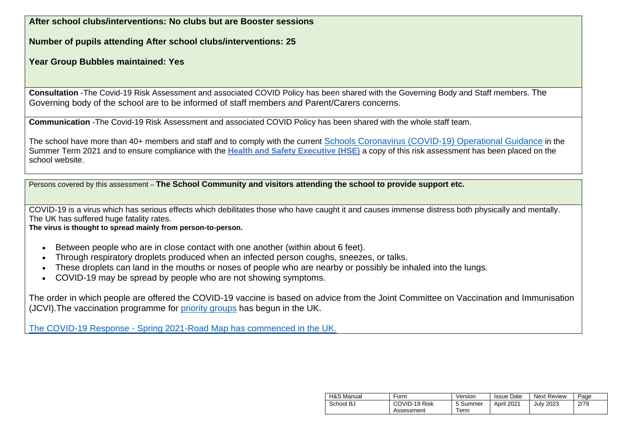**Number of pupils attending After school clubs/interventions: 25**

**Year Group Bubbles maintained: Yes**

**Consultation** -The Covid-19 Risk Assessment and associated COVID Policy has been shared with the Governing Body and Staff members. The Governing body of the school are to be informed of staff members and Parent/Carers concerns.

**Communication** -The Covid-19 Risk Assessment and associated COVID Policy has been shared with the whole staff team.

The school have more than 40+ members and staff and to comply with the current [Schools Coronavirus \(COVID-19\) Operational Guidance](https://www.gov.uk/government/publications/actions-for-schools-during-the-coronavirus-outbreak/schools-coronavirus-covid-19-operational-guidance) in the Summer Term 2021 and to ensure compliance with the **[Health and Safety Executive \(HSE\)](https://www.hse.gov.uk/coronavirus/working-safely/index.htm)** a copy of this risk assessment has been placed on the school website.

Persons covered by this assessment – **The School Community and visitors attending the school to provide support etc.**

COVID-19 is a virus which has serious effects which debilitates those who have caught it and causes immense distress both physically and mentally. The UK has suffered huge fatality rates.

**The virus is thought to spread mainly from person-to-person.**

- Between people who are in close contact with one another (within about 6 feet).
- Through respiratory droplets produced when an infected person coughs, sneezes, or talks.
- These droplets can land in the mouths or noses of people who are nearby or possibly be inhaled into the lungs.
- COVID-19 may be spread by people who are not showing symptoms.

The order in which people are offered the COVID-19 vaccine is based on advice from the Joint Committee on Vaccination and Immunisation (JCVI).The vaccination programme for [priority groups](https://www.gov.uk/government/publications/priority-groups-for-coronavirus-covid-19-vaccination-advice-from-the-jcvi-30-december-2020/joint-committee-on-vaccination-and-immunisation-advice-on-priority-groups-for-covid-19-vaccination-30-december-2020) has begun in the UK.

The COVID-19 Response - [Spring 2021-Road Map has commenced in the UK.](https://www.gov.uk/government/publications/covid-19-response-spring-2021/covid-19-response-spring-2021-summary)

| H&S Manual | Form |               | Version  | <b>Issue Date</b> | <b>Next Review</b> | Page |
|------------|------|---------------|----------|-------------------|--------------------|------|
| School BJ  |      | COVID-19 Risk | 5 Summer | April 2021        | <b>July 2023</b>   | 2/79 |
|            |      | Assessment    | ⊺erm     |                   |                    |      |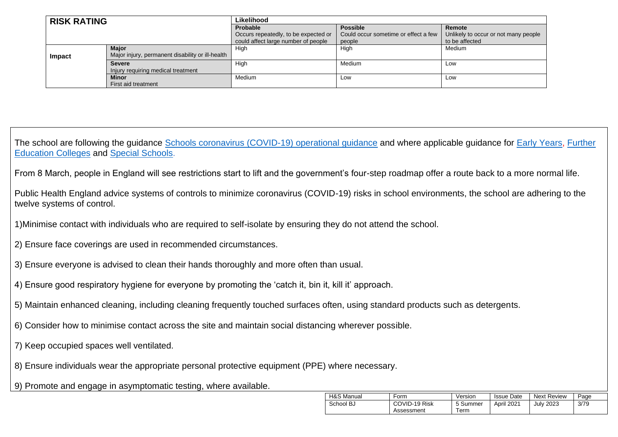| <b>RISK RATING</b> |                                                  | Likelihood                           |                                      |                                      |  |  |
|--------------------|--------------------------------------------------|--------------------------------------|--------------------------------------|--------------------------------------|--|--|
|                    |                                                  | Probable                             | <b>Possible</b>                      | Remote                               |  |  |
|                    |                                                  | Occurs repeatedly, to be expected or | Could occur sometime or effect a few | Unlikely to occur or not many people |  |  |
|                    |                                                  | could affect large number of people  | people                               | to be affected                       |  |  |
|                    | <b>Major</b>                                     | High                                 | High                                 | Medium                               |  |  |
| <b>Impact</b>      | Major injury, permanent disability or ill-health |                                      |                                      |                                      |  |  |
|                    | <b>Severe</b>                                    | High                                 | Medium                               | Low                                  |  |  |
|                    | Injury requiring medical treatment               |                                      |                                      |                                      |  |  |
|                    | <b>Minor</b>                                     | Medium                               | LOW                                  | Low                                  |  |  |
|                    | First aid treatment                              |                                      |                                      |                                      |  |  |

The school are following the guidance [Schools coronavirus \(COVID-19\) operational guidance](https://www.gov.uk/government/publications/actions-for-schools-during-the-coronavirus-outbreak/schools-coronavirus-covid-19-operational-guidance) and where applicable guidance for [Early Years,](https://www.gov.uk/government/publications/coronavirus-covid-19-early-years-and-childcare-closures?utm_source=3b1f686f-96aa-4c75-af49-5dced7073e6d&utm_medium=email&utm_campaign=govuk-notifications&utm_content=immediate) [Further](https://www.gov.uk/government/publications/coronavirus-covid-19-maintaining-further-education-provision)  [Education Colleges](https://www.gov.uk/government/publications/coronavirus-covid-19-maintaining-further-education-provision) and [Special Schools.](https://www.gov.uk/government/publications/guidance-for-full-opening-special-schools-and-other-specialist-settings/guidance-for-full-opening-special-schools-and-other-specialist-settings)

From 8 March, people in England will see restrictions start to lift and the government's four-step roadmap offer a route back to a more normal life.

Public Health England advice systems of controls to minimize coronavirus (COVID-19) risks in school environments, the school are adhering to the twelve systems of control.

1)Minimise contact with individuals who are required to self-isolate by ensuring they do not attend the school.

- 2) Ensure face coverings are used in recommended circumstances.
- 3) Ensure everyone is advised to clean their hands thoroughly and more often than usual.
- 4) Ensure good respiratory hygiene for everyone by promoting the 'catch it, bin it, kill it' approach.
- 5) Maintain enhanced cleaning, including cleaning frequently touched surfaces often, using standard products such as detergents.
- 6) Consider how to minimise contact across the site and maintain social distancing wherever possible.
- 7) Keep occupied spaces well ventilated.

8) Ensure individuals wear the appropriate personal protective equipment (PPE) where necessary.

9) Promote and engage in asymptomatic testing, where available.

| H&S Manual | Form          | Version  | <b>Issue Date</b> | Next Review      | Page |
|------------|---------------|----------|-------------------|------------------|------|
| School BJ  | COVID-19 Risk | 5 Summer | April 2021        | <b>July 2023</b> | 3/79 |
|            | Assessment    | erm      |                   |                  |      |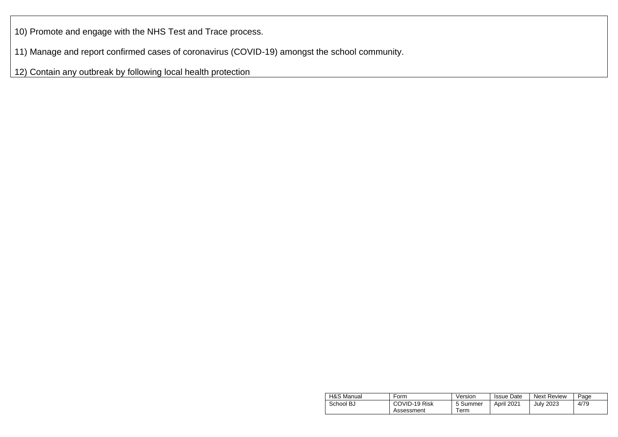10) Promote and engage with the NHS Test and Trace process.

11) Manage and report confirmed cases of coronavirus (COVID-19) amongst the school community.

12) Contain any outbreak by following local health protection

| H&S Manual | Form          | Version  | <b>Issue Date</b> | <b>Next Review</b> | Page |
|------------|---------------|----------|-------------------|--------------------|------|
| School BJ  | COVID-19 Risk | 5 Summer | April 2021        | <b>July 2023</b>   | 4/79 |
|            | Assessment    | erm      |                   |                    |      |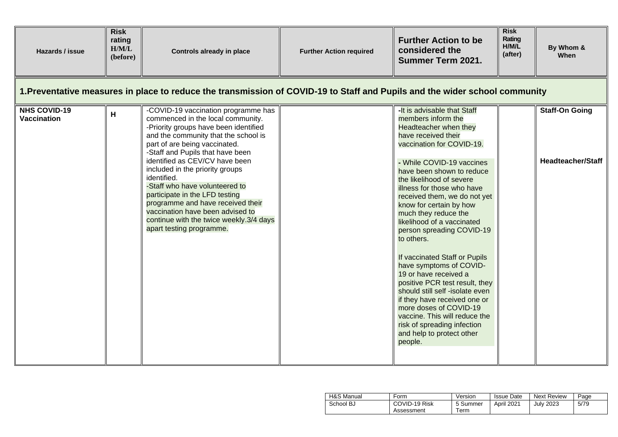| Hazards / issue                           | <b>Risk</b><br>rating<br>H/M/L<br>(before) | <b>Controls already in place</b>                                                                                                                                                                                                                                                                                                                                                                                                                                                                                                       | <b>Further Action required</b> | <b>Further Action to be</b><br>considered the<br>Summer Term 2021.                                                                                                                                                                                                                                                                                                                                                                                                                                                                                                                                                                                                                                                                         | <b>Risk</b><br>Rating<br>H/M/L<br>(after) | By Whom &<br>When                                 |
|-------------------------------------------|--------------------------------------------|----------------------------------------------------------------------------------------------------------------------------------------------------------------------------------------------------------------------------------------------------------------------------------------------------------------------------------------------------------------------------------------------------------------------------------------------------------------------------------------------------------------------------------------|--------------------------------|--------------------------------------------------------------------------------------------------------------------------------------------------------------------------------------------------------------------------------------------------------------------------------------------------------------------------------------------------------------------------------------------------------------------------------------------------------------------------------------------------------------------------------------------------------------------------------------------------------------------------------------------------------------------------------------------------------------------------------------------|-------------------------------------------|---------------------------------------------------|
|                                           |                                            | 1. Preventative measures in place to reduce the transmission of COVID-19 to Staff and Pupils and the wider school community                                                                                                                                                                                                                                                                                                                                                                                                            |                                |                                                                                                                                                                                                                                                                                                                                                                                                                                                                                                                                                                                                                                                                                                                                            |                                           |                                                   |
| <b>NHS COVID-19</b><br><b>Vaccination</b> | H                                          | -COVID-19 vaccination programme has<br>commenced in the local community.<br>-Priority groups have been identified<br>and the community that the school is<br>part of are being vaccinated.<br>-Staff and Pupils that have been<br>identified as CEV/CV have been<br>included in the priority groups<br>identified.<br>-Staff who have volunteered to<br>participate in the LFD testing<br>programme and have received their<br>vaccination have been advised to<br>continue with the twice weekly.3/4 days<br>apart testing programme. |                                | -It is advisable that Staff<br>members inform the<br>Headteacher when they<br>have received their<br>vaccination for COVID-19.<br>- While COVID-19 vaccines<br>have been shown to reduce<br>the likelihood of severe<br>illness for those who have<br>received them, we do not yet<br>know for certain by how<br>much they reduce the<br>likelihood of a vaccinated<br>person spreading COVID-19<br>to others.<br>If vaccinated Staff or Pupils<br>have symptoms of COVID-<br>19 or have received a<br>positive PCR test result, they<br>should still self -isolate even<br>if they have received one or<br>more doses of COVID-19<br>vaccine. This will reduce the<br>risk of spreading infection<br>and help to protect other<br>people. |                                           | <b>Staff-On Going</b><br><b>Headteacher/Staff</b> |

| H&S Manual | Form          | Version  | <b>Issue Date</b> | <b>Next Review</b> | Page |
|------------|---------------|----------|-------------------|--------------------|------|
| School BJ  | COVID-19 Risk | 5 Summer | April 2021        | Julv 2023          | 5/79 |
|            | Assessment    | erm      |                   |                    |      |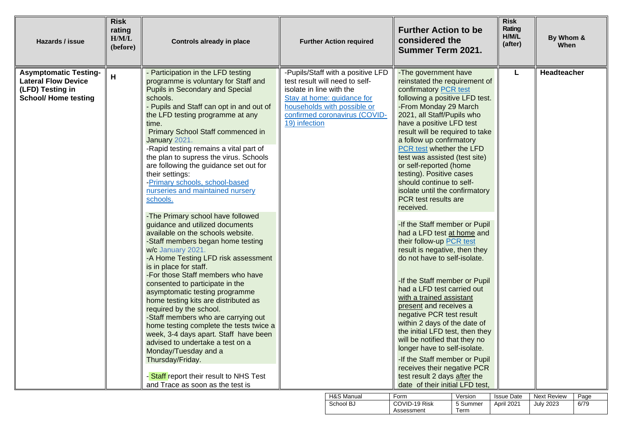| Hazards / issue                                                                                               | <b>Risk</b><br>rating<br>H/M/L<br>(before) | <b>Controls already in place</b>                                                                                                                                                                                                                                                                                                                                                                                                                                                                                                                                                                                                                                                                                                                                                                                                                                                                                                                                                                                                                                                                                                                                                                                           | <b>Further Action required</b>                                                                                                                                                                                 | <b>Further Action to be</b><br>considered the<br>Summer Term 2021.                                                                                                                                                                                                                                                                                                                                                                                                                                                                                                                                                                                                                                                                                                                                                                                                                                                                                                                                                                                                           | <b>Risk</b><br>Rating<br>H/M/L<br>(after) | By Whom &<br><b>When</b> |
|---------------------------------------------------------------------------------------------------------------|--------------------------------------------|----------------------------------------------------------------------------------------------------------------------------------------------------------------------------------------------------------------------------------------------------------------------------------------------------------------------------------------------------------------------------------------------------------------------------------------------------------------------------------------------------------------------------------------------------------------------------------------------------------------------------------------------------------------------------------------------------------------------------------------------------------------------------------------------------------------------------------------------------------------------------------------------------------------------------------------------------------------------------------------------------------------------------------------------------------------------------------------------------------------------------------------------------------------------------------------------------------------------------|----------------------------------------------------------------------------------------------------------------------------------------------------------------------------------------------------------------|------------------------------------------------------------------------------------------------------------------------------------------------------------------------------------------------------------------------------------------------------------------------------------------------------------------------------------------------------------------------------------------------------------------------------------------------------------------------------------------------------------------------------------------------------------------------------------------------------------------------------------------------------------------------------------------------------------------------------------------------------------------------------------------------------------------------------------------------------------------------------------------------------------------------------------------------------------------------------------------------------------------------------------------------------------------------------|-------------------------------------------|--------------------------|
| <b>Asymptomatic Testing-</b><br><b>Lateral Flow Device</b><br>(LFD) Testing in<br><b>School/ Home testing</b> | H                                          | - Participation in the LFD testing<br>programme is voluntary for Staff and<br>Pupils in Secondary and Special<br>schools.<br>- Pupils and Staff can opt in and out of<br>the LFD testing programme at any<br>time.<br>Primary School Staff commenced in<br>January 2021.<br>-Rapid testing remains a vital part of<br>the plan to supress the virus. Schools<br>are following the guidance set out for<br>their settings:<br>-Primary schools, school-based<br>nurseries and maintained nursery<br>schools.<br>-The Primary school have followed<br>guidance and utilized documents<br>available on the schools website.<br>-Staff members began home testing<br>w/c January 2021.<br>-A Home Testing LFD risk assessment<br>is in place for staff.<br>-For those Staff members who have<br>consented to participate in the<br>asymptomatic testing programme<br>home testing kits are distributed as<br>required by the school.<br>-Staff members who are carrying out<br>home testing complete the tests twice a<br>week, 3-4 days apart. Staff have been<br>advised to undertake a test on a<br>Monday/Tuesday and a<br>Thursday/Friday.<br>- Staff report their result to NHS Test<br>and Trace as soon as the test is | -Pupils/Staff with a positive LFD<br>test result will need to self-<br>isolate in line with the<br>Stay at home: guidance for<br>households with possible or<br>confirmed coronavirus (COVID-<br>19) infection | -The government have<br>reinstated the requirement of<br>confirmatory PCR test<br>following a positive LFD test.<br>-From Monday 29 March<br>2021, all Staff/Pupils who<br>have a positive LFD test<br>result will be required to take<br>a follow up confirmatory<br>PCR test whether the LFD<br>test was assisted (test site)<br>or self-reported (home<br>testing). Positive cases<br>should continue to self-<br>isolate until the confirmatory<br>PCR test results are<br>received.<br>-If the Staff member or Pupil<br>had a LFD test at home and<br>their follow-up PCR test<br>result is negative, then they<br>do not have to self-isolate.<br>-If the Staff member or Pupil<br>had a LFD test carried out<br>with a trained assistant<br>present and receives a<br>negative PCR test result<br>within 2 days of the date of<br>the initial LFD test, then they<br>will be notified that they no<br>longer have to self-isolate.<br>-If the Staff member or Pupil<br>receives their negative PCR<br>test result 2 days after the<br>date of their initial LFD test, | L                                         | Headteacher              |

| H&S Manual | Form          | Version  | <b>Issue Date</b> | <b>Next Review</b> | Page |
|------------|---------------|----------|-------------------|--------------------|------|
| School BJ  | COVID-19 Risk | 5 Summer | April 2021        | <b>July 2023</b>   | 6/79 |
|            | Assessment    | erm      |                   |                    |      |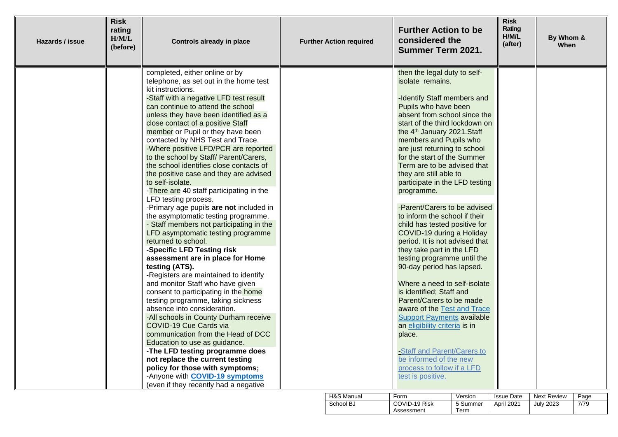| Hazards / issue | <b>Risk</b><br>rating<br>H/M/L<br>(before) | <b>Controls already in place</b>                                                                                                                                                                                                                                                                                                                                                                                                                                                                                                                                                                                                                                                                                                                                                                                                                                                                                                                                                                                                                                                                                                                                                                                                                                                                                                                                                                                 | <b>Further Action to be</b><br>considered the<br><b>Further Action required</b><br>Summer Term 2021. |                                                                                                                                                                                                                                                                                                                                                                                                                                                                                                                                                                                                                                                                                                                                                                                                                                                                                                                                                                                                    | <b>Risk</b><br>Rating<br>H/M/L<br>(after) | By Whom &<br>When |
|-----------------|--------------------------------------------|------------------------------------------------------------------------------------------------------------------------------------------------------------------------------------------------------------------------------------------------------------------------------------------------------------------------------------------------------------------------------------------------------------------------------------------------------------------------------------------------------------------------------------------------------------------------------------------------------------------------------------------------------------------------------------------------------------------------------------------------------------------------------------------------------------------------------------------------------------------------------------------------------------------------------------------------------------------------------------------------------------------------------------------------------------------------------------------------------------------------------------------------------------------------------------------------------------------------------------------------------------------------------------------------------------------------------------------------------------------------------------------------------------------|------------------------------------------------------------------------------------------------------|----------------------------------------------------------------------------------------------------------------------------------------------------------------------------------------------------------------------------------------------------------------------------------------------------------------------------------------------------------------------------------------------------------------------------------------------------------------------------------------------------------------------------------------------------------------------------------------------------------------------------------------------------------------------------------------------------------------------------------------------------------------------------------------------------------------------------------------------------------------------------------------------------------------------------------------------------------------------------------------------------|-------------------------------------------|-------------------|
|                 |                                            | completed, either online or by<br>telephone, as set out in the home test<br>kit instructions.<br>-Staff with a negative LFD test result<br>can continue to attend the school<br>unless they have been identified as a<br>close contact of a positive Staff<br>member or Pupil or they have been<br>contacted by NHS Test and Trace.<br>-Where positive LFD/PCR are reported<br>to the school by Staff/ Parent/Carers,<br>the school identifies close contacts of<br>the positive case and they are advised<br>to self-isolate.<br>-There are 40 staff participating in the<br>LFD testing process.<br>-Primary age pupils are not included in<br>the asymptomatic testing programme.<br>- Staff members not participating in the<br>LFD asymptomatic testing programme<br>returned to school.<br>-Specific LFD Testing risk<br>assessment are in place for Home<br>testing (ATS).<br>-Registers are maintained to identify<br>and monitor Staff who have given<br>consent to participating in the home<br>testing programme, taking sickness<br>absence into consideration.<br>-All schools in County Durham receive<br>COVID-19 Cue Cards via<br>communication from the Head of DCC<br>Education to use as guidance.<br>-The LFD testing programme does<br>not replace the current testing<br>policy for those with symptoms;<br>-Anyone with <b>COVID-19 symptoms</b><br>(even if they recently had a negative |                                                                                                      | then the legal duty to self-<br>isolate remains.<br>-Identify Staff members and<br>Pupils who have been<br>absent from school since the<br>start of the third lockdown on<br>the 4 <sup>th</sup> January 2021.Staff<br>members and Pupils who<br>are just returning to school<br>for the start of the Summer<br>Term are to be advised that<br>they are still able to<br>participate in the LFD testing<br>programme.<br>-Parent/Carers to be advised<br>to inform the school if their<br>child has tested positive for<br>COVID-19 during a Holiday<br>period. It is not advised that<br>they take part in the LFD<br>testing programme until the<br>90-day period has lapsed.<br>Where a need to self-isolate<br>is identified; Staff and<br>Parent/Carers to be made<br>aware of the Test and Trace<br><b>Support Payments available</b><br>an eligibility criteria is in<br>place.<br>-Staff and Parent/Carers to<br>be informed of the new<br>process to follow if a LFD<br>test is positive. |                                           |                   |

| H&S Manual | Form                        | Version          | <b>Issue Date</b> | <b>Next Review</b> | Page |
|------------|-----------------------------|------------------|-------------------|--------------------|------|
| School BJ  | COVID-19 Risk<br>Assessment | 5 Summer<br>⊺erm | April 2021        | Julv 2023          | 7/79 |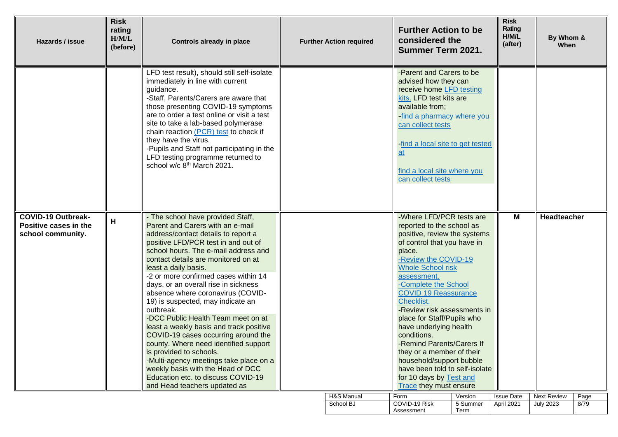| Hazards / issue                                                         | <b>Risk</b><br>rating<br>$\mathbf{H} / \mathbf{M} / \mathbf{L}$<br>(before) | <b>Controls already in place</b>                                                                                                                                                                                                                                                                                                                                                                                                                                                                                                                                                                                                                                                                                                                                                   | <b>Further Action required</b> | <b>Further Action to be</b><br>considered the<br><b>Summer Term 2021.</b>                                                                                                                                                                                                                                                                                                                                                                                                                                                                                        |                     | <b>Risk</b><br>Rating<br>H/M/L<br>(after) | By Whom &<br>When                      |              |
|-------------------------------------------------------------------------|-----------------------------------------------------------------------------|------------------------------------------------------------------------------------------------------------------------------------------------------------------------------------------------------------------------------------------------------------------------------------------------------------------------------------------------------------------------------------------------------------------------------------------------------------------------------------------------------------------------------------------------------------------------------------------------------------------------------------------------------------------------------------------------------------------------------------------------------------------------------------|--------------------------------|------------------------------------------------------------------------------------------------------------------------------------------------------------------------------------------------------------------------------------------------------------------------------------------------------------------------------------------------------------------------------------------------------------------------------------------------------------------------------------------------------------------------------------------------------------------|---------------------|-------------------------------------------|----------------------------------------|--------------|
|                                                                         |                                                                             | LFD test result), should still self-isolate<br>immediately in line with current<br>guidance.<br>-Staff, Parents/Carers are aware that<br>those presenting COVID-19 symptoms<br>are to order a test online or visit a test<br>site to take a lab-based polymerase<br>chain reaction (PCR) test to check if<br>they have the virus.<br>-Pupils and Staff not participating in the<br>LFD testing programme returned to<br>school w/c 8 <sup>th</sup> March 2021.                                                                                                                                                                                                                                                                                                                     |                                | -Parent and Carers to be<br>advised how they can<br>receive home LFD testing<br>kits. LFD test kits are<br>available from;<br>-find a pharmacy where you<br>can collect tests<br>find a local site to get tested<br>at<br>find a local site where you<br>can collect tests                                                                                                                                                                                                                                                                                       |                     |                                           |                                        |              |
| <b>COVID-19 Outbreak-</b><br>Positive cases in the<br>school community. | H                                                                           | - The school have provided Staff,<br>Parent and Carers with an e-mail<br>address/contact details to report a<br>positive LFD/PCR test in and out of<br>school hours. The e-mail address and<br>contact details are monitored on at<br>least a daily basis.<br>-2 or more confirmed cases within 14<br>days, or an overall rise in sickness<br>absence where coronavirus (COVID-<br>19) is suspected, may indicate an<br>outbreak.<br>-DCC Public Health Team meet on at<br>least a weekly basis and track positive<br>COVID-19 cases occurring around the<br>county. Where need identified support<br>is provided to schools.<br>-Multi-agency meetings take place on a<br>weekly basis with the Head of DCC<br>Education etc. to discuss COVID-19<br>and Head teachers updated as |                                | -Where LFD/PCR tests are<br>reported to the school as<br>positive, review the systems<br>of control that you have in<br>place.<br>-Review the COVID-19<br><b>Whole School risk</b><br>assessment.<br>-Complete the School<br><b>COVID 19 Reassurance</b><br>Checklist.<br>-Review risk assessments in<br>place for Staff/Pupils who<br>have underlying health<br>conditions.<br>-Remind Parents/Carers If<br>they or a member of their<br>household/support bubble<br>have been told to self-isolate<br>for 10 days by Test and<br><b>Trace they must ensure</b> |                     | M                                         | Headteacher                            |              |
|                                                                         |                                                                             |                                                                                                                                                                                                                                                                                                                                                                                                                                                                                                                                                                                                                                                                                                                                                                                    | H&S Manual<br>School BJ        | Form<br>COVID-19 Risk                                                                                                                                                                                                                                                                                                                                                                                                                                                                                                                                            | Version<br>5 Summer | <b>Issue Date</b><br>April 2021           | <b>Next Review</b><br><b>July 2023</b> | Page<br>8/79 |
|                                                                         |                                                                             |                                                                                                                                                                                                                                                                                                                                                                                                                                                                                                                                                                                                                                                                                                                                                                                    |                                | Assessment                                                                                                                                                                                                                                                                                                                                                                                                                                                                                                                                                       | Term                |                                           |                                        |              |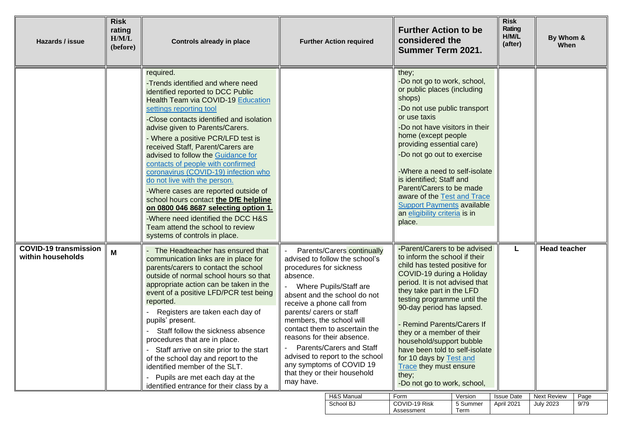| Hazards / issue                                   | <b>Risk</b><br>rating<br>H/M/L<br>(before) | <b>Controls already in place</b>                                                                                                                                                                                                                                                                                                                                                                                                                                                                                                                                                                                                                                                                      |                                                   | <b>Further Action required</b>                                                                                                                                                                                                                                                                                                                                                                         | <b>Further Action to be</b><br>considered the<br>Summer Term 2021.                                                                                                                                                                                                                                                                                                                                                                                                           |                             | <b>Risk</b><br>Rating<br>H/M/L<br>(after) | By Whom &<br>When                      |              |
|---------------------------------------------------|--------------------------------------------|-------------------------------------------------------------------------------------------------------------------------------------------------------------------------------------------------------------------------------------------------------------------------------------------------------------------------------------------------------------------------------------------------------------------------------------------------------------------------------------------------------------------------------------------------------------------------------------------------------------------------------------------------------------------------------------------------------|---------------------------------------------------|--------------------------------------------------------------------------------------------------------------------------------------------------------------------------------------------------------------------------------------------------------------------------------------------------------------------------------------------------------------------------------------------------------|------------------------------------------------------------------------------------------------------------------------------------------------------------------------------------------------------------------------------------------------------------------------------------------------------------------------------------------------------------------------------------------------------------------------------------------------------------------------------|-----------------------------|-------------------------------------------|----------------------------------------|--------------|
|                                                   |                                            | required.<br>-Trends identified and where need<br>identified reported to DCC Public<br>Health Team via COVID-19 Education<br>settings reporting tool<br>-Close contacts identified and isolation<br>advise given to Parents/Carers.<br>- Where a positive PCR/LFD test is<br>received Staff, Parent/Carers are<br>advised to follow the Guidance for<br>contacts of people with confirmed<br>coronavirus (COVID-19) infection who<br>do not live with the person.<br>-Where cases are reported outside of<br>school hours contact the DfE helpline<br>on 0800 046 8687 selecting option 1.<br>-Where need identified the DCC H&S<br>Team attend the school to review<br>systems of controls in place. |                                                   |                                                                                                                                                                                                                                                                                                                                                                                                        | they;<br>-Do not go to work, school,<br>or public places (including<br>shops)<br>-Do not use public transport<br>or use taxis<br>-Do not have visitors in their<br>home (except people)<br>providing essential care)<br>-Do not go out to exercise<br>-Where a need to self-isolate<br>is identified; Staff and<br>Parent/Carers to be made<br>aware of the Test and Trace<br><b>Support Payments available</b><br>an eligibility criteria is in<br>place.                   |                             |                                           |                                        |              |
| <b>COVID-19 transmission</b><br>within households | M                                          | - The Headteacher has ensured that<br>communication links are in place for<br>parents/carers to contact the school<br>outside of normal school hours so that<br>appropriate action can be taken in the<br>event of a positive LFD/PCR test being<br>reported.<br>Registers are taken each day of<br>pupils' present.<br>Staff follow the sickness absence<br>procedures that are in place.<br>Staff arrive on site prior to the start<br>of the school day and report to the<br>identified member of the SLT.<br>Pupils are met each day at the<br>identified entrance for their class by a                                                                                                           | absence.<br>parents/ carers or staff<br>may have. | Parents/Carers continually<br>advised to follow the school's<br>procedures for sickness<br>- Where Pupils/Staff are<br>absent and the school do not<br>receive a phone call from<br>members, the school will<br>contact them to ascertain the<br>reasons for their absence.<br>Parents/Carers and Staff<br>advised to report to the school<br>any symptoms of COVID 19<br>that they or their household | -Parent/Carers to be advised<br>to inform the school if their<br>child has tested positive for<br>COVID-19 during a Holiday<br>period. It is not advised that<br>they take part in the LFD<br>testing programme until the<br>90-day period has lapsed.<br>- Remind Parents/Carers If<br>they or a member of their<br>household/support bubble<br>have been told to self-isolate<br>for 10 days by Test and<br>Trace they must ensure<br>they;<br>-Do not go to work, school, |                             | L                                         | <b>Head teacher</b>                    |              |
|                                                   |                                            |                                                                                                                                                                                                                                                                                                                                                                                                                                                                                                                                                                                                                                                                                                       |                                                   | H&S Manual<br>School BJ                                                                                                                                                                                                                                                                                                                                                                                | Form<br>COVID-19 Risk<br>Assessment                                                                                                                                                                                                                                                                                                                                                                                                                                          | Version<br>5 Summer<br>Term | <b>Issue Date</b><br>April 2021           | <b>Next Review</b><br><b>July 2023</b> | Page<br>9/79 |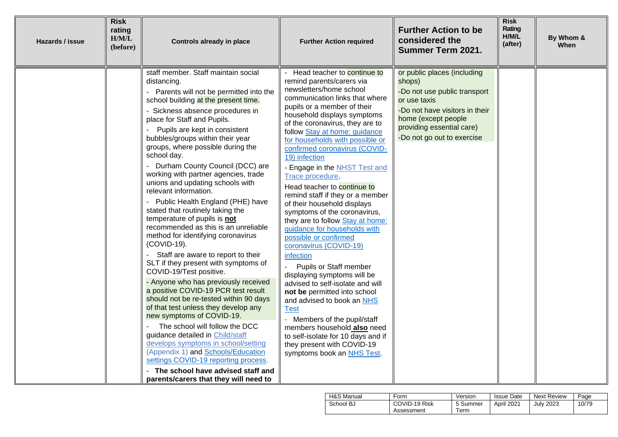| H&S Manual | Form          | Version  | <b>Issue Date</b> | Next Review      | Page  |
|------------|---------------|----------|-------------------|------------------|-------|
| School BJ  | COVID-19 Risk | 5 Summer | April 2021        | <b>July 2023</b> | 10/79 |
|            | Assessment    | ™erm     |                   |                  |       |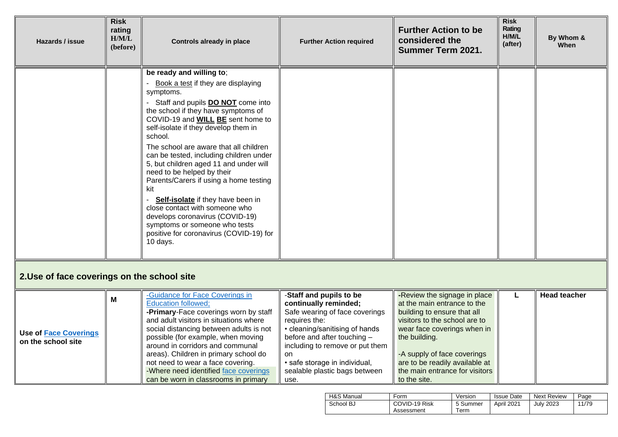| Hazards / issue                                    | <b>Risk</b><br>rating<br>H/M/L<br>(before) | <b>Controls already in place</b>                                                                                                                                                                                                                                                                                                                                                                                                                                                                                                                                                                                                                                              | <b>Further Action required</b>                                                                                                                                                                                                                                                          | <b>Further Action to be</b><br>considered the<br><b>Summer Term 2021.</b>                                                                                                                                                                                                                      | <b>Risk</b><br>Rating<br>H/M/L<br>(after) | By Whom &<br>When   |
|----------------------------------------------------|--------------------------------------------|-------------------------------------------------------------------------------------------------------------------------------------------------------------------------------------------------------------------------------------------------------------------------------------------------------------------------------------------------------------------------------------------------------------------------------------------------------------------------------------------------------------------------------------------------------------------------------------------------------------------------------------------------------------------------------|-----------------------------------------------------------------------------------------------------------------------------------------------------------------------------------------------------------------------------------------------------------------------------------------|------------------------------------------------------------------------------------------------------------------------------------------------------------------------------------------------------------------------------------------------------------------------------------------------|-------------------------------------------|---------------------|
|                                                    |                                            | be ready and willing to;<br>Book a test if they are displaying<br>symptoms.<br>Staff and pupils <b>DO NOT</b> come into<br>the school if they have symptoms of<br>COVID-19 and <b>WILL BE</b> sent home to<br>self-isolate if they develop them in<br>school.<br>The school are aware that all children<br>can be tested, including children under<br>5, but children aged 11 and under will<br>need to be helped by their<br>Parents/Carers if using a home testing<br>kit<br>Self-isolate if they have been in<br>close contact with someone who<br>develops coronavirus (COVID-19)<br>symptoms or someone who tests<br>positive for coronavirus (COVID-19) for<br>10 days. |                                                                                                                                                                                                                                                                                         |                                                                                                                                                                                                                                                                                                |                                           |                     |
| 2. Use of face coverings on the school site        |                                            |                                                                                                                                                                                                                                                                                                                                                                                                                                                                                                                                                                                                                                                                               |                                                                                                                                                                                                                                                                                         |                                                                                                                                                                                                                                                                                                |                                           |                     |
| <b>Use of Face Coverings</b><br>on the school site | Μ                                          | -Guidance for Face Coverings in<br><b>Education followed;</b><br>-Primary-Face coverings worn by staff<br>and adult visitors in situations where<br>social distancing between adults is not<br>possible (for example, when moving<br>around in corridors and communal<br>areas). Children in primary school do<br>not need to wear a face covering.<br>-Where need identified face coverings<br>can be worn in classrooms in primary                                                                                                                                                                                                                                          | -Staff and pupils to be<br>continually reminded;<br>Safe wearing of face coverings<br>requires the:<br>• cleaning/sanitising of hands<br>before and after touching -<br>including to remove or put them<br>on<br>· safe storage in individual,<br>sealable plastic bags between<br>use. | -Review the signage in place<br>at the main entrance to the<br>building to ensure that all<br>visitors to the school are to<br>wear face coverings when in<br>the building.<br>-A supply of face coverings<br>are to be readily available at<br>the main entrance for visitors<br>to the site. | L                                         | <b>Head teacher</b> |

| H&S Manual | Form          | Version  | <b>Issue Date</b> | <b>Next Review</b> | $P$ aqe |
|------------|---------------|----------|-------------------|--------------------|---------|
| School BJ  | COVID-19 Risk | 5 Summer | <b>April 2021</b> | <b>July 2023</b>   | 11/79   |
|            | Assessment    | erm      |                   |                    |         |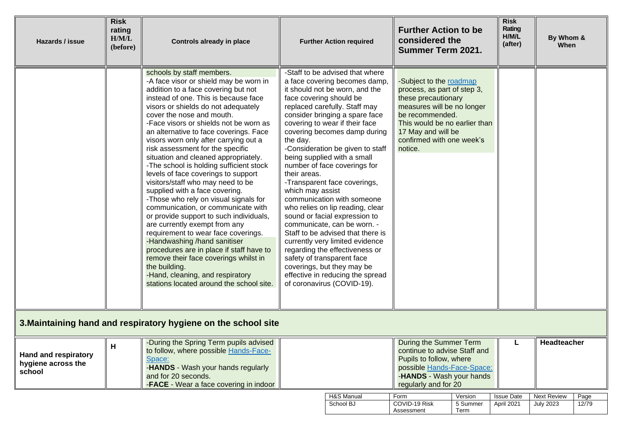| Hazards / issue                                             | <b>Risk</b><br>rating<br>$\mathbf{H} / \mathbf{M} / \mathbf{L}$<br>(before) | <b>Controls already in place</b>                                                                                                                                                                                                                                                                                                                                                                                                                                                                                                                                                                                                                                                                                                                                                                                                                                                                                                                                                                                 | <b>Further Action required</b>                                                                                                                                                                                                                                                                                                                                                                                                                                                                                                                                                                                                                                                                                                                                                                                                  | <b>Further Action to be</b><br>considered the<br>Summer Term 2021.                                                                                                                                                            | <b>Risk</b><br>Rating<br>H/M/L<br>(after) | By Whom &<br>When  |
|-------------------------------------------------------------|-----------------------------------------------------------------------------|------------------------------------------------------------------------------------------------------------------------------------------------------------------------------------------------------------------------------------------------------------------------------------------------------------------------------------------------------------------------------------------------------------------------------------------------------------------------------------------------------------------------------------------------------------------------------------------------------------------------------------------------------------------------------------------------------------------------------------------------------------------------------------------------------------------------------------------------------------------------------------------------------------------------------------------------------------------------------------------------------------------|---------------------------------------------------------------------------------------------------------------------------------------------------------------------------------------------------------------------------------------------------------------------------------------------------------------------------------------------------------------------------------------------------------------------------------------------------------------------------------------------------------------------------------------------------------------------------------------------------------------------------------------------------------------------------------------------------------------------------------------------------------------------------------------------------------------------------------|-------------------------------------------------------------------------------------------------------------------------------------------------------------------------------------------------------------------------------|-------------------------------------------|--------------------|
|                                                             |                                                                             | schools by staff members.<br>-A face visor or shield may be worn in<br>addition to a face covering but not<br>instead of one. This is because face<br>visors or shields do not adequately<br>cover the nose and mouth.<br>-Face visors or shields not be worn as<br>an alternative to face coverings. Face<br>visors worn only after carrying out a<br>risk assessment for the specific<br>situation and cleaned appropriately.<br>-The school is holding sufficient stock<br>levels of face coverings to support<br>visitors/staff who may need to be<br>supplied with a face covering.<br>-Those who rely on visual signals for<br>communication, or communicate with<br>or provide support to such individuals,<br>are currently exempt from any<br>requirement to wear face coverings.<br>-Handwashing /hand sanitiser<br>procedures are in place if staff have to<br>remove their face coverings whilst in<br>the building.<br>-Hand, cleaning, and respiratory<br>stations located around the school site. | -Staff to be advised that where<br>a face covering becomes damp,<br>it should not be worn, and the<br>face covering should be<br>replaced carefully. Staff may<br>consider bringing a spare face<br>covering to wear if their face<br>covering becomes damp during<br>the day.<br>-Consideration be given to staff<br>being supplied with a small<br>number of face coverings for<br>their areas.<br>-Transparent face coverings,<br>which may assist<br>communication with someone<br>who relies on lip reading, clear<br>sound or facial expression to<br>communicate, can be worn. -<br>Staff to be advised that there is<br>currently very limited evidence<br>regarding the effectiveness or<br>safety of transparent face<br>coverings, but they may be<br>effective in reducing the spread<br>of coronavirus (COVID-19). | -Subject to the roadmap<br>process, as part of step 3,<br>these precautionary<br>measures will be no longer<br>be recommended.<br>This would be no earlier than<br>17 May and will be<br>confirmed with one week's<br>notice. |                                           |                    |
|                                                             |                                                                             | 3. Maintaining hand and respiratory hygiene on the school site                                                                                                                                                                                                                                                                                                                                                                                                                                                                                                                                                                                                                                                                                                                                                                                                                                                                                                                                                   |                                                                                                                                                                                                                                                                                                                                                                                                                                                                                                                                                                                                                                                                                                                                                                                                                                 |                                                                                                                                                                                                                               |                                           |                    |
| <b>Hand and respiratory</b><br>hygiene across the<br>school | H                                                                           | -During the Spring Term pupils advised<br>to follow, where possible Hands-Face-<br>Space:<br>-HANDS - Wash your hands regularly<br>and for 20 coand                                                                                                                                                                                                                                                                                                                                                                                                                                                                                                                                                                                                                                                                                                                                                                                                                                                              |                                                                                                                                                                                                                                                                                                                                                                                                                                                                                                                                                                                                                                                                                                                                                                                                                                 | During the Summer Term<br>continue to advise Staff and<br>Pupils to follow, where<br>possible Hands-Face-Space:<br>HANDO Moch vous bonde                                                                                      |                                           | <b>Headteacher</b> |

and for 20 seconds.

-**FACE** - Wear a face covering in indoor

| H&S Manual | Form                        | Version         | <b>Issue Date</b> | <b>Next Review</b> | Page  |
|------------|-----------------------------|-----------------|-------------------|--------------------|-------|
| School BJ  | COVID-19 Risk<br>Assessment | 5 Summer<br>erm | <b>April 2021</b> | Julv 2023          | 12/79 |

-**HANDS** - Wash your hands

regularly and for 20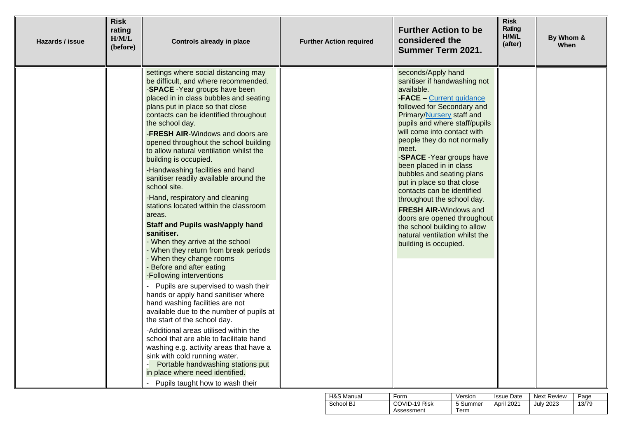| Hazards / issue | <b>Risk</b><br>rating<br>H/M/L<br>(before) | <b>Controls already in place</b>                                                                                                                                                                                                                                                                                                                                                                                                                                                                                                                                                                                                                                                                                                                                                                                                                                                                                                                                                                                                                                                                                                                                                                                                                                                               | <b>Further Action required</b> | <b>Further Action to be</b><br>considered the<br>Summer Term 2021.                                                                                                                                                                                                                                                                                                                                                                                                                                                                                                                                       | <b>Risk</b><br>Rating<br>H/M/L<br>(after) | By Whom &<br>When |
|-----------------|--------------------------------------------|------------------------------------------------------------------------------------------------------------------------------------------------------------------------------------------------------------------------------------------------------------------------------------------------------------------------------------------------------------------------------------------------------------------------------------------------------------------------------------------------------------------------------------------------------------------------------------------------------------------------------------------------------------------------------------------------------------------------------------------------------------------------------------------------------------------------------------------------------------------------------------------------------------------------------------------------------------------------------------------------------------------------------------------------------------------------------------------------------------------------------------------------------------------------------------------------------------------------------------------------------------------------------------------------|--------------------------------|----------------------------------------------------------------------------------------------------------------------------------------------------------------------------------------------------------------------------------------------------------------------------------------------------------------------------------------------------------------------------------------------------------------------------------------------------------------------------------------------------------------------------------------------------------------------------------------------------------|-------------------------------------------|-------------------|
|                 |                                            | settings where social distancing may<br>be difficult, and where recommended.<br>-SPACE - Year groups have been<br>placed in in class bubbles and seating<br>plans put in place so that close<br>contacts can be identified throughout<br>the school day.<br>-FRESH AIR-Windows and doors are<br>opened throughout the school building<br>to allow natural ventilation whilst the<br>building is occupied.<br>-Handwashing facilities and hand<br>sanitiser readily available around the<br>school site.<br>-Hand, respiratory and cleaning<br>stations located within the classroom<br>areas.<br><b>Staff and Pupils wash/apply hand</b><br>sanitiser.<br>- When they arrive at the school<br>- When they return from break periods<br>- When they change rooms<br>Before and after eating<br>-Following interventions<br>Pupils are supervised to wash their<br>hands or apply hand sanitiser where<br>hand washing facilities are not<br>available due to the number of pupils at<br>the start of the school day.<br>-Additional areas utilised within the<br>school that are able to facilitate hand<br>washing e.g. activity areas that have a<br>sink with cold running water.<br>Portable handwashing stations put<br>in place where need identified.<br>Pupils taught how to wash their |                                | seconds/Apply hand<br>sanitiser if handwashing not<br>available.<br>-FACE - Current guidance<br>followed for Secondary and<br>Primary/Nursery staff and<br>pupils and where staff/pupils<br>will come into contact with<br>people they do not normally<br>meet.<br>-SPACE - Year groups have<br>been placed in in class<br>bubbles and seating plans<br>put in place so that close<br>contacts can be identified<br>throughout the school day.<br><b>FRESH AIR-Windows and</b><br>doors are opened throughout<br>the school building to allow<br>natural ventilation whilst the<br>building is occupied. |                                           |                   |

| H&S Manual | Form          | Version  | <b>Issue Date</b> | <b>Next Review</b> | Page  |
|------------|---------------|----------|-------------------|--------------------|-------|
| School BJ  | COVID-19 Risk | 5 Summer | April 2021        | <b>July 2023</b>   | 13/79 |
|            | Assessment    | erm      |                   |                    |       |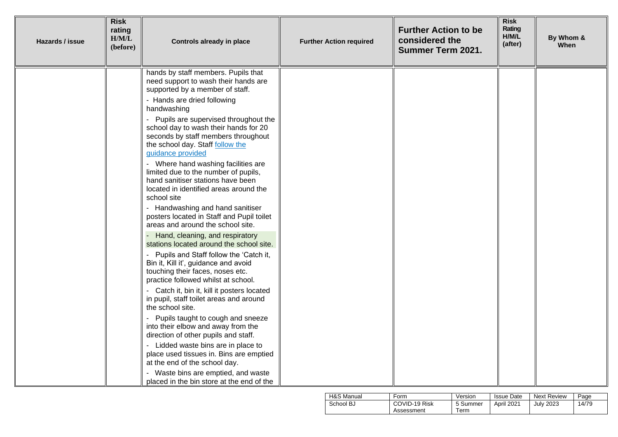| Hazards / issue | <b>Risk</b><br>rating<br>H/M/L<br>(before) | <b>Controls already in place</b>                                                                                                                                                                                                                                                                                                                                                                                                                                                                                                                                                                                                                                                                                                                                                                                                                                                                                                                                                                                                                                                                                                                                                                                                                                 | <b>Further Action to be</b><br>considered the<br><b>Further Action required</b><br>Summer Term 2021. |  | <b>Risk</b><br>Rating<br>H/M/L<br>(after) | By Whom &<br><b>When</b> |
|-----------------|--------------------------------------------|------------------------------------------------------------------------------------------------------------------------------------------------------------------------------------------------------------------------------------------------------------------------------------------------------------------------------------------------------------------------------------------------------------------------------------------------------------------------------------------------------------------------------------------------------------------------------------------------------------------------------------------------------------------------------------------------------------------------------------------------------------------------------------------------------------------------------------------------------------------------------------------------------------------------------------------------------------------------------------------------------------------------------------------------------------------------------------------------------------------------------------------------------------------------------------------------------------------------------------------------------------------|------------------------------------------------------------------------------------------------------|--|-------------------------------------------|--------------------------|
|                 |                                            | hands by staff members. Pupils that<br>need support to wash their hands are<br>supported by a member of staff.<br>- Hands are dried following<br>handwashing<br>Pupils are supervised throughout the<br>school day to wash their hands for 20<br>seconds by staff members throughout<br>the school day. Staff follow the<br>guidance provided<br>- Where hand washing facilities are<br>limited due to the number of pupils,<br>hand sanitiser stations have been<br>located in identified areas around the<br>school site<br>- Handwashing and hand sanitiser<br>posters located in Staff and Pupil toilet<br>areas and around the school site.<br>Hand, cleaning, and respiratory<br>stations located around the school site.<br>Pupils and Staff follow the 'Catch it,<br>Bin it, Kill it', guidance and avoid<br>touching their faces, noses etc.<br>practice followed whilst at school.<br>- Catch it, bin it, kill it posters located<br>in pupil, staff toilet areas and around<br>the school site.<br>Pupils taught to cough and sneeze<br>$\blacksquare$<br>into their elbow and away from the<br>direction of other pupils and staff.<br>Lidded waste bins are in place to<br>place used tissues in. Bins are emptied<br>at the end of the school day. |                                                                                                      |  |                                           |                          |
|                 |                                            | - Waste bins are emptied, and waste<br>placed in the bin store at the end of the                                                                                                                                                                                                                                                                                                                                                                                                                                                                                                                                                                                                                                                                                                                                                                                                                                                                                                                                                                                                                                                                                                                                                                                 |                                                                                                      |  |                                           |                          |

| H&S Manual | Form          | Version  | <b>Issue Date</b> | <b>Next Review</b> | Page  |
|------------|---------------|----------|-------------------|--------------------|-------|
| School BJ  | COVID-19 Risk | 5 Summer | <b>April 2021</b> | <b>July 2023</b>   | 14/79 |
|            | Assessment    | erm      |                   |                    |       |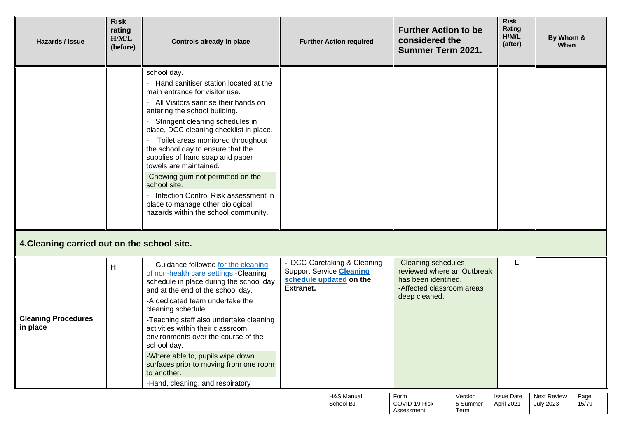| Hazards / issue                             | <b>Risk</b><br>rating<br>H/M/L<br>(before) | <b>Controls already in place</b>                                                                                                                                                                                                                                                                                                                                                                                                                                                                                                                                      | <b>Further Action required</b>                                                                         | <b>Further Action to be</b><br>considered the<br>Summer Term 2021.                                                      | <b>Risk</b><br>Rating<br>H/M/L<br>(after) | By Whom &<br>When |
|---------------------------------------------|--------------------------------------------|-----------------------------------------------------------------------------------------------------------------------------------------------------------------------------------------------------------------------------------------------------------------------------------------------------------------------------------------------------------------------------------------------------------------------------------------------------------------------------------------------------------------------------------------------------------------------|--------------------------------------------------------------------------------------------------------|-------------------------------------------------------------------------------------------------------------------------|-------------------------------------------|-------------------|
|                                             |                                            | school day.<br>- Hand sanitiser station located at the<br>main entrance for visitor use.<br>- All Visitors sanitise their hands on<br>entering the school building.<br>- Stringent cleaning schedules in<br>place, DCC cleaning checklist in place.<br>Toilet areas monitored throughout<br>the school day to ensure that the<br>supplies of hand soap and paper<br>towels are maintained.<br>-Chewing gum not permitted on the<br>school site.<br>- Infection Control Risk assessment in<br>place to manage other biological<br>hazards within the school community. |                                                                                                        |                                                                                                                         |                                           |                   |
| 4. Cleaning carried out on the school site. |                                            |                                                                                                                                                                                                                                                                                                                                                                                                                                                                                                                                                                       |                                                                                                        |                                                                                                                         |                                           |                   |
| <b>Cleaning Procedures</b><br>in place      | н                                          | - Guidance followed for the cleaning<br>of non-health care settings.-Cleaning<br>schedule in place during the school day<br>and at the end of the school day.<br>-A dedicated team undertake the<br>cleaning schedule.<br>-Teaching staff also undertake cleaning<br>activities within their classroom<br>environments over the course of the<br>school day.<br>-Where able to, pupils wipe down<br>surfaces prior to moving from one room<br>to another.<br>-Hand, cleaning, and respiratory                                                                         | - DCC-Caretaking & Cleaning<br><b>Support Service Cleaning</b><br>schedule updated on the<br>Extranet. | -Cleaning schedules<br>reviewed where an Outbreak<br>has been identified.<br>-Affected classroom areas<br>deep cleaned. | L                                         |                   |

| H&S Manual | Form          | Version  | <b>Issue Date</b> | <b>Next Review</b> | Page  |
|------------|---------------|----------|-------------------|--------------------|-------|
| School BJ  | COVID-19 Risk | 5 Summer | April 2021        | <b>July 2023</b>   | 15/79 |
|            | Assessment    | ⊺erm     |                   |                    |       |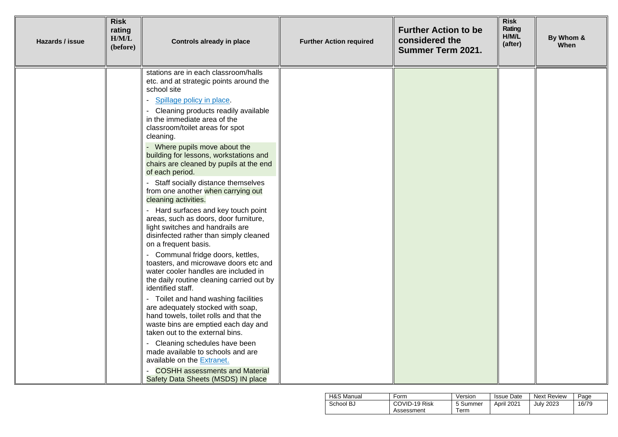| Hazards / issue | <b>Risk</b><br>rating<br>H/M/L<br>(before) | <b>Controls already in place</b>                                                                                                                                                                                                                                                                                                                                                                                                                                                                                                                                                                                                                                                                                                                                                                                                                                                                                                                                                                                                                                                                                                                                                                                             | <b>Further Action required</b> | <b>Further Action to be</b><br>considered the<br>Summer Term 2021. | <b>Risk</b><br>Rating<br>H/M/L<br>(after) | By Whom &<br><b>When</b> |
|-----------------|--------------------------------------------|------------------------------------------------------------------------------------------------------------------------------------------------------------------------------------------------------------------------------------------------------------------------------------------------------------------------------------------------------------------------------------------------------------------------------------------------------------------------------------------------------------------------------------------------------------------------------------------------------------------------------------------------------------------------------------------------------------------------------------------------------------------------------------------------------------------------------------------------------------------------------------------------------------------------------------------------------------------------------------------------------------------------------------------------------------------------------------------------------------------------------------------------------------------------------------------------------------------------------|--------------------------------|--------------------------------------------------------------------|-------------------------------------------|--------------------------|
|                 |                                            | stations are in each classroom/halls<br>etc. and at strategic points around the<br>school site<br>Spillage policy in place.<br>Cleaning products readily available<br>in the immediate area of the<br>classroom/toilet areas for spot<br>cleaning.<br>- Where pupils move about the<br>building for lessons, workstations and<br>chairs are cleaned by pupils at the end<br>of each period.<br>Staff socially distance themselves<br>from one another when carrying out<br>cleaning activities.<br>- Hard surfaces and key touch point<br>areas, such as doors, door furniture,<br>light switches and handrails are<br>disinfected rather than simply cleaned<br>on a frequent basis.<br>- Communal fridge doors, kettles,<br>toasters, and microwave doors etc and<br>water cooler handles are included in<br>the daily routine cleaning carried out by<br>identified staff.<br>- Toilet and hand washing facilities<br>are adequately stocked with soap,<br>hand towels, toilet rolls and that the<br>waste bins are emptied each day and<br>taken out to the external bins.<br>- Cleaning schedules have been<br>made available to schools and are<br>available on the Extranet.<br><b>COSHH assessments and Material</b> |                                |                                                                    |                                           |                          |
|                 |                                            | Safety Data Sheets (MSDS) IN place                                                                                                                                                                                                                                                                                                                                                                                                                                                                                                                                                                                                                                                                                                                                                                                                                                                                                                                                                                                                                                                                                                                                                                                           |                                |                                                                    |                                           |                          |

| H&S Manual | Form          | Version  | <b>Issue Date</b> | <b>Next Review</b> | Page  |
|------------|---------------|----------|-------------------|--------------------|-------|
| School BJ  | COVID-19 Risk | 5 Summer | April 2021        | <b>July 2023</b>   | 16/79 |
|            | Assessment    | erm      |                   |                    |       |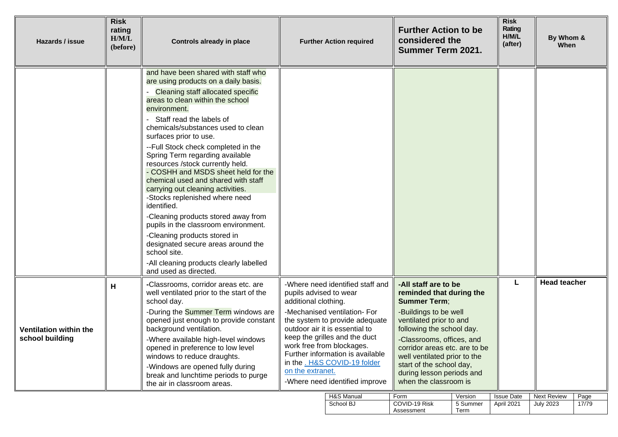| Hazards / issue                                  | <b>Risk</b><br>rating<br>H/M/L<br>(before) | Controls already in place                                                                                                                                                                                                                                                                                                                                                                                                                                                                                                                                                                                                                                                                                                                                                                        |                                                                    | <b>Further Action required</b>                                                                                                                                                                                                                                                                           | <b>Further Action to be</b><br>considered the<br>Summer Term 2021.                                                                                                                                                                                                                                                                       |                             | <b>Risk</b><br>Rating<br>H/M/L<br>(after) | By Whom &<br>When                      |               |
|--------------------------------------------------|--------------------------------------------|--------------------------------------------------------------------------------------------------------------------------------------------------------------------------------------------------------------------------------------------------------------------------------------------------------------------------------------------------------------------------------------------------------------------------------------------------------------------------------------------------------------------------------------------------------------------------------------------------------------------------------------------------------------------------------------------------------------------------------------------------------------------------------------------------|--------------------------------------------------------------------|----------------------------------------------------------------------------------------------------------------------------------------------------------------------------------------------------------------------------------------------------------------------------------------------------------|------------------------------------------------------------------------------------------------------------------------------------------------------------------------------------------------------------------------------------------------------------------------------------------------------------------------------------------|-----------------------------|-------------------------------------------|----------------------------------------|---------------|
|                                                  |                                            | and have been shared with staff who<br>are using products on a daily basis.<br>- Cleaning staff allocated specific<br>areas to clean within the school<br>environment.<br>- Staff read the labels of<br>chemicals/substances used to clean<br>surfaces prior to use.<br>-- Full Stock check completed in the<br>Spring Term regarding available<br>resources /stock currently held.<br>- COSHH and MSDS sheet held for the<br>chemical used and shared with staff<br>carrying out cleaning activities.<br>-Stocks replenished where need<br>identified.<br>-Cleaning products stored away from<br>pupils in the classroom environment.<br>-Cleaning products stored in<br>designated secure areas around the<br>school site.<br>-All cleaning products clearly labelled<br>and used as directed. |                                                                    |                                                                                                                                                                                                                                                                                                          |                                                                                                                                                                                                                                                                                                                                          |                             |                                           |                                        |               |
| <b>Ventilation within the</b><br>school building | Н                                          | -Classrooms, corridor areas etc. are<br>well ventilated prior to the start of the<br>school day.<br>-During the <b>Summer Term</b> windows are<br>opened just enough to provide constant<br>background ventilation.<br>-Where available high-level windows<br>opened in preference to low level<br>windows to reduce draughts.<br>-Windows are opened fully during<br>break and lunchtime periods to purge<br>the air in classroom areas.                                                                                                                                                                                                                                                                                                                                                        | pupils advised to wear<br>additional clothing.<br>on the extranet. | -Where need identified staff and<br>-Mechanised ventilation- For<br>the system to provide adequate<br>outdoor air it is essential to<br>keep the grilles and the duct<br>work free from blockages.<br>Further information is available<br>in the . H&S COVID-19 folder<br>-Where need identified improve | -All staff are to be<br>reminded that during the<br><b>Summer Term;</b><br>-Buildings to be well<br>ventilated prior to and<br>following the school day.<br>-Classrooms, offices, and<br>corridor areas etc. are to be<br>well ventilated prior to the<br>start of the school day,<br>during lesson periods and<br>when the classroom is |                             | L                                         | <b>Head teacher</b>                    |               |
|                                                  |                                            |                                                                                                                                                                                                                                                                                                                                                                                                                                                                                                                                                                                                                                                                                                                                                                                                  |                                                                    | H&S Manual<br>School BJ                                                                                                                                                                                                                                                                                  | Form<br>COVID-19 Risk<br>Assessment                                                                                                                                                                                                                                                                                                      | Version<br>5 Summer<br>Term | <b>Issue Date</b><br>April 2021           | <b>Next Review</b><br><b>July 2023</b> | Page<br>17/79 |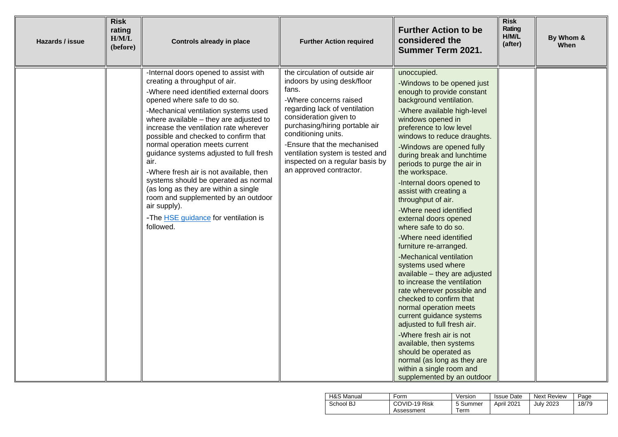| Hazards / issue | <b>Risk</b><br>rating<br>H/M/L<br>(before) | Controls already in place                                                                                                                                                                                                                                                                                                                                                                                                                                                                                                                                                                                                                      | <b>Further Action required</b>                                                                                                                                                                                                                                                                                                                        | <b>Further Action to be</b><br>considered the<br><b>Summer Term 2021.</b>                                                                                                                                                                                                                                                                                                                                                                                                                                                                                                                                                                                                                                                                                                                                                                                                                                                                                                       | <b>Risk</b><br>Rating<br>H/M/L<br>(after) | By Whom &<br>When |
|-----------------|--------------------------------------------|------------------------------------------------------------------------------------------------------------------------------------------------------------------------------------------------------------------------------------------------------------------------------------------------------------------------------------------------------------------------------------------------------------------------------------------------------------------------------------------------------------------------------------------------------------------------------------------------------------------------------------------------|-------------------------------------------------------------------------------------------------------------------------------------------------------------------------------------------------------------------------------------------------------------------------------------------------------------------------------------------------------|---------------------------------------------------------------------------------------------------------------------------------------------------------------------------------------------------------------------------------------------------------------------------------------------------------------------------------------------------------------------------------------------------------------------------------------------------------------------------------------------------------------------------------------------------------------------------------------------------------------------------------------------------------------------------------------------------------------------------------------------------------------------------------------------------------------------------------------------------------------------------------------------------------------------------------------------------------------------------------|-------------------------------------------|-------------------|
|                 |                                            | -Internal doors opened to assist with<br>creating a throughput of air.<br>-Where need identified external doors<br>opened where safe to do so.<br>-Mechanical ventilation systems used<br>where available - they are adjusted to<br>increase the ventilation rate wherever<br>possible and checked to confirm that<br>normal operation meets current<br>guidance systems adjusted to full fresh<br>air.<br>-Where fresh air is not available, then<br>systems should be operated as normal<br>(as long as they are within a single<br>room and supplemented by an outdoor<br>air supply).<br>-The HSE guidance for ventilation is<br>followed. | the circulation of outside air<br>indoors by using desk/floor<br>fans.<br>-Where concerns raised<br>regarding lack of ventilation<br>consideration given to<br>purchasing/hiring portable air<br>conditioning units.<br>-Ensure that the mechanised<br>ventilation system is tested and<br>inspected on a regular basis by<br>an approved contractor. | unoccupied.<br>-Windows to be opened just<br>enough to provide constant<br>background ventilation.<br>-Where available high-level<br>windows opened in<br>preference to low level<br>windows to reduce draughts.<br>-Windows are opened fully<br>during break and lunchtime<br>periods to purge the air in<br>the workspace.<br>-Internal doors opened to<br>assist with creating a<br>throughput of air.<br>-Where need identified<br>external doors opened<br>where safe to do so.<br>-Where need identified<br>furniture re-arranged.<br>-Mechanical ventilation<br>systems used where<br>available - they are adjusted<br>to increase the ventilation<br>rate wherever possible and<br>checked to confirm that<br>normal operation meets<br>current guidance systems<br>adjusted to full fresh air.<br>-Where fresh air is not<br>available, then systems<br>should be operated as<br>normal (as long as they are<br>within a single room and<br>supplemented by an outdoor |                                           |                   |

| H&S Manual | Form          | Version  | <b>Issue Date</b> | <b>Next Review</b> | Page  |
|------------|---------------|----------|-------------------|--------------------|-------|
| School BJ  | COVID-19 Risk | 5 Summer | April 2021        | <b>July 2023</b>   | 18/79 |
|            | Assessment    | erm      |                   |                    |       |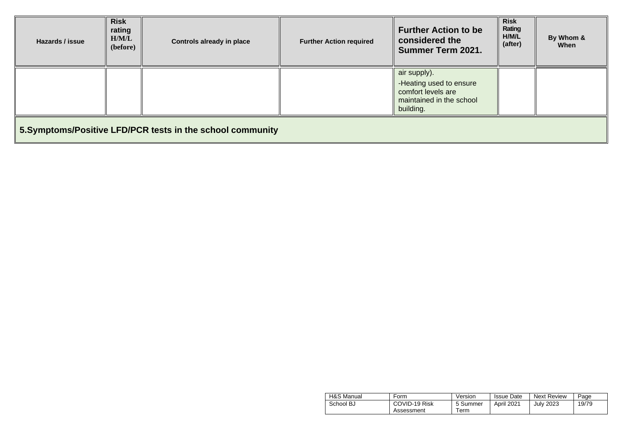| Hazards / issue                                           | <b>Risk</b><br>rating<br>H/M/L<br>(before) | <b>Controls already in place</b> | <b>Further Action required</b> | <b>Further Action to be</b><br>considered the<br><b>Summer Term 2021.</b>                              | <b>Risk</b><br>Rating<br>H/M/L<br>(after) | By Whom &<br>When |  |
|-----------------------------------------------------------|--------------------------------------------|----------------------------------|--------------------------------|--------------------------------------------------------------------------------------------------------|-------------------------------------------|-------------------|--|
|                                                           |                                            |                                  |                                | air supply).<br>-Heating used to ensure<br>comfort levels are<br>maintained in the school<br>building. |                                           |                   |  |
| 5.Symptoms/Positive LFD/PCR tests in the school community |                                            |                                  |                                |                                                                                                        |                                           |                   |  |

| H&S Manual | Form          | Version  | <b>Issue Date</b> | <b>Next Review</b> | Page  |
|------------|---------------|----------|-------------------|--------------------|-------|
| School BJ  | COVID-19 Risk | 5 Summer | April 2021        | <b>July 2023</b>   | 19/79 |
|            | Assessment    | erm      |                   |                    |       |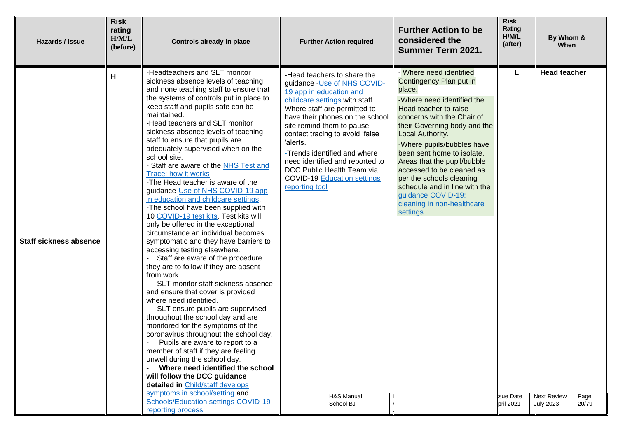| Hazards / issue               | <b>Risk</b><br>rating<br>H/M/L<br>(before) | Controls already in place                                                                                                                                                                                                                                                                                                                                                                                                                                                                                                                                                                                                                                                                                                                                                                                                                                                                                                                                                                                                                                                                                                                                                                                                                                                                                                                                                                                                                                                    | <b>Further Action required</b>                                                                                                                                                                                                                                                                                                                                                                                                                              | <b>Further Action to be</b><br>considered the<br>Summer Term 2021.                                                                                                                                                                                                                                                                                                                                                                                                | <b>Risk</b><br>Rating<br>H/M/L<br>(after) | By Whom &<br>When                                      |               |
|-------------------------------|--------------------------------------------|------------------------------------------------------------------------------------------------------------------------------------------------------------------------------------------------------------------------------------------------------------------------------------------------------------------------------------------------------------------------------------------------------------------------------------------------------------------------------------------------------------------------------------------------------------------------------------------------------------------------------------------------------------------------------------------------------------------------------------------------------------------------------------------------------------------------------------------------------------------------------------------------------------------------------------------------------------------------------------------------------------------------------------------------------------------------------------------------------------------------------------------------------------------------------------------------------------------------------------------------------------------------------------------------------------------------------------------------------------------------------------------------------------------------------------------------------------------------------|-------------------------------------------------------------------------------------------------------------------------------------------------------------------------------------------------------------------------------------------------------------------------------------------------------------------------------------------------------------------------------------------------------------------------------------------------------------|-------------------------------------------------------------------------------------------------------------------------------------------------------------------------------------------------------------------------------------------------------------------------------------------------------------------------------------------------------------------------------------------------------------------------------------------------------------------|-------------------------------------------|--------------------------------------------------------|---------------|
| <b>Staff sickness absence</b> | н                                          | -Headteachers and SLT monitor<br>sickness absence levels of teaching<br>and none teaching staff to ensure that<br>the systems of controls put in place to<br>keep staff and pupils safe can be<br>maintained.<br>-Head teachers and SLT monitor<br>sickness absence levels of teaching<br>staff to ensure that pupils are<br>adequately supervised when on the<br>school site.<br>- Staff are aware of the NHS Test and<br>Trace: how it works<br>-The Head teacher is aware of the<br>guidance-Use of NHS COVID-19 app<br>in education and childcare settings.<br>-The school have been supplied with<br>10 COVID-19 test kits. Test kits will<br>only be offered in the exceptional<br>circumstance an individual becomes<br>symptomatic and they have barriers to<br>accessing testing elsewhere.<br>Staff are aware of the procedure<br>they are to follow if they are absent<br>from work<br>SLT monitor staff sickness absence<br>and ensure that cover is provided<br>where need identified.<br>SLT ensure pupils are supervised<br>throughout the school day and are<br>monitored for the symptoms of the<br>coronavirus throughout the school day.<br>Pupils are aware to report to a<br>member of staff if they are feeling<br>unwell during the school day.<br>Where need identified the school<br>will follow the DCC guidance<br>detailed in Child/staff develops<br>symptoms in school/setting and<br>Schools/Education settings COVID-19<br>reporting process | -Head teachers to share the<br>guidance - Use of NHS COVID-<br>19 app in education and<br>childcare settings with staff.<br>Where staff are permitted to<br>have their phones on the school<br>site remind them to pause<br>contact tracing to avoid 'false<br>'alerts.<br>-Trends identified and where<br>need identified and reported to<br>DCC Public Health Team via<br><b>COVID-19 Education settings</b><br>reporting tool<br>H&S Manual<br>School BJ | - Where need identified<br><b>Contingency Plan put in</b><br>place.<br>-Where need identified the<br>Head teacher to raise<br>concerns with the Chair of<br>their Governing body and the<br>Local Authority.<br>-Where pupils/bubbles have<br>been sent home to isolate.<br>Areas that the pupil/bubble<br>accessed to be cleaned as<br>per the schools cleaning<br>schedule and in line with the<br>guidance COVID-19:<br>cleaning in non-healthcare<br>settings | L<br>sue Date<br>pril 2021                | <b>Head teacher</b><br><b>Next Review</b><br>July 2023 | Page<br>20/79 |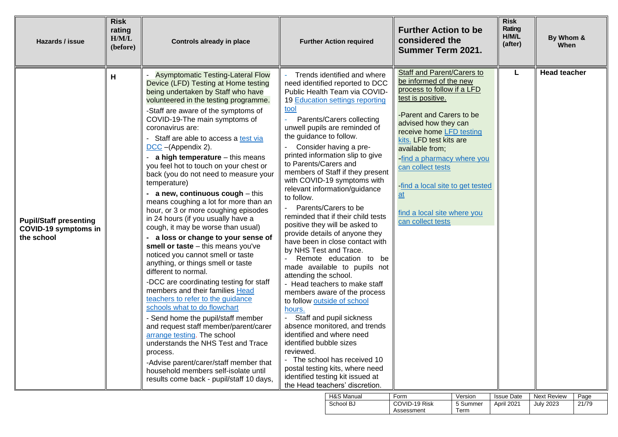| <b>Head teacher</b><br>Staff and Parent/Carers to<br>L<br>Trends identified and where<br><b>Asymptomatic Testing-Lateral Flow</b><br>н<br>be informed of the new<br>Device (LFD) Testing at Home testing<br>need identified reported to DCC<br>process to follow if a LFD<br>being undertaken by Staff who have<br>Public Health Team via COVID-<br>test is positive.<br>volunteered in the testing programme.<br>19 Education settings reporting<br>tool<br>-Staff are aware of the symptoms of<br>-Parent and Carers to be<br>COVID-19-The main symptoms of<br>Parents/Carers collecting<br>advised how they can<br>coronavirus are:<br>unwell pupils are reminded of<br>receive home LFD testing<br>the guidance to follow.<br>Staff are able to access a test via<br>kits. LFD test kits are<br>DCC - (Appendix 2).<br>Consider having a pre-<br>available from;<br>printed information slip to give<br>a high temperature - this means<br>-find a pharmacy where you<br>to Parents/Carers and<br>you feel hot to touch on your chest or<br>can collect tests<br>members of Staff if they present<br>back (you do not need to measure your<br>with COVID-19 symptoms with<br>temperature)<br>-find a local site to get tested<br>relevant information/guidance<br>a new, continuous cough - this<br>at<br>to follow.<br>means coughing a lot for more than an<br>Parents/Carers to be<br>hour, or 3 or more coughing episodes<br>find a local site where you<br>reminded that if their child tests<br>in 24 hours (if you usually have a<br><b>Pupil/Staff presenting</b><br>can collect tests<br>positive they will be asked to<br>cough, it may be worse than usual)<br><b>COVID-19 symptoms in</b><br>provide details of anyone they<br>the school<br>- a loss or change to your sense of<br>have been in close contact with<br>smell or taste - this means you've<br>by NHS Test and Trace.<br>noticed you cannot smell or taste<br>Remote education to be<br>anything, or things smell or taste<br>made available to pupils not<br>different to normal.<br>attending the school.<br>-DCC are coordinating testing for staff<br>- Head teachers to make staff<br>members and their families Head<br>members aware of the process<br>teachers to refer to the guidance<br>to follow outside of school<br>schools what to do flowchart<br>hours.<br>- Staff and pupil sickness<br>- Send home the pupil/staff member<br>absence monitored, and trends<br>and request staff member/parent/carer<br>identified and where need<br>arrange testing. The school<br>identified bubble sizes<br>understands the NHS Test and Trace<br>reviewed.<br>process.<br>- The school has received 10<br>-Advise parent/carer/staff member that<br>postal testing kits, where need<br>household members self-isolate until<br>identified testing kit issued at | Hazards / issue | <b>Risk</b><br>rating<br>$\mathbf{H} / \mathbf{M} / \mathbf{L}$<br>(before) | <b>Controls already in place</b>         | <b>Further Action required</b> | <b>Further Action to be</b><br>considered the<br>Summer Term 2021. | <b>Risk</b><br>Rating<br>H/M/L<br>(after) | By Whom &<br><b>When</b> |
|-----------------------------------------------------------------------------------------------------------------------------------------------------------------------------------------------------------------------------------------------------------------------------------------------------------------------------------------------------------------------------------------------------------------------------------------------------------------------------------------------------------------------------------------------------------------------------------------------------------------------------------------------------------------------------------------------------------------------------------------------------------------------------------------------------------------------------------------------------------------------------------------------------------------------------------------------------------------------------------------------------------------------------------------------------------------------------------------------------------------------------------------------------------------------------------------------------------------------------------------------------------------------------------------------------------------------------------------------------------------------------------------------------------------------------------------------------------------------------------------------------------------------------------------------------------------------------------------------------------------------------------------------------------------------------------------------------------------------------------------------------------------------------------------------------------------------------------------------------------------------------------------------------------------------------------------------------------------------------------------------------------------------------------------------------------------------------------------------------------------------------------------------------------------------------------------------------------------------------------------------------------------------------------------------------------------------------------------------------------------------------------------------------------------------------------------------------------------------------------------------------------------------------------------------------------------------------------------------------------------------------------------------------------------------------------------------------------------------------------------------------------------------------------------------------------------------------------------------------|-----------------|-----------------------------------------------------------------------------|------------------------------------------|--------------------------------|--------------------------------------------------------------------|-------------------------------------------|--------------------------|
| UPC Monual<br>U<br>Logue Date Novt Poviour Dogo<br>$E_{\alpha r m}$                                                                                                                                                                                                                                                                                                                                                                                                                                                                                                                                                                                                                                                                                                                                                                                                                                                                                                                                                                                                                                                                                                                                                                                                                                                                                                                                                                                                                                                                                                                                                                                                                                                                                                                                                                                                                                                                                                                                                                                                                                                                                                                                                                                                                                                                                                                                                                                                                                                                                                                                                                                                                                                                                                                                                                                 |                 |                                                                             | results come back - pupil/staff 10 days, | the Head teachers' discretion. |                                                                    |                                           |                          |

| H&S Manual | Form                        | Version          | <b>Issue Date</b> | <b>Next Review</b> | Page  |
|------------|-----------------------------|------------------|-------------------|--------------------|-------|
| School BJ  | COVID-19 Risk<br>Assessment | 5 Summer<br>erm" | April 2021        | <b>July 2023</b>   | 21/79 |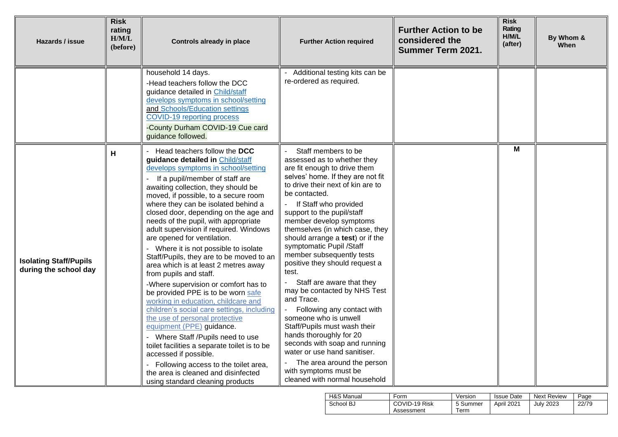| Hazards / issue                                        | <b>Risk</b><br>rating<br>H/M/L<br>(before) | <b>Controls already in place</b>                                                                                                                                                                                                                                                                                                                                                                                                                                                                                                                                                                                                                                                                                                                                                                                                                                                                                                                                                                                                                       | <b>Further Action required</b>                                                                                                                                                                                                                                                                                                                                                                                                                                                                                                                                                                                                                                                                                                                                                                     | <b>Further Action to be</b><br>considered the<br>Summer Term 2021. | <b>Risk</b><br>Rating<br>H/M/L<br>(after) | By Whom &<br><b>When</b> |
|--------------------------------------------------------|--------------------------------------------|--------------------------------------------------------------------------------------------------------------------------------------------------------------------------------------------------------------------------------------------------------------------------------------------------------------------------------------------------------------------------------------------------------------------------------------------------------------------------------------------------------------------------------------------------------------------------------------------------------------------------------------------------------------------------------------------------------------------------------------------------------------------------------------------------------------------------------------------------------------------------------------------------------------------------------------------------------------------------------------------------------------------------------------------------------|----------------------------------------------------------------------------------------------------------------------------------------------------------------------------------------------------------------------------------------------------------------------------------------------------------------------------------------------------------------------------------------------------------------------------------------------------------------------------------------------------------------------------------------------------------------------------------------------------------------------------------------------------------------------------------------------------------------------------------------------------------------------------------------------------|--------------------------------------------------------------------|-------------------------------------------|--------------------------|
|                                                        |                                            | household 14 days.<br>-Head teachers follow the DCC<br>guidance detailed in Child/staff<br>develops symptoms in school/setting<br>and Schools/Education settings<br>COVID-19 reporting process<br>-County Durham COVID-19 Cue card<br>guidance followed.                                                                                                                                                                                                                                                                                                                                                                                                                                                                                                                                                                                                                                                                                                                                                                                               | Additional testing kits can be<br>re-ordered as required.                                                                                                                                                                                                                                                                                                                                                                                                                                                                                                                                                                                                                                                                                                                                          |                                                                    |                                           |                          |
| <b>Isolating Staff/Pupils</b><br>during the school day | H                                          | - Head teachers follow the DCC<br>guidance detailed in Child/staff<br>develops symptoms in school/setting<br>If a pupil/member of staff are<br>awaiting collection, they should be<br>moved, if possible, to a secure room<br>where they can be isolated behind a<br>closed door, depending on the age and<br>needs of the pupil, with appropriate<br>adult supervision if required. Windows<br>are opened for ventilation.<br>- Where it is not possible to isolate<br>Staff/Pupils, they are to be moved to an<br>area which is at least 2 metres away<br>from pupils and staff.<br>-Where supervision or comfort has to<br>be provided PPE is to be worn safe<br>working in education, childcare and<br>children's social care settings, including<br>the use of personal protective<br>equipment (PPE) guidance.<br>- Where Staff / Pupils need to use<br>toilet facilities a separate toilet is to be<br>accessed if possible.<br>Following access to the toilet area,<br>the area is cleaned and disinfected<br>using standard cleaning products | Staff members to be<br>assessed as to whether they<br>are fit enough to drive them<br>selves' home. If they are not fit<br>to drive their next of kin are to<br>be contacted.<br>If Staff who provided<br>support to the pupil/staff<br>member develop symptoms<br>themselves (in which case, they<br>should arrange a test) or if the<br>symptomatic Pupil /Staff<br>member subsequently tests<br>positive they should request a<br>test.<br>Staff are aware that they<br>may be contacted by NHS Test<br>and Trace.<br>Following any contact with<br>someone who is unwell<br>Staff/Pupils must wash their<br>hands thoroughly for 20<br>seconds with soap and running<br>water or use hand sanitiser.<br>- The area around the person<br>with symptoms must be<br>cleaned with normal household |                                                                    | М                                         |                          |

| H&S Manual | Form          | Version  | <b>Issue Date</b> | <b>Next Review</b> | Page  |
|------------|---------------|----------|-------------------|--------------------|-------|
| School BJ  | COVID-19 Risk | 5 Summer | April 2021        | <b>July 2023</b>   | 22/79 |
|            | Assessment    | ⊺erm     |                   |                    |       |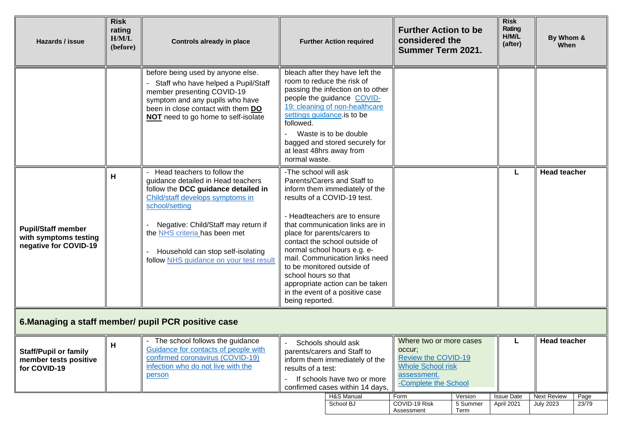| Hazards / issue                                                             | <b>Risk</b><br>rating<br>H/M/L<br>(before) | <b>Controls already in place</b>                                                                                                                                                                                                                                                                                       |                                                                 | <b>Further Action required</b>                                                                                                                                                                                                                                                                                                                                                                       | <b>Further Action to be</b><br>considered the<br>Summer Term 2021.                                                                 |                             | <b>Risk</b><br>Rating<br>H/M/L<br>(after) | By Whom &<br>When                      |               |
|-----------------------------------------------------------------------------|--------------------------------------------|------------------------------------------------------------------------------------------------------------------------------------------------------------------------------------------------------------------------------------------------------------------------------------------------------------------------|-----------------------------------------------------------------|------------------------------------------------------------------------------------------------------------------------------------------------------------------------------------------------------------------------------------------------------------------------------------------------------------------------------------------------------------------------------------------------------|------------------------------------------------------------------------------------------------------------------------------------|-----------------------------|-------------------------------------------|----------------------------------------|---------------|
|                                                                             |                                            | before being used by anyone else.<br>Staff who have helped a Pupil/Staff<br>member presenting COVID-19<br>symptom and any pupils who have<br>been in close contact with them DO<br>NOT need to go home to self-isolate                                                                                                 | followed.<br>normal waste.                                      | bleach after they have left the<br>room to reduce the risk of<br>passing the infection on to other<br>people the guidance COVID-<br>19: cleaning of non-healthcare<br>settings guidance is to be<br>Waste is to be double<br>bagged and stored securely for<br>at least 48hrs away from                                                                                                              |                                                                                                                                    |                             |                                           |                                        |               |
| <b>Pupil/Staff member</b><br>with symptoms testing<br>negative for COVID-19 | H                                          | Head teachers to follow the<br>guidance detailed in Head teachers<br>follow the DCC guidance detailed in<br>Child/staff develops symptoms in<br>school/setting<br>Negative: Child/Staff may return if<br>the NHS criteria has been met<br>Household can stop self-isolating<br>follow NHS guidance on your test result | -The school will ask<br>school hours so that<br>being reported. | Parents/Carers and Staff to<br>inform them immediately of the<br>results of a COVID-19 test.<br>- Headteachers are to ensure<br>that communication links are in<br>place for parents/carers to<br>contact the school outside of<br>normal school hours e.g. e-<br>mail. Communication links need<br>to be monitored outside of<br>appropriate action can be taken<br>in the event of a positive case |                                                                                                                                    |                             |                                           | <b>Head teacher</b>                    |               |
|                                                                             |                                            | 6. Managing a staff member/ pupil PCR positive case                                                                                                                                                                                                                                                                    |                                                                 |                                                                                                                                                                                                                                                                                                                                                                                                      |                                                                                                                                    |                             |                                           |                                        |               |
| <b>Staff/Pupil or family</b><br>member tests positive<br>for COVID-19       | H                                          | - The school follows the guidance<br>Guidance for contacts of people with<br>confirmed coronavirus (COVID-19)<br>infection who do not live with the<br>person                                                                                                                                                          | results of a test:                                              | Schools should ask<br>parents/carers and Staff to<br>inform them immediately of the<br>If schools have two or more<br>confirmed cases within 14 days,                                                                                                                                                                                                                                                | Where two or more cases<br>occur;<br><b>Review the COVID-19</b><br><b>Whole School risk</b><br>assessment.<br>-Complete the School |                             |                                           | <b>Head teacher</b>                    |               |
|                                                                             |                                            |                                                                                                                                                                                                                                                                                                                        |                                                                 | H&S Manual<br>School BJ                                                                                                                                                                                                                                                                                                                                                                              | Form<br>COVID-19 Risk<br>Assessment                                                                                                | Version<br>5 Summer<br>Term | <b>Issue Date</b><br>April 2021           | <b>Next Review</b><br><b>July 2023</b> | Page<br>23/79 |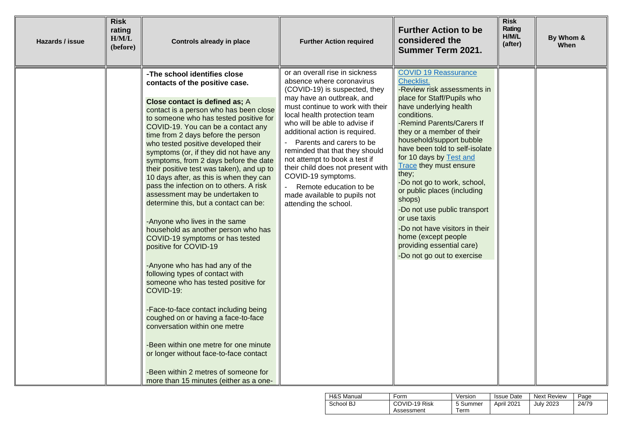| Hazards / issue | <b>Risk</b><br>rating<br>H/M/L<br>(before) | Controls already in place                                                                                                                                                                                                                                                                                                                                                                                                                                                                                                                                                                                                                                                                                                                                                                                                                                                                                                                                                                                                                                                                                                                                    | <b>Further Action required</b>                                                                                                                                                                                                                                                                                                                                                                                                                                                                                    | <b>Further Action to be</b><br>considered the<br>Summer Term 2021.                                                                                                                                                                                                                                                                                                                                                                                                                                                                                                                       | <b>Risk</b><br>Rating<br>H/M/L<br>(after) | By Whom &<br><b>When</b> |
|-----------------|--------------------------------------------|--------------------------------------------------------------------------------------------------------------------------------------------------------------------------------------------------------------------------------------------------------------------------------------------------------------------------------------------------------------------------------------------------------------------------------------------------------------------------------------------------------------------------------------------------------------------------------------------------------------------------------------------------------------------------------------------------------------------------------------------------------------------------------------------------------------------------------------------------------------------------------------------------------------------------------------------------------------------------------------------------------------------------------------------------------------------------------------------------------------------------------------------------------------|-------------------------------------------------------------------------------------------------------------------------------------------------------------------------------------------------------------------------------------------------------------------------------------------------------------------------------------------------------------------------------------------------------------------------------------------------------------------------------------------------------------------|------------------------------------------------------------------------------------------------------------------------------------------------------------------------------------------------------------------------------------------------------------------------------------------------------------------------------------------------------------------------------------------------------------------------------------------------------------------------------------------------------------------------------------------------------------------------------------------|-------------------------------------------|--------------------------|
|                 |                                            | -The school identifies close<br>contacts of the positive case.<br>Close contact is defined as; A<br>contact is a person who has been close<br>to someone who has tested positive for<br>COVID-19. You can be a contact any<br>time from 2 days before the person<br>who tested positive developed their<br>symptoms (or, if they did not have any<br>symptoms, from 2 days before the date<br>their positive test was taken), and up to<br>10 days after, as this is when they can<br>pass the infection on to others. A risk<br>assessment may be undertaken to<br>determine this, but a contact can be:<br>-Anyone who lives in the same<br>household as another person who has<br>COVID-19 symptoms or has tested<br>positive for COVID-19<br>-Anyone who has had any of the<br>following types of contact with<br>someone who has tested positive for<br>COVID-19:<br>-Face-to-face contact including being<br>coughed on or having a face-to-face<br>conversation within one metre<br>-Been within one metre for one minute<br>or longer without face-to-face contact<br>-Been within 2 metres of someone for<br>more than 15 minutes (either as a one- | or an overall rise in sickness<br>absence where coronavirus<br>(COVID-19) is suspected, they<br>may have an outbreak, and<br>must continue to work with their<br>local health protection team<br>who will be able to advise if<br>additional action is required.<br>- Parents and carers to be<br>reminded that that they should<br>not attempt to book a test if<br>their child does not present with<br>COVID-19 symptoms.<br>- Remote education to be<br>made available to pupils not<br>attending the school. | <b>COVID 19 Reassurance</b><br>Checklist.<br>-Review risk assessments in<br>place for Staff/Pupils who<br>have underlying health<br>conditions.<br>-Remind Parents/Carers If<br>they or a member of their<br>household/support bubble<br>have been told to self-isolate<br>for 10 days by Test and<br><b>Trace</b> they must ensure<br>they;<br>-Do not go to work, school,<br>or public places (including<br>shops)<br>-Do not use public transport<br>or use taxis<br>-Do not have visitors in their<br>home (except people<br>providing essential care)<br>-Do not go out to exercise |                                           |                          |

| H&S Manual | Form          | Version  | <b>Issue Date</b> | <b>Next Review</b> | Page  |
|------------|---------------|----------|-------------------|--------------------|-------|
| School BJ  | COVID-19 Risk | 5 Summer | April 2021        | July 2023          | 24/79 |
|            | Assessment    | erm      |                   |                    |       |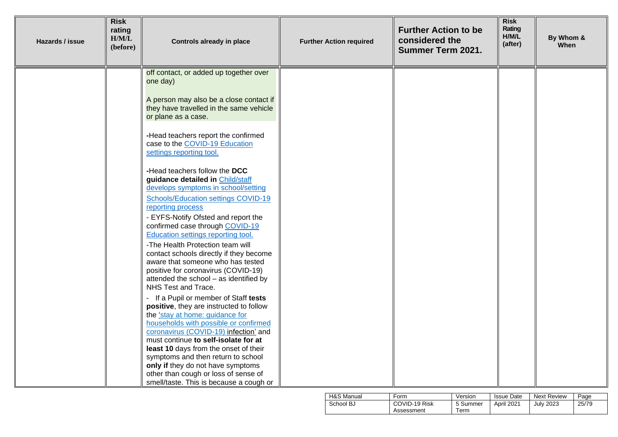| Hazards / issue | <b>Risk</b><br>rating<br>$\mathbf{H} / \mathbf{M} / \mathbf{L}$<br>(before) | <b>Controls already in place</b>                                                                                                                                                                                                                                                                                                                                                                                                                                                                                      | <b>Further Action required</b> | <b>Further Action to be</b><br>considered the<br>Summer Term 2021. | <b>Risk</b><br>Rating<br>H/M/L<br>(after) | By Whom &<br>When |
|-----------------|-----------------------------------------------------------------------------|-----------------------------------------------------------------------------------------------------------------------------------------------------------------------------------------------------------------------------------------------------------------------------------------------------------------------------------------------------------------------------------------------------------------------------------------------------------------------------------------------------------------------|--------------------------------|--------------------------------------------------------------------|-------------------------------------------|-------------------|
|                 |                                                                             | off contact, or added up together over<br>one day)<br>A person may also be a close contact if<br>they have travelled in the same vehicle<br>or plane as a case.<br>-Head teachers report the confirmed<br>case to the COVID-19 Education<br>settings reporting tool.                                                                                                                                                                                                                                                  |                                |                                                                    |                                           |                   |
|                 |                                                                             | -Head teachers follow the DCC<br>guidance detailed in Child/staff<br>develops symptoms in school/setting<br>Schools/Education settings COVID-19<br>reporting process<br><b>EYFS-Notify Ofsted and report the</b><br>confirmed case through COVID-19<br>Education settings reporting tool.<br>-The Health Protection team will<br>contact schools directly if they become<br>aware that someone who has tested<br>positive for coronavirus (COVID-19)<br>attended the school - as identified by<br>NHS Test and Trace. |                                |                                                                    |                                           |                   |
|                 |                                                                             | - If a Pupil or member of Staff tests<br>positive, they are instructed to follow<br>the 'stay at home: guidance for<br>households with possible or confirmed<br>coronavirus (COVID-19) infection' and<br>must continue to self-isolate for at<br>least 10 days from the onset of their<br>symptoms and then return to school<br>only if they do not have symptoms<br>other than cough or loss of sense of<br>smell/taste. This is because a cough or                                                                  |                                |                                                                    |                                           |                   |

| H&S Manual | Form          | Version  | <b>Issue Date</b> | Next Review      | Page  |
|------------|---------------|----------|-------------------|------------------|-------|
| School BJ  | COVID-19 Risk | 5 Summer | April 2021        | <b>July 2023</b> | 25/79 |
|            | Assessment    | erm"     |                   |                  |       |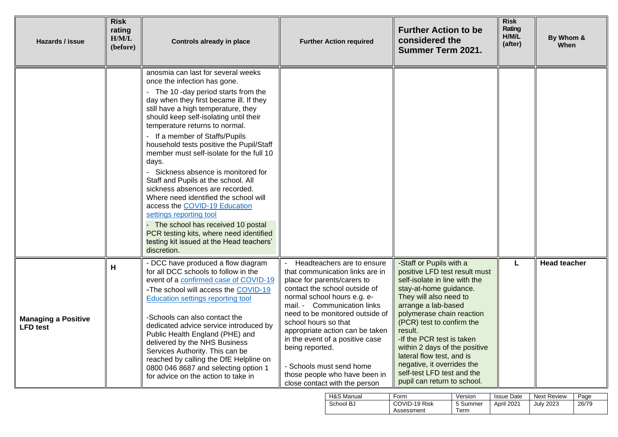| Hazards / issue                               | <b>Risk</b><br>rating<br>H/M/L<br>(before) | Controls already in place                                                                                                                                                                                                                                                                                                                                                                                                                                                                                                                                                                                                                                                                                                                                                      | <b>Further Action required</b>                                                                                                                                                                                                                                                                                                                                                                                                                | <b>Further Action to be</b><br>considered the<br>Summer Term 2021.                                                                                                                                                                                                                                                                                                                                                              | <b>Risk</b><br>Rating<br>H/M/L<br>(after) | By Whom &<br><b>When</b> |
|-----------------------------------------------|--------------------------------------------|--------------------------------------------------------------------------------------------------------------------------------------------------------------------------------------------------------------------------------------------------------------------------------------------------------------------------------------------------------------------------------------------------------------------------------------------------------------------------------------------------------------------------------------------------------------------------------------------------------------------------------------------------------------------------------------------------------------------------------------------------------------------------------|-----------------------------------------------------------------------------------------------------------------------------------------------------------------------------------------------------------------------------------------------------------------------------------------------------------------------------------------------------------------------------------------------------------------------------------------------|---------------------------------------------------------------------------------------------------------------------------------------------------------------------------------------------------------------------------------------------------------------------------------------------------------------------------------------------------------------------------------------------------------------------------------|-------------------------------------------|--------------------------|
|                                               |                                            | anosmia can last for several weeks<br>once the infection has gone.<br>- The 10 -day period starts from the<br>day when they first became ill. If they<br>still have a high temperature, they<br>should keep self-isolating until their<br>temperature returns to normal.<br>- If a member of Staffs/Pupils<br>household tests positive the Pupil/Staff<br>member must self-isolate for the full 10<br>days.<br>- Sickness absence is monitored for<br>Staff and Pupils at the school. All<br>sickness absences are recorded.<br>Where need identified the school will<br>access the COVID-19 Education<br>settings reporting tool<br>- The school has received 10 postal<br>PCR testing kits, where need identified<br>testing kit issued at the Head teachers'<br>discretion. |                                                                                                                                                                                                                                                                                                                                                                                                                                               |                                                                                                                                                                                                                                                                                                                                                                                                                                 |                                           |                          |
| <b>Managing a Positive</b><br><b>LFD</b> test | H                                          | - DCC have produced a flow diagram<br>for all DCC schools to follow in the<br>event of a confirmed case of COVID-19<br>-The school will access the COVID-19<br>Education settings reporting tool<br>-Schools can also contact the<br>dedicated advice service introduced by<br>Public Health England (PHE) and<br>delivered by the NHS Business<br>Services Authority. This can be<br>reached by calling the DfE Helpline on<br>0800 046 8687 and selecting option 1<br>for advice on the action to take in                                                                                                                                                                                                                                                                    | Headteachers are to ensure<br>that communication links are in<br>place for parents/carers to<br>contact the school outside of<br>normal school hours e.g. e-<br>mail. - Communication links<br>need to be monitored outside of<br>school hours so that<br>appropriate action can be taken<br>in the event of a positive case<br>being reported.<br>- Schools must send home<br>those people who have been in<br>close contact with the person | -Staff or Pupils with a<br>positive LFD test result must<br>self-isolate in line with the<br>stay-at-home guidance.<br>They will also need to<br>arrange a lab-based<br>polymerase chain reaction<br>(PCR) test to confirm the<br>result.<br>-If the PCR test is taken<br>within 2 days of the positive<br>lateral flow test, and is<br>negative, it overrides the<br>self-test LFD test and the<br>pupil can return to school. | $\mathbf{L}$                              | <b>Head teacher</b>      |

| H&S Manual | Form                        | Version         | <b>Issue Date</b> | <b>Next Review</b> | Page  |
|------------|-----------------------------|-----------------|-------------------|--------------------|-------|
| School BJ  | COVID-19 Risk<br>Assessment | 5 Summer<br>erm | April 2021        | <b>July 2023</b>   | 26/79 |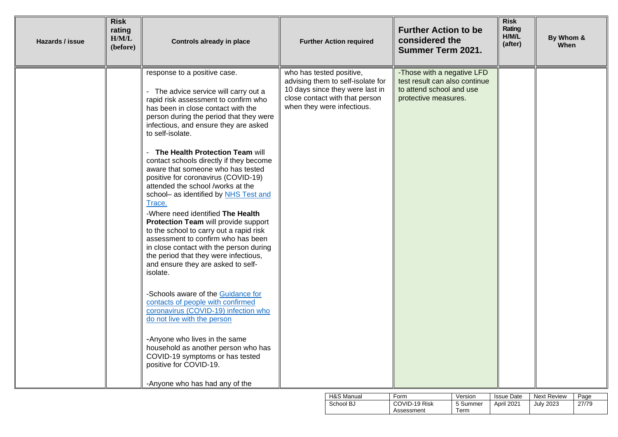| Hazards / issue | <b>Risk</b><br>rating<br>H/M/L<br>(before) | Controls already in place                                                                                                                                                                                                                                                                                                                                                                                                                                                                                                                                                                                                                                                                                                                                                                                                                                                                                                                                             | <b>Further Action required</b>                                                                                                                                   | <b>Further Action to be</b><br>considered the<br>Summer Term 2021.                                              | <b>Risk</b><br>Rating<br>H/M/L<br>(after) | By Whom &<br>When |
|-----------------|--------------------------------------------|-----------------------------------------------------------------------------------------------------------------------------------------------------------------------------------------------------------------------------------------------------------------------------------------------------------------------------------------------------------------------------------------------------------------------------------------------------------------------------------------------------------------------------------------------------------------------------------------------------------------------------------------------------------------------------------------------------------------------------------------------------------------------------------------------------------------------------------------------------------------------------------------------------------------------------------------------------------------------|------------------------------------------------------------------------------------------------------------------------------------------------------------------|-----------------------------------------------------------------------------------------------------------------|-------------------------------------------|-------------------|
|                 |                                            | response to a positive case.<br>- The advice service will carry out a<br>rapid risk assessment to confirm who<br>has been in close contact with the<br>person during the period that they were<br>infectious, and ensure they are asked<br>to self-isolate.<br>- The Health Protection Team will<br>contact schools directly if they become<br>aware that someone who has tested<br>positive for coronavirus (COVID-19)<br>attended the school /works at the<br>school- as identified by NHS Test and<br>Trace.<br>-Where need identified The Health<br>Protection Team will provide support<br>to the school to carry out a rapid risk<br>assessment to confirm who has been<br>in close contact with the person during<br>the period that they were infectious,<br>and ensure they are asked to self-<br>isolate.<br>-Schools aware of the Guidance for<br>contacts of people with confirmed<br>coronavirus (COVID-19) infection who<br>do not live with the person | who has tested positive,<br>advising them to self-isolate for<br>10 days since they were last in<br>close contact with that person<br>when they were infectious. | -Those with a negative LFD<br>test result can also continue<br>to attend school and use<br>protective measures. |                                           |                   |
|                 |                                            | -Anyone who lives in the same<br>household as another person who has<br>COVID-19 symptoms or has tested<br>positive for COVID-19.<br>-Anyone who has had any of the                                                                                                                                                                                                                                                                                                                                                                                                                                                                                                                                                                                                                                                                                                                                                                                                   |                                                                                                                                                                  |                                                                                                                 |                                           |                   |

| H&S Manual | Form          | Version  | <b>Issue Date</b> | <b>Next Review</b> | $P$ aqe |
|------------|---------------|----------|-------------------|--------------------|---------|
| School BJ  | COVID-19 Risk | 5 Summer | April 2021        | <b>July 2023</b>   | 27/79   |
|            | Assessment    | erm      |                   |                    |         |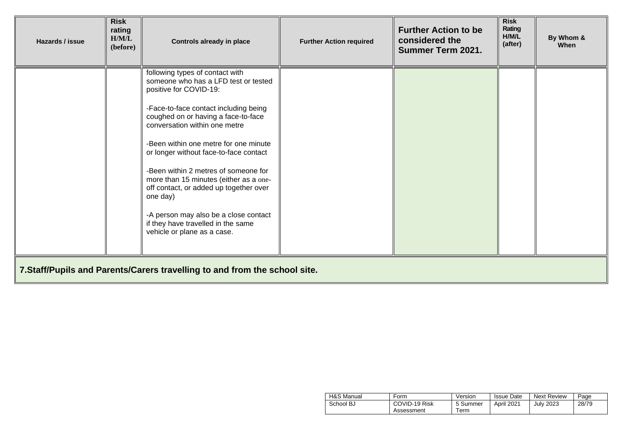| Hazards / issue | <b>Risk</b><br>rating<br>H/M/L<br>(before)                                 | Controls already in place                                                                                                            | <b>Further Action required</b> | <b>Further Action to be</b><br>considered the<br>Summer Term 2021. | <b>Risk</b><br>Rating<br>H/M/L<br>(after) | By Whom &<br>When |  |  |
|-----------------|----------------------------------------------------------------------------|--------------------------------------------------------------------------------------------------------------------------------------|--------------------------------|--------------------------------------------------------------------|-------------------------------------------|-------------------|--|--|
|                 |                                                                            | following types of contact with<br>someone who has a LFD test or tested<br>positive for COVID-19:                                    |                                |                                                                    |                                           |                   |  |  |
|                 |                                                                            | -Face-to-face contact including being<br>coughed on or having a face-to-face<br>conversation within one metre                        |                                |                                                                    |                                           |                   |  |  |
|                 |                                                                            | -Been within one metre for one minute<br>or longer without face-to-face contact                                                      |                                |                                                                    |                                           |                   |  |  |
|                 |                                                                            | -Been within 2 metres of someone for<br>more than 15 minutes (either as a one-<br>off contact, or added up together over<br>one day) |                                |                                                                    |                                           |                   |  |  |
|                 |                                                                            | -A person may also be a close contact<br>if they have travelled in the same<br>vehicle or plane as a case.                           |                                |                                                                    |                                           |                   |  |  |
|                 | 7. Staff/Pupils and Parents/Carers travelling to and from the school site. |                                                                                                                                      |                                |                                                                    |                                           |                   |  |  |

| H&S Manual | Form          | Version  | <b>Issue Date</b> | <b>Next Review</b> | Page  |
|------------|---------------|----------|-------------------|--------------------|-------|
| School BJ  | COVID-19 Risk | 5 Summer | April 2021        | <b>July 2023</b>   | 28/79 |
|            | Assessment    | erm      |                   |                    |       |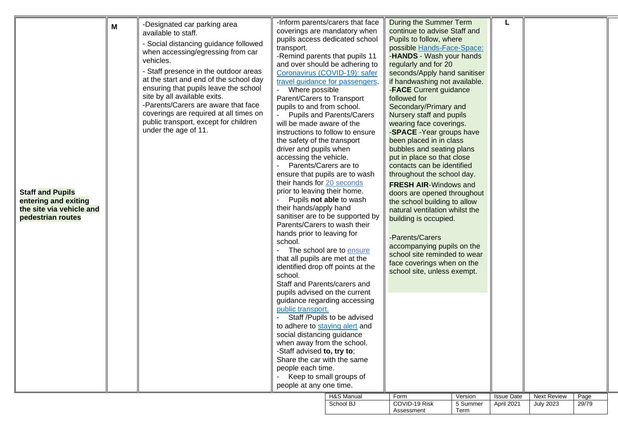| School BJ<br>COVID-19 Risk<br>April 2021<br>29/79<br>5 Summer<br><b>July 2023</b> | <b>Staff and Pupils</b><br>entering and exiting<br>the site via vehicle and<br>pedestrian routes | Μ | -Designated car parking area<br>available to staff.<br>- Social distancing guidance followed<br>when accessing/egressing from car<br>vehicles.<br>- Staff presence in the outdoor areas<br>at the start and end of the school day<br>ensuring that pupils leave the school<br>site by all available exits.<br>-Parents/Carers are aware that face<br>coverings are required at all times on<br>public transport, except for children<br>under the age of 11. | transport.<br>Where possible<br>Parent/Carers to Transport<br>pupils to and from school.<br>will be made aware of the<br>the safety of the transport<br>driver and pupils when<br>accessing the vehicle.<br>Parents/Carers are to<br>their hands for 20 seconds<br>prior to leaving their home.<br>their hands/apply hand<br>Parents/Carers to wash their<br>hands prior to leaving for<br>school.<br>that all pupils are met at the<br>school.<br>Staff and Parents/carers and<br>pupils advised on the current<br>public transport.<br>to adhere to staying alert and<br>social distancing guidance<br>when away from the school.<br>-Staff advised to, try to;<br>Share the car with the same<br>people each time.<br>people at any one time. | -Inform parents/carers that face<br>coverings are mandatory when<br>pupils access dedicated school<br>-Remind parents that pupils 11<br>and over should be adhering to<br>Coronavirus (COVID-19): safer<br>travel guidance for passengers.<br><b>Pupils and Parents/Carers</b><br>instructions to follow to ensure<br>ensure that pupils are to wash<br>Pupils not able to wash<br>sanitiser are to be supported by<br>The school are to ensure<br>identified drop off points at the<br>guidance regarding accessing<br>Staff /Pupils to be advised<br>Keep to small groups of<br>H&S Manual | During the Summer Term<br>continue to advise Staff and<br>Pupils to follow, where<br>possible Hands-Face-Space:<br>-HANDS - Wash your hands<br>regularly and for 20<br>seconds/Apply hand sanitiser<br>if handwashing not available.<br>-FACE Current guidance<br>followed for<br>Secondary/Primary and<br>Nursery staff and pupils<br>wearing face coverings.<br>-SPACE - Year groups have<br>been placed in in class<br>bubbles and seating plans<br>put in place so that close<br>contacts can be identified<br>throughout the school day.<br><b>FRESH AIR-Windows and</b><br>doors are opened throughout<br>the school building to allow<br>natural ventilation whilst the<br>building is occupied.<br>-Parents/Carers<br>accompanying pupils on the<br>school site reminded to wear<br>face coverings when on the<br>school site, unless exempt.<br>Form | Version | <b>Issue Date</b> | <b>Next Review</b> | Page |
|-----------------------------------------------------------------------------------|--------------------------------------------------------------------------------------------------|---|--------------------------------------------------------------------------------------------------------------------------------------------------------------------------------------------------------------------------------------------------------------------------------------------------------------------------------------------------------------------------------------------------------------------------------------------------------------|--------------------------------------------------------------------------------------------------------------------------------------------------------------------------------------------------------------------------------------------------------------------------------------------------------------------------------------------------------------------------------------------------------------------------------------------------------------------------------------------------------------------------------------------------------------------------------------------------------------------------------------------------------------------------------------------------------------------------------------------------|----------------------------------------------------------------------------------------------------------------------------------------------------------------------------------------------------------------------------------------------------------------------------------------------------------------------------------------------------------------------------------------------------------------------------------------------------------------------------------------------------------------------------------------------------------------------------------------------|---------------------------------------------------------------------------------------------------------------------------------------------------------------------------------------------------------------------------------------------------------------------------------------------------------------------------------------------------------------------------------------------------------------------------------------------------------------------------------------------------------------------------------------------------------------------------------------------------------------------------------------------------------------------------------------------------------------------------------------------------------------------------------------------------------------------------------------------------------------|---------|-------------------|--------------------|------|
|                                                                                   |                                                                                                  |   |                                                                                                                                                                                                                                                                                                                                                                                                                                                              |                                                                                                                                                                                                                                                                                                                                                                                                                                                                                                                                                                                                                                                                                                                                                  |                                                                                                                                                                                                                                                                                                                                                                                                                                                                                                                                                                                              | Assessment                                                                                                                                                                                                                                                                                                                                                                                                                                                                                                                                                                                                                                                                                                                                                                                                                                                    | Term    |                   |                    |      |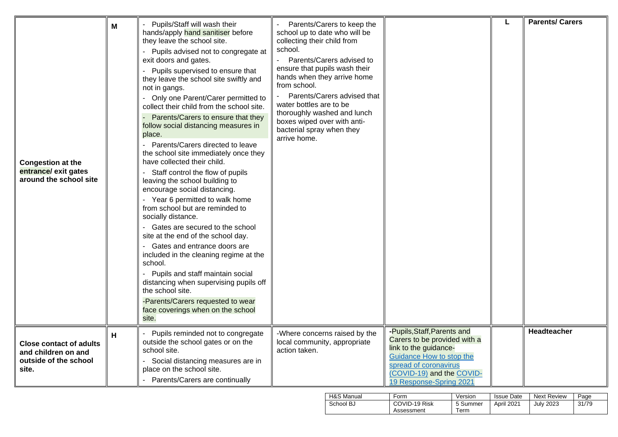| <b>Congestion at the</b><br>entrance/ exit gates<br>around the school site              | M | Pupils/Staff will wash their<br>hands/apply hand sanitiser before<br>they leave the school site.<br>Pupils advised not to congregate at<br>exit doors and gates.<br>Pupils supervised to ensure that<br>they leave the school site swiftly and<br>not in gangs.<br>Only one Parent/Carer permitted to<br>collect their child from the school site.<br>Parents/Carers to ensure that they<br>follow social distancing measures in<br>place.<br>Parents/Carers directed to leave<br>the school site immediately once they<br>have collected their child.<br>Staff control the flow of pupils<br>leaving the school building to<br>encourage social distancing.<br>Year 6 permitted to walk home<br>from school but are reminded to<br>socially distance.<br>Gates are secured to the school<br>site at the end of the school day.<br>Gates and entrance doors are<br>included in the cleaning regime at the<br>school.<br>Pupils and staff maintain social<br>distancing when supervising pupils off<br>the school site.<br>-Parents/Carers requested to wear<br>face coverings when on the school<br>site. | Parents/Carers to keep the<br>school up to date who will be<br>collecting their child from<br>school.<br>Parents/Carers advised to<br>$\mathbf{r}$<br>ensure that pupils wash their<br>hands when they arrive home<br>from school.<br>Parents/Carers advised that<br>water bottles are to be<br>thoroughly washed and lunch<br>boxes wiped over with anti-<br>bacterial spray when they<br>arrive home. |                                                                                                                                                                                                   | L | <b>Parents/ Carers</b> |
|-----------------------------------------------------------------------------------------|---|-----------------------------------------------------------------------------------------------------------------------------------------------------------------------------------------------------------------------------------------------------------------------------------------------------------------------------------------------------------------------------------------------------------------------------------------------------------------------------------------------------------------------------------------------------------------------------------------------------------------------------------------------------------------------------------------------------------------------------------------------------------------------------------------------------------------------------------------------------------------------------------------------------------------------------------------------------------------------------------------------------------------------------------------------------------------------------------------------------------|---------------------------------------------------------------------------------------------------------------------------------------------------------------------------------------------------------------------------------------------------------------------------------------------------------------------------------------------------------------------------------------------------------|---------------------------------------------------------------------------------------------------------------------------------------------------------------------------------------------------|---|------------------------|
| <b>Close contact of adults</b><br>and children on and<br>outside of the school<br>site. | H | Pupils reminded not to congregate<br>outside the school gates or on the<br>school site.<br>Social distancing measures are in<br>place on the school site.<br>Parents/Carers are continually                                                                                                                                                                                                                                                                                                                                                                                                                                                                                                                                                                                                                                                                                                                                                                                                                                                                                                               | -Where concerns raised by the<br>local community, appropriate<br>action taken.                                                                                                                                                                                                                                                                                                                          | -Pupils, Staff, Parents and<br>Carers to be provided with a<br>link to the guidance-<br>Guidance How to stop the<br>spread of coronavirus<br>(COVID-19) and the COVID-<br>19 Response-Spring 2021 |   | Headteacher            |

| H&S Manual | Form                        | Version         | <b>Issue Date</b> | <b>Next Review</b> | Page  |
|------------|-----------------------------|-----------------|-------------------|--------------------|-------|
| School BJ  | COVID-19 Risk<br>Assessment | 5 Summer<br>erm | April 2021        | <b>July 2023</b>   | 31/79 |
|            |                             |                 |                   |                    |       |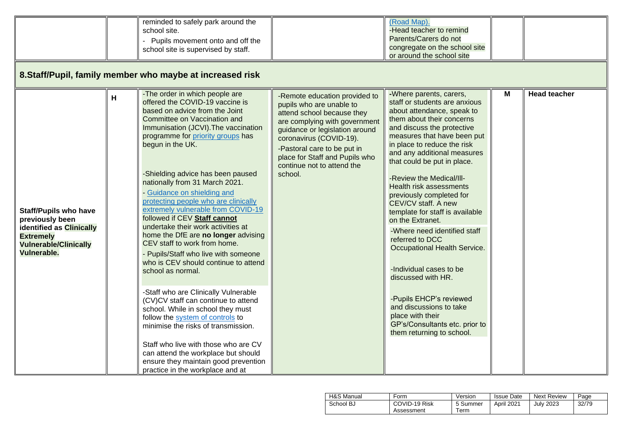|                                                                                                                                                       |   | reminded to safely park around the<br>school site.<br>- Pupils movement onto and off the<br>school site is supervised by staff.<br>8. Staff/Pupil, family member who maybe at increased risk                                                                                                                                                                                                                                                                                                                                                                                                                                                                                                                                                                                                                                                                                                                                                                                                                                              |                                                                                                                                                                                                                                                                                                 | (Road Map).<br>-Head teacher to remind<br>Parents/Carers do not<br>congregate on the school site<br>or around the school site                                                                                                                                                                                                                                                                                                                                                                                                                                                                                                                                                                                               |   |                     |
|-------------------------------------------------------------------------------------------------------------------------------------------------------|---|-------------------------------------------------------------------------------------------------------------------------------------------------------------------------------------------------------------------------------------------------------------------------------------------------------------------------------------------------------------------------------------------------------------------------------------------------------------------------------------------------------------------------------------------------------------------------------------------------------------------------------------------------------------------------------------------------------------------------------------------------------------------------------------------------------------------------------------------------------------------------------------------------------------------------------------------------------------------------------------------------------------------------------------------|-------------------------------------------------------------------------------------------------------------------------------------------------------------------------------------------------------------------------------------------------------------------------------------------------|-----------------------------------------------------------------------------------------------------------------------------------------------------------------------------------------------------------------------------------------------------------------------------------------------------------------------------------------------------------------------------------------------------------------------------------------------------------------------------------------------------------------------------------------------------------------------------------------------------------------------------------------------------------------------------------------------------------------------------|---|---------------------|
| <b>Staff/Pupils who have</b><br>previously been<br>identified as Clinically<br><b>Extremely</b><br><b>Vulnerable/Clinically</b><br><b>Vulnerable.</b> | H | -The order in which people are<br>offered the COVID-19 vaccine is<br>based on advice from the Joint<br>Committee on Vaccination and<br>Immunisation (JCVI). The vaccination<br>programme for priority groups has<br>begun in the UK.<br>-Shielding advice has been paused<br>nationally from 31 March 2021.<br><b>Guidance on shielding and</b><br>protecting people who are clinically<br>extremely vulnerable from COVID-19<br>followed if CEV Staff cannot<br>undertake their work activities at<br>home the DfE are no longer advising<br>CEV staff to work from home.<br>- Pupils/Staff who live with someone<br>who is CEV should continue to attend<br>school as normal.<br>-Staff who are Clinically Vulnerable<br>(CV)CV staff can continue to attend<br>school. While in school they must<br>follow the system of controls to<br>minimise the risks of transmission.<br>Staff who live with those who are CV<br>can attend the workplace but should<br>ensure they maintain good prevention<br>practice in the workplace and at | -Remote education provided to<br>pupils who are unable to<br>attend school because they<br>are complying with government<br>guidance or legislation around<br>coronavirus (COVID-19).<br>-Pastoral care to be put in<br>place for Staff and Pupils who<br>continue not to attend the<br>school. | -Where parents, carers,<br>staff or students are anxious<br>about attendance, speak to<br>them about their concerns<br>and discuss the protective<br>measures that have been put<br>in place to reduce the risk<br>and any additional measures<br>that could be put in place.<br>-Review the Medical/III-<br>Health risk assessments<br>previously completed for<br>CEV/CV staff. A new<br>template for staff is available<br>on the Extranet.<br>-Where need identified staff<br>referred to DCC<br>Occupational Health Service.<br>-Individual cases to be<br>discussed with HR.<br>-Pupils EHCP's reviewed<br>and discussions to take<br>place with their<br>GP's/Consultants etc. prior to<br>them returning to school. | м | <b>Head teacher</b> |

| H&S Manual | Form          | √ersion  | <b>Issue Date</b> | <b>Next Review</b> | Page  |
|------------|---------------|----------|-------------------|--------------------|-------|
| School BJ  | COVID-19 Risk | 5 Summer | April 2021        | Julv 2023          | 32/79 |
|            | Assessment    | erm      |                   |                    |       |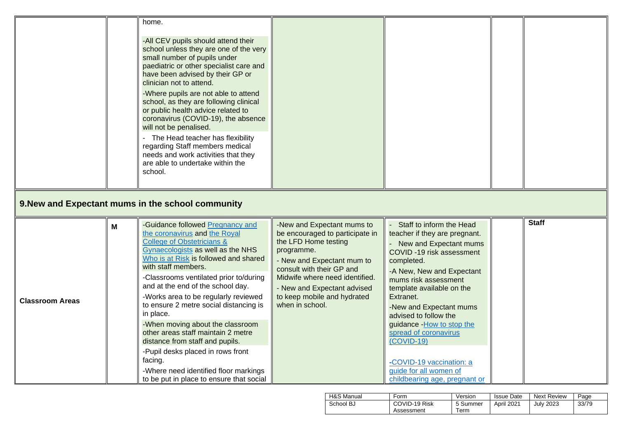|                        |   | home.<br>-All CEV pupils should attend their<br>school unless they are one of the very<br>small number of pupils under<br>paediatric or other specialist care and<br>have been advised by their GP or<br>clinician not to attend.<br>-Where pupils are not able to attend<br>school, as they are following clinical<br>or public health advice related to<br>coronavirus (COVID-19), the absence<br>will not be penalised.<br>The Head teacher has flexibility<br>regarding Staff members medical<br>needs and work activities that they<br>are able to undertake within the<br>school. |                                                                                                                                                                                                                                                                                   |                                                                                                                                                                                                                                                                                                                                                                                     |              |
|------------------------|---|-----------------------------------------------------------------------------------------------------------------------------------------------------------------------------------------------------------------------------------------------------------------------------------------------------------------------------------------------------------------------------------------------------------------------------------------------------------------------------------------------------------------------------------------------------------------------------------------|-----------------------------------------------------------------------------------------------------------------------------------------------------------------------------------------------------------------------------------------------------------------------------------|-------------------------------------------------------------------------------------------------------------------------------------------------------------------------------------------------------------------------------------------------------------------------------------------------------------------------------------------------------------------------------------|--------------|
|                        |   | 9. New and Expectant mums in the school community                                                                                                                                                                                                                                                                                                                                                                                                                                                                                                                                       |                                                                                                                                                                                                                                                                                   |                                                                                                                                                                                                                                                                                                                                                                                     |              |
| <b>Classroom Areas</b> | М | -Guidance followed Pregnancy and<br>the coronavirus and the Royal<br><b>College of Obstetricians &amp;</b><br>Gynaecologists as well as the NHS<br>Who is at Risk is followed and shared<br>with staff members.<br>-Classrooms ventilated prior to/during<br>and at the end of the school day.<br>-Works area to be regularly reviewed<br>to ensure 2 metre social distancing is<br>in place.<br>-When moving about the classroom<br>other areas staff maintain 2 metre<br>distance from staff and pupils.<br>-Pupil desks placed in rows front<br>facing.                              | -New and Expectant mums to<br>be encouraged to participate in<br>the LFD Home testing<br>programme.<br>- New and Expectant mum to<br>consult with their GP and<br>Midwife where need identified.<br>- New and Expectant advised<br>to keep mobile and hydrated<br>when in school. | Staff to inform the Head<br>teacher if they are pregnant.<br>New and Expectant mums<br>COVID-19 risk assessment<br>completed.<br>-A New, New and Expectant<br>mums risk assessment<br>template available on the<br>Extranet.<br>-New and Expectant mums<br>advised to follow the<br>guidance - How to stop the<br>spread of coronavirus<br>$(COVID-19)$<br>-COVID-19 vaccination: a | <b>Staff</b> |
|                        |   | -Where need identified floor markings<br>to be put in place to ensure that social                                                                                                                                                                                                                                                                                                                                                                                                                                                                                                       |                                                                                                                                                                                                                                                                                   | guide for all women of<br>childbearing age, pregnant or                                                                                                                                                                                                                                                                                                                             |              |

| H&S Manual | Form          | Version  | <b>Issue Date</b> | Next Review      | Page  |
|------------|---------------|----------|-------------------|------------------|-------|
| School BJ  | COVID-19 Risk | 5 Summer | April 2021        | <b>July 2023</b> | 33/79 |
|            | Assessment    | erm      |                   |                  |       |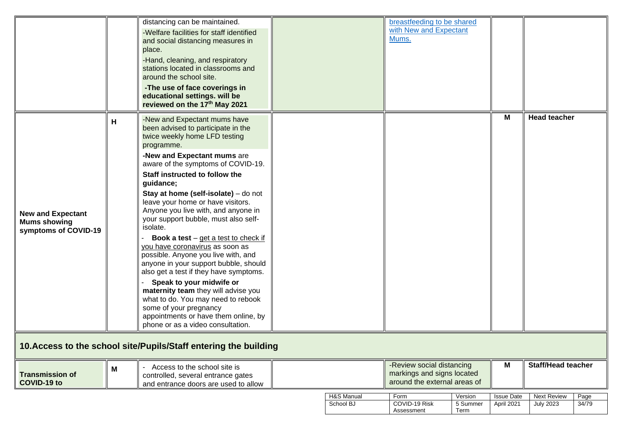|                          |   | distancing can be maintained.                                                    |            | breastfeeding to be shared   |                  |                   |                           |       |
|--------------------------|---|----------------------------------------------------------------------------------|------------|------------------------------|------------------|-------------------|---------------------------|-------|
|                          |   | -Welfare facilities for staff identified                                         |            | with New and Expectant       |                  |                   |                           |       |
|                          |   | and social distancing measures in                                                |            | Mums.                        |                  |                   |                           |       |
|                          |   | place.                                                                           |            |                              |                  |                   |                           |       |
|                          |   | -Hand, cleaning, and respiratory                                                 |            |                              |                  |                   |                           |       |
|                          |   | stations located in classrooms and                                               |            |                              |                  |                   |                           |       |
|                          |   | around the school site.                                                          |            |                              |                  |                   |                           |       |
|                          |   | -The use of face coverings in<br>educational settings. will be                   |            |                              |                  |                   |                           |       |
|                          |   | reviewed on the 17th May 2021                                                    |            |                              |                  |                   |                           |       |
|                          |   |                                                                                  |            |                              |                  | M                 | <b>Head teacher</b>       |       |
|                          | H | -New and Expectant mums have                                                     |            |                              |                  |                   |                           |       |
|                          |   | been advised to participate in the<br>twice weekly home LFD testing              |            |                              |                  |                   |                           |       |
|                          |   | programme.                                                                       |            |                              |                  |                   |                           |       |
|                          |   | -New and Expectant mums are                                                      |            |                              |                  |                   |                           |       |
|                          |   | aware of the symptoms of COVID-19.                                               |            |                              |                  |                   |                           |       |
|                          |   | Staff instructed to follow the<br>guidance;                                      |            |                              |                  |                   |                           |       |
|                          |   | Stay at home (self-isolate) - do not                                             |            |                              |                  |                   |                           |       |
|                          |   | leave your home or have visitors.                                                |            |                              |                  |                   |                           |       |
| <b>New and Expectant</b> |   | Anyone you live with, and anyone in                                              |            |                              |                  |                   |                           |       |
| <b>Mums showing</b>      |   | your support bubble, must also self-<br>isolate.                                 |            |                              |                  |                   |                           |       |
| symptoms of COVID-19     |   |                                                                                  |            |                              |                  |                   |                           |       |
|                          |   | <b>Book a test</b> $-$ get a test to check if<br>you have coronavirus as soon as |            |                              |                  |                   |                           |       |
|                          |   | possible. Anyone you live with, and                                              |            |                              |                  |                   |                           |       |
|                          |   | anyone in your support bubble, should                                            |            |                              |                  |                   |                           |       |
|                          |   | also get a test if they have symptoms.                                           |            |                              |                  |                   |                           |       |
|                          |   | Speak to your midwife or                                                         |            |                              |                  |                   |                           |       |
|                          |   | maternity team they will advise you                                              |            |                              |                  |                   |                           |       |
|                          |   | what to do. You may need to rebook<br>some of your pregnancy                     |            |                              |                  |                   |                           |       |
|                          |   | appointments or have them online, by                                             |            |                              |                  |                   |                           |       |
|                          |   | phone or as a video consultation.                                                |            |                              |                  |                   |                           |       |
|                          |   |                                                                                  |            |                              |                  |                   |                           |       |
|                          |   | 10. Access to the school site/Pupils/Staff entering the building                 |            |                              |                  |                   |                           |       |
|                          | M | - Access to the school site is                                                   |            | -Review social distancing    |                  | M                 | <b>Staff/Head teacher</b> |       |
| <b>Transmission of</b>   |   | controlled, several entrance gates                                               |            | markings and signs located   |                  |                   |                           |       |
| COVID-19 to              |   | and entrance doors are used to allow                                             |            | around the external areas of |                  |                   |                           |       |
|                          |   |                                                                                  | H&S Manual | Form                         | Version          | <b>Issue Date</b> | <b>Next Review</b>        | Page  |
|                          |   |                                                                                  | School BJ  | COVID-19 Risk<br>Assessment  | 5 Summer<br>Term | April 2021        | <b>July 2023</b>          | 34/79 |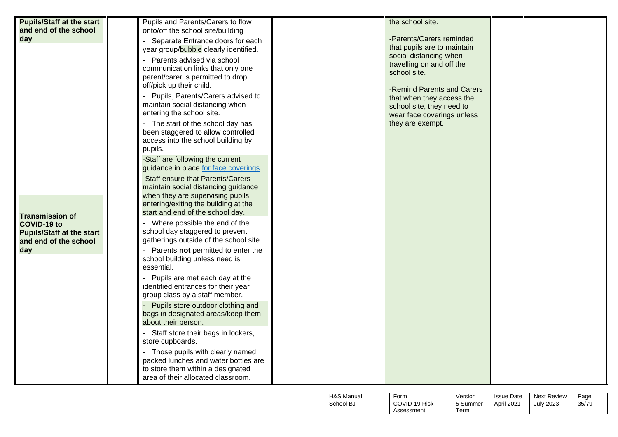| <b>Pupils/Staff at the start</b><br>and end of the school<br>day<br><b>Transmission of</b><br>COVID-19 to<br><b>Pupils/Staff at the start</b><br>and end of the school<br>day | Pupils and Parents/Carers to flow<br>onto/off the school site/building<br>Separate Entrance doors for each<br>year group/bubble clearly identified.<br>- Parents advised via school<br>communication links that only one<br>parent/carer is permitted to drop<br>off/pick up their child.<br>- Pupils, Parents/Carers advised to<br>maintain social distancing when<br>entering the school site.<br>The start of the school day has<br>been staggered to allow controlled<br>access into the school building by<br>pupils.<br>-Staff are following the current<br>guidance in place for face coverings.<br>-Staff ensure that Parents/Carers<br>maintain social distancing guidance<br>when they are supervising pupils<br>entering/exiting the building at the<br>start and end of the school day.<br>- Where possible the end of the<br>school day staggered to prevent<br>gatherings outside of the school site.<br>- Parents not permitted to enter the<br>school building unless need is<br>essential.<br>- Pupils are met each day at the<br>identified entrances for their year<br>group class by a staff member.<br>- Pupils store outdoor clothing and<br>bags in designated areas/keep them<br>about their person.<br>- Staff store their bags in lockers,<br>store cupboards.<br>Those pupils with clearly named<br>packed lunches and water bottles are<br>to store them within a designated<br>area of their allocated classroom. |  | the school site.<br>-Parents/Carers reminded<br>that pupils are to maintain<br>social distancing when<br>travelling on and off the<br>school site.<br>-Remind Parents and Carers<br>that when they access the<br>school site, they need to<br>wear face coverings unless<br>they are exempt. |  |  |
|-------------------------------------------------------------------------------------------------------------------------------------------------------------------------------|------------------------------------------------------------------------------------------------------------------------------------------------------------------------------------------------------------------------------------------------------------------------------------------------------------------------------------------------------------------------------------------------------------------------------------------------------------------------------------------------------------------------------------------------------------------------------------------------------------------------------------------------------------------------------------------------------------------------------------------------------------------------------------------------------------------------------------------------------------------------------------------------------------------------------------------------------------------------------------------------------------------------------------------------------------------------------------------------------------------------------------------------------------------------------------------------------------------------------------------------------------------------------------------------------------------------------------------------------------------------------------------------------------------------------------------------|--|----------------------------------------------------------------------------------------------------------------------------------------------------------------------------------------------------------------------------------------------------------------------------------------------|--|--|
|-------------------------------------------------------------------------------------------------------------------------------------------------------------------------------|------------------------------------------------------------------------------------------------------------------------------------------------------------------------------------------------------------------------------------------------------------------------------------------------------------------------------------------------------------------------------------------------------------------------------------------------------------------------------------------------------------------------------------------------------------------------------------------------------------------------------------------------------------------------------------------------------------------------------------------------------------------------------------------------------------------------------------------------------------------------------------------------------------------------------------------------------------------------------------------------------------------------------------------------------------------------------------------------------------------------------------------------------------------------------------------------------------------------------------------------------------------------------------------------------------------------------------------------------------------------------------------------------------------------------------------------|--|----------------------------------------------------------------------------------------------------------------------------------------------------------------------------------------------------------------------------------------------------------------------------------------------|--|--|

| H&S Manual | Form          | Version  | <b>Issue Date</b> | <b>Next Review</b> | Page  |
|------------|---------------|----------|-------------------|--------------------|-------|
| School BJ  | COVID-19 Risk | 5 Summer | April 2021        | <b>July 2023</b>   | 35/79 |
|            | Assessment    | ™erm     |                   |                    |       |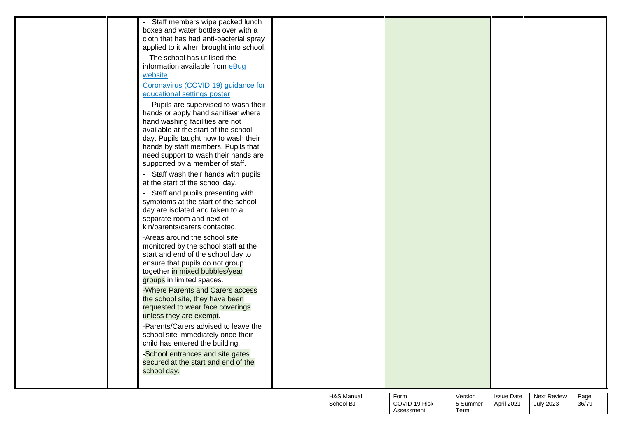| school day. | - Staff members wipe packed lunch<br>boxes and water bottles over with a<br>cloth that has had anti-bacterial spray<br>applied to it when brought into school.<br>- The school has utilised the<br>information available from eBug<br>website.<br>Coronavirus (COVID 19) guidance for<br>educational settings poster<br>- Pupils are supervised to wash their<br>hands or apply hand sanitiser where<br>hand washing facilities are not<br>available at the start of the school<br>day. Pupils taught how to wash their<br>hands by staff members. Pupils that<br>need support to wash their hands are<br>supported by a member of staff.<br>- Staff wash their hands with pupils<br>at the start of the school day.<br>- Staff and pupils presenting with<br>symptoms at the start of the school<br>day are isolated and taken to a<br>separate room and next of<br>kin/parents/carers contacted.<br>-Areas around the school site<br>monitored by the school staff at the<br>start and end of the school day to<br>ensure that pupils do not group<br>together in mixed bubbles/year<br>groups in limited spaces.<br>-Where Parents and Carers access<br>the school site, they have been<br>requested to wear face coverings<br>unless they are exempt.<br>-Parents/Carers advised to leave the<br>school site immediately once their<br>child has entered the building.<br>-School entrances and site gates |  |  |
|-------------|----------------------------------------------------------------------------------------------------------------------------------------------------------------------------------------------------------------------------------------------------------------------------------------------------------------------------------------------------------------------------------------------------------------------------------------------------------------------------------------------------------------------------------------------------------------------------------------------------------------------------------------------------------------------------------------------------------------------------------------------------------------------------------------------------------------------------------------------------------------------------------------------------------------------------------------------------------------------------------------------------------------------------------------------------------------------------------------------------------------------------------------------------------------------------------------------------------------------------------------------------------------------------------------------------------------------------------------------------------------------------------------------------------------|--|--|
|             | secured at the start and end of the                                                                                                                                                                                                                                                                                                                                                                                                                                                                                                                                                                                                                                                                                                                                                                                                                                                                                                                                                                                                                                                                                                                                                                                                                                                                                                                                                                            |  |  |

| H&S Manual | Form          | Version  | <b>Issue Date</b> | <b>Next Review</b> | Page  |
|------------|---------------|----------|-------------------|--------------------|-------|
| School BJ  | COVID-19 Risk | 5 Summer | April 2021        | <b>July 2023</b>   | 36/79 |
|            | Assessment    | ⊺erm     |                   |                    |       |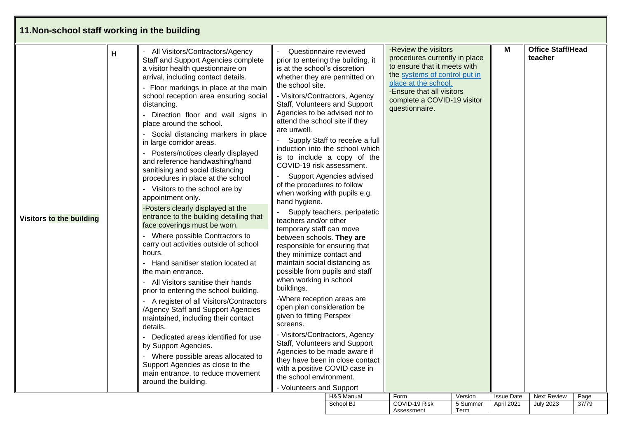| 11. Non-school staff working in the building |   |                                                                                                                                                                                                                                                                                                                                                                                                                                                                                                                                                                                                                                                                                                                                                                                                                                                                                                                                                                                                                                                                                                                                                                                                                                                                                    |                                                                                                                                                                                                                                                                                                                                                                                                                                                                                                                                                                                                                                                                         |                                                                                                                                                                                                                                                                                                                                                                                                                                                                                                         |                                                                                                                                                                                                                              |                  |                   |                                     |       |
|----------------------------------------------|---|------------------------------------------------------------------------------------------------------------------------------------------------------------------------------------------------------------------------------------------------------------------------------------------------------------------------------------------------------------------------------------------------------------------------------------------------------------------------------------------------------------------------------------------------------------------------------------------------------------------------------------------------------------------------------------------------------------------------------------------------------------------------------------------------------------------------------------------------------------------------------------------------------------------------------------------------------------------------------------------------------------------------------------------------------------------------------------------------------------------------------------------------------------------------------------------------------------------------------------------------------------------------------------|-------------------------------------------------------------------------------------------------------------------------------------------------------------------------------------------------------------------------------------------------------------------------------------------------------------------------------------------------------------------------------------------------------------------------------------------------------------------------------------------------------------------------------------------------------------------------------------------------------------------------------------------------------------------------|---------------------------------------------------------------------------------------------------------------------------------------------------------------------------------------------------------------------------------------------------------------------------------------------------------------------------------------------------------------------------------------------------------------------------------------------------------------------------------------------------------|------------------------------------------------------------------------------------------------------------------------------------------------------------------------------------------------------------------------------|------------------|-------------------|-------------------------------------|-------|
| Visitors to the building                     | н | All Visitors/Contractors/Agency<br>Staff and Support Agencies complete<br>a visitor health questionnaire on<br>arrival, including contact details.<br>- Floor markings in place at the main<br>school reception area ensuring social<br>distancing.<br>Direction floor and wall signs in<br>place around the school.<br>Social distancing markers in place<br>in large corridor areas.<br>Posters/notices clearly displayed<br>and reference handwashing/hand<br>sanitising and social distancing<br>procedures in place at the school<br>Visitors to the school are by<br>appointment only.<br>-Posters clearly displayed at the<br>entrance to the building detailing that<br>face coverings must be worn.<br>Where possible Contractors to<br>carry out activities outside of school<br>hours.<br>Hand sanitiser station located at<br>the main entrance.<br>All Visitors sanitise their hands<br>prior to entering the school building.<br>A register of all Visitors/Contractors<br>/Agency Staff and Support Agencies<br>maintained, including their contact<br>details.<br>Dedicated areas identified for use<br>by Support Agencies.<br>Where possible areas allocated to<br>Support Agencies as close to the<br>main entrance, to reduce movement<br>around the building. | is at the school's discretion<br>the school site.<br>Staff, Volunteers and Support<br>attend the school site if they<br>are unwell.<br>COVID-19 risk assessment.<br>of the procedures to follow<br>when working with pupils e.g.<br>hand hygiene.<br>teachers and/or other<br>temporary staff can move<br>between schools. They are<br>responsible for ensuring that<br>they minimize contact and<br>maintain social distancing as<br>possible from pupils and staff<br>when working in school<br>buildings.<br>-Where reception areas are<br>open plan consideration be<br>given to fitting Perspex<br>screens.<br>the school environment.<br>- Volunteers and Support | Questionnaire reviewed<br>prior to entering the building, it<br>whether they are permitted on<br>- Visitors/Contractors, Agency<br>Agencies to be advised not to<br>Supply Staff to receive a full<br>induction into the school which<br>is to include a copy of the<br>Support Agencies advised<br>Supply teachers, peripatetic<br>- Visitors/Contractors, Agency<br>Staff, Volunteers and Support<br>Agencies to be made aware if<br>they have been in close contact<br>with a positive COVID case in | -Review the visitors<br>procedures currently in place<br>to ensure that it meets with<br>the systems of control put in<br>place at the school.<br>-Ensure that all visitors<br>complete a COVID-19 visitor<br>questionnaire. |                  | Μ                 | <b>Office Staff/Head</b><br>teacher |       |
|                                              |   |                                                                                                                                                                                                                                                                                                                                                                                                                                                                                                                                                                                                                                                                                                                                                                                                                                                                                                                                                                                                                                                                                                                                                                                                                                                                                    |                                                                                                                                                                                                                                                                                                                                                                                                                                                                                                                                                                                                                                                                         | H&S Manual                                                                                                                                                                                                                                                                                                                                                                                                                                                                                              | Form<br>COVID-19 Risk                                                                                                                                                                                                        | Version          | <b>Issue Date</b> | <b>Next Review</b>                  | Page  |
|                                              |   |                                                                                                                                                                                                                                                                                                                                                                                                                                                                                                                                                                                                                                                                                                                                                                                                                                                                                                                                                                                                                                                                                                                                                                                                                                                                                    |                                                                                                                                                                                                                                                                                                                                                                                                                                                                                                                                                                                                                                                                         | School BJ                                                                                                                                                                                                                                                                                                                                                                                                                                                                                               | Assessment                                                                                                                                                                                                                   | 5 Summer<br>Term | April 2021        | <b>July 2023</b>                    | 37/79 |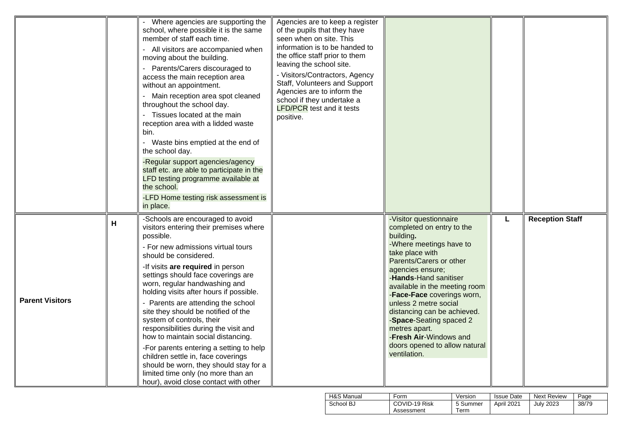|                        |   | Where agencies are supporting the<br>school, where possible it is the same<br>member of staff each time.<br>- All visitors are accompanied when<br>moving about the building.<br>- Parents/Carers discouraged to<br>access the main reception area<br>without an appointment.<br>- Main reception area spot cleaned<br>throughout the school day.<br>Tissues located at the main<br>reception area with a lidded waste<br>bin.<br>Waste bins emptied at the end of<br>the school day.<br>-Regular support agencies/agency<br>staff etc. are able to participate in the<br>LFD testing programme available at<br>the school.<br>-LFD Home testing risk assessment is<br>in place.                                 | Agencies are to keep a register<br>of the pupils that they have<br>seen when on site. This<br>information is to be handed to<br>the office staff prior to them<br>leaving the school site.<br>- Visitors/Contractors, Agency<br>Staff, Volunteers and Support<br>Agencies are to inform the<br>school if they undertake a<br><b>LFD/PCR</b> test and it tests<br>positive. |                                                                                                                                                                                                                                                                                                                                                                                                                                      |   |                        |
|------------------------|---|------------------------------------------------------------------------------------------------------------------------------------------------------------------------------------------------------------------------------------------------------------------------------------------------------------------------------------------------------------------------------------------------------------------------------------------------------------------------------------------------------------------------------------------------------------------------------------------------------------------------------------------------------------------------------------------------------------------|----------------------------------------------------------------------------------------------------------------------------------------------------------------------------------------------------------------------------------------------------------------------------------------------------------------------------------------------------------------------------|--------------------------------------------------------------------------------------------------------------------------------------------------------------------------------------------------------------------------------------------------------------------------------------------------------------------------------------------------------------------------------------------------------------------------------------|---|------------------------|
| <b>Parent Visitors</b> | н | -Schools are encouraged to avoid<br>visitors entering their premises where<br>possible.<br>- For new admissions virtual tours<br>should be considered.<br>-If visits are required in person<br>settings should face coverings are<br>worn, regular handwashing and<br>holding visits after hours if possible.<br>- Parents are attending the school<br>site they should be notified of the<br>system of controls, their<br>responsibilities during the visit and<br>how to maintain social distancing.<br>-For parents entering a setting to help<br>children settle in, face coverings<br>should be worn, they should stay for a<br>limited time only (no more than an<br>hour), avoid close contact with other |                                                                                                                                                                                                                                                                                                                                                                            | -Visitor questionnaire<br>completed on entry to the<br>building.<br>-Where meetings have to<br>take place with<br>Parents/Carers or other<br>agencies ensure;<br>-Hands-Hand sanitiser<br>available in the meeting room<br>-Face-Face coverings worn,<br>unless 2 metre social<br>distancing can be achieved.<br>-Space-Seating spaced 2<br>metres apart.<br>-Fresh Air-Windows and<br>doors opened to allow natural<br>ventilation. | L | <b>Reception Staff</b> |

| H&S Manual | Form          | Version  | <b>Issue Date</b> | <b>Next Review</b> | Page  |
|------------|---------------|----------|-------------------|--------------------|-------|
| School BJ  | COVID-19 Risk | 5 Summer | April 2021        | <b>July 2023</b>   | 38/79 |
|            | Assessment    | ⊺erm     |                   |                    |       |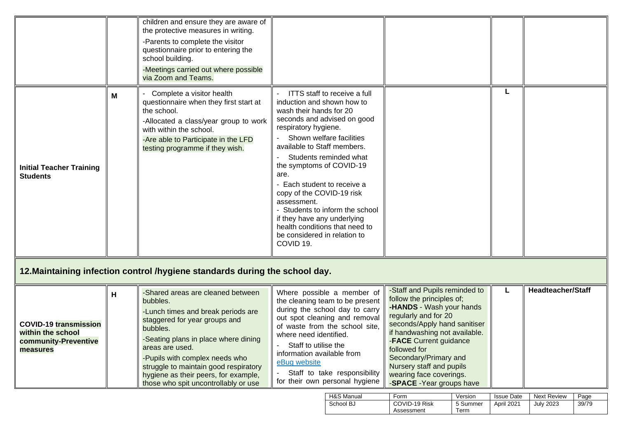|                                                                                       |   | children and ensure they are aware of<br>the protective measures in writing.<br>-Parents to complete the visitor<br>questionnaire prior to entering the<br>school building.<br>-Meetings carried out where possible<br>via Zoom and Teams.                                                                                                             |                                                                                                                                                                                                                                                                                                                                                                                                                                                                                                 |                                                                                                                                                                                                                                                                                                                                        |   |                          |
|---------------------------------------------------------------------------------------|---|--------------------------------------------------------------------------------------------------------------------------------------------------------------------------------------------------------------------------------------------------------------------------------------------------------------------------------------------------------|-------------------------------------------------------------------------------------------------------------------------------------------------------------------------------------------------------------------------------------------------------------------------------------------------------------------------------------------------------------------------------------------------------------------------------------------------------------------------------------------------|----------------------------------------------------------------------------------------------------------------------------------------------------------------------------------------------------------------------------------------------------------------------------------------------------------------------------------------|---|--------------------------|
| <b>Initial Teacher Training</b><br><b>Students</b>                                    | М | Complete a visitor health<br>questionnaire when they first start at<br>the school.<br>-Allocated a class/year group to work<br>with within the school.<br>-Are able to Participate in the LFD<br>testing programme if they wish.<br>12. Maintaining infection control /hygiene standards during the school day.                                        | ITTS staff to receive a full<br>induction and shown how to<br>wash their hands for 20<br>seconds and advised on good<br>respiratory hygiene.<br>Shown welfare facilities<br>available to Staff members.<br>Students reminded what<br>the symptoms of COVID-19<br>are.<br>Each student to receive a<br>copy of the COVID-19 risk<br>assessment.<br>- Students to inform the school<br>if they have any underlying<br>health conditions that need to<br>be considered in relation to<br>COVID 19. |                                                                                                                                                                                                                                                                                                                                        | L |                          |
|                                                                                       |   |                                                                                                                                                                                                                                                                                                                                                        |                                                                                                                                                                                                                                                                                                                                                                                                                                                                                                 |                                                                                                                                                                                                                                                                                                                                        |   |                          |
| <b>COVID-19 transmission</b><br>within the school<br>community-Preventive<br>measures | H | -Shared areas are cleaned between<br>bubbles.<br>-Lunch times and break periods are<br>staggered for year groups and<br>bubbles.<br>-Seating plans in place where dining<br>areas are used.<br>-Pupils with complex needs who<br>struggle to maintain good respiratory<br>hygiene as their peers, for example,<br>those who spit uncontrollably or use | Where possible a member of<br>the cleaning team to be present<br>during the school day to carry<br>out spot cleaning and removal<br>of waste from the school site,<br>where need identified.<br>Staff to utilise the<br>information available from<br>eBug website<br>Staff to take responsibility<br>for their own personal hygiene                                                                                                                                                            | -Staff and Pupils reminded to<br>follow the principles of;<br>-HANDS - Wash your hands<br>regularly and for 20<br>seconds/Apply hand sanitiser<br>if handwashing not available.<br>-FACE Current guidance<br>followed for<br>Secondary/Primary and<br>Nursery staff and pupils<br>wearing face coverings.<br>-SPACE - Year groups have | L | <b>Headteacher/Staff</b> |

| H&S Manual | Form                        | Version          | <b>Issue Date</b> | <b>Next Review</b> | Page  |
|------------|-----------------------------|------------------|-------------------|--------------------|-------|
| School BJ  | COVID-19 Risk<br>Assessment | 5 Summer<br>Γerm | April 2021        | <b>July 2023</b>   | 39/79 |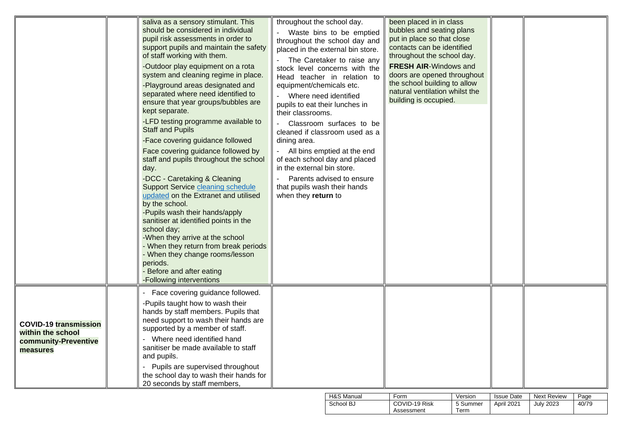|                                                                                       | saliva as a sensory stimulant. This<br>should be considered in individual<br>pupil risk assessments in order to<br>support pupils and maintain the safety<br>of staff working with them.<br>-Outdoor play equipment on a rota<br>system and cleaning regime in place.<br>-Playground areas designated and<br>separated where need identified to<br>ensure that year groups/bubbles are<br>kept separate.<br>-LFD testing programme available to<br><b>Staff and Pupils</b><br>-Face covering guidance followed<br>Face covering guidance followed by<br>staff and pupils throughout the school<br>day.<br>-DCC - Caretaking & Cleaning<br><b>Support Service cleaning schedule</b><br>updated on the Extranet and utilised<br>by the school.<br>-Pupils wash their hands/apply<br>sanitiser at identified points in the<br>school day;<br>-When they arrive at the school<br>- When they return from break periods<br>- When they change rooms/lesson<br>periods.<br>- Before and after eating<br>-Following interventions | throughout the school day.<br>- Waste bins to be emptied<br>throughout the school day and<br>placed in the external bin store.<br>The Caretaker to raise any<br>stock level concerns with the<br>Head teacher in relation to<br>equipment/chemicals etc.<br>Where need identified<br>pupils to eat their lunches in<br>their classrooms.<br>Classroom surfaces to be<br>cleaned if classroom used as a<br>dining area.<br>All bins emptied at the end<br>of each school day and placed<br>in the external bin store.<br>Parents advised to ensure<br>that pupils wash their hands<br>when they return to | been placed in in class<br>bubbles and seating plans<br>put in place so that close<br>contacts can be identified<br>throughout the school day.<br><b>FRESH AIR-Windows and</b><br>doors are opened throughout<br>the school building to allow<br>natural ventilation whilst the<br>building is occupied. |  |
|---------------------------------------------------------------------------------------|----------------------------------------------------------------------------------------------------------------------------------------------------------------------------------------------------------------------------------------------------------------------------------------------------------------------------------------------------------------------------------------------------------------------------------------------------------------------------------------------------------------------------------------------------------------------------------------------------------------------------------------------------------------------------------------------------------------------------------------------------------------------------------------------------------------------------------------------------------------------------------------------------------------------------------------------------------------------------------------------------------------------------|----------------------------------------------------------------------------------------------------------------------------------------------------------------------------------------------------------------------------------------------------------------------------------------------------------------------------------------------------------------------------------------------------------------------------------------------------------------------------------------------------------------------------------------------------------------------------------------------------------|----------------------------------------------------------------------------------------------------------------------------------------------------------------------------------------------------------------------------------------------------------------------------------------------------------|--|
| <b>COVID-19 transmission</b><br>within the school<br>community-Preventive<br>measures | Face covering guidance followed.<br>-Pupils taught how to wash their<br>hands by staff members. Pupils that<br>need support to wash their hands are<br>supported by a member of staff.<br>- Where need identified hand<br>sanitiser be made available to staff<br>and pupils.<br>Pupils are supervised throughout<br>the school day to wash their hands for<br>20 seconds by staff members,                                                                                                                                                                                                                                                                                                                                                                                                                                                                                                                                                                                                                                |                                                                                                                                                                                                                                                                                                                                                                                                                                                                                                                                                                                                          |                                                                                                                                                                                                                                                                                                          |  |

| H&S Manual | Form          | Version  | <b>Issue Date</b> | <b>Next Review</b> | Page  |
|------------|---------------|----------|-------------------|--------------------|-------|
| School BJ  | COVID-19 Risk | 5 Summer | April 2021        | <b>July 2023</b>   | 40/79 |
|            | Assessment    | erm      |                   |                    |       |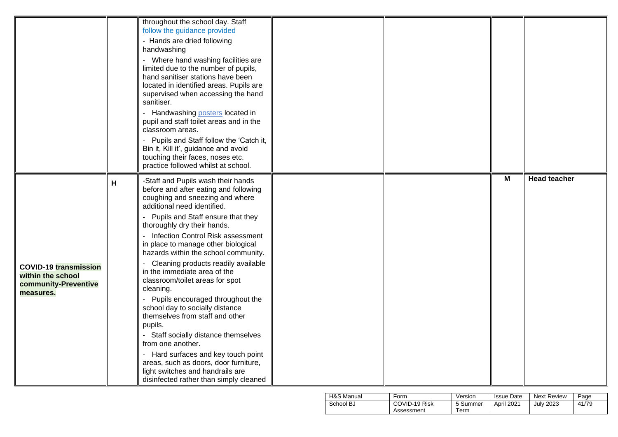|                                                                                        |   | throughout the school day. Staff<br>follow the guidance provided<br>- Hands are dried following<br>handwashing<br>- Where hand washing facilities are<br>limited due to the number of pupils,<br>hand sanitiser stations have been<br>located in identified areas. Pupils are<br>supervised when accessing the hand<br>sanitiser.                                                                                                                                                                                                                                                                                                                                                                                                                                                                                 |  |   |                     |
|----------------------------------------------------------------------------------------|---|-------------------------------------------------------------------------------------------------------------------------------------------------------------------------------------------------------------------------------------------------------------------------------------------------------------------------------------------------------------------------------------------------------------------------------------------------------------------------------------------------------------------------------------------------------------------------------------------------------------------------------------------------------------------------------------------------------------------------------------------------------------------------------------------------------------------|--|---|---------------------|
|                                                                                        |   | Handwashing posters located in<br>pupil and staff toilet areas and in the<br>classroom areas.<br>Pupils and Staff follow the 'Catch it,<br>Bin it, Kill it', guidance and avoid<br>touching their faces, noses etc.<br>practice followed whilst at school.                                                                                                                                                                                                                                                                                                                                                                                                                                                                                                                                                        |  |   |                     |
| <b>COVID-19 transmission</b><br>within the school<br>community-Preventive<br>measures. | H | -Staff and Pupils wash their hands<br>before and after eating and following<br>coughing and sneezing and where<br>additional need identified.<br>Pupils and Staff ensure that they<br>thoroughly dry their hands.<br><b>Infection Control Risk assessment</b><br>in place to manage other biological<br>hazards within the school community.<br>Cleaning products readily available<br>in the immediate area of the<br>classroom/toilet areas for spot<br>cleaning.<br>Pupils encouraged throughout the<br>school day to socially distance<br>themselves from staff and other<br>pupils.<br>- Staff socially distance themselves<br>from one another.<br>Hard surfaces and key touch point<br>areas, such as doors, door furniture,<br>light switches and handrails are<br>disinfected rather than simply cleaned |  | M | <b>Head teacher</b> |

| H&S Manual | Form          | Version  | <b>Issue Date</b> | <b>Next Review</b> | Page  |
|------------|---------------|----------|-------------------|--------------------|-------|
| School BJ  | COVID-19 Risk | 5 Summer | April 2021        | Julv 2023          | 41/79 |
|            | Assessment    | ⊺erm     |                   |                    |       |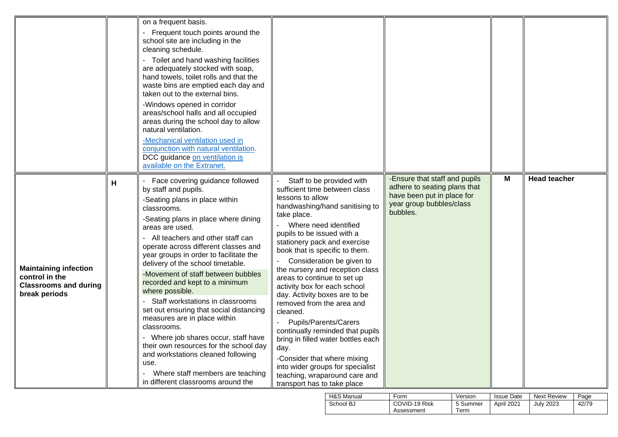|                                                                                                 |   | on a frequent basis.<br>Frequent touch points around the<br>school site are including in the<br>cleaning schedule.<br>Toilet and hand washing facilities<br>are adequately stocked with soap,<br>hand towels, toilet rolls and that the<br>waste bins are emptied each day and<br>taken out to the external bins.<br>-Windows opened in corridor<br>areas/school halls and all occupied<br>areas during the school day to allow<br>natural ventilation.<br>-Mechanical ventilation used in<br>conjunction with natural ventilation.<br>DCC guidance on ventilation is<br>available on the Extranet.                                                                                                                                                             |                                                                                                                                                                                                                                                                                                                                                                                                                                                                                                                                                                                                                                                                                                                 |                                                                                                                                     |   |                     |
|-------------------------------------------------------------------------------------------------|---|-----------------------------------------------------------------------------------------------------------------------------------------------------------------------------------------------------------------------------------------------------------------------------------------------------------------------------------------------------------------------------------------------------------------------------------------------------------------------------------------------------------------------------------------------------------------------------------------------------------------------------------------------------------------------------------------------------------------------------------------------------------------|-----------------------------------------------------------------------------------------------------------------------------------------------------------------------------------------------------------------------------------------------------------------------------------------------------------------------------------------------------------------------------------------------------------------------------------------------------------------------------------------------------------------------------------------------------------------------------------------------------------------------------------------------------------------------------------------------------------------|-------------------------------------------------------------------------------------------------------------------------------------|---|---------------------|
| <b>Maintaining infection</b><br>control in the<br><b>Classrooms and during</b><br>break periods | н | Face covering guidance followed<br>by staff and pupils.<br>-Seating plans in place within<br>classrooms.<br>-Seating plans in place where dining<br>areas are used.<br>All teachers and other staff can<br>operate across different classes and<br>year groups in order to facilitate the<br>delivery of the school timetable.<br>-Movement of staff between bubbles<br>recorded and kept to a minimum<br>where possible.<br>Staff workstations in classrooms<br>set out ensuring that social distancing<br>measures are in place within<br>classrooms.<br>Where job shares occur, staff have<br>their own resources for the school day<br>and workstations cleaned following<br>use.<br>Where staff members are teaching<br>in different classrooms around the | Staff to be provided with<br>sufficient time between class<br>lessons to allow<br>handwashing/hand sanitising to<br>take place.<br>Where need identified<br>pupils to be issued with a<br>stationery pack and exercise<br>book that is specific to them.<br>Consideration be given to<br>the nursery and reception class<br>areas to continue to set up<br>activity box for each school<br>day. Activity boxes are to be<br>removed from the area and<br>cleaned.<br>Pupils/Parents/Carers<br>continually reminded that pupils<br>bring in filled water bottles each<br>day.<br>-Consider that where mixing<br>into wider groups for specialist<br>teaching, wraparound care and<br>transport has to take place | -Ensure that staff and pupils<br>adhere to seating plans that<br>have been put in place for<br>year group bubbles/class<br>bubbles. | M | <b>Head teacher</b> |

|                                                      | Page<br><b>Next Review</b> |
|------------------------------------------------------|----------------------------|
| School BJ<br>COVID-19 Risk<br>April 2021<br>5 Summer | 42/79<br><b>July 2023</b>  |
| ⊺erm<br>Assessment                                   |                            |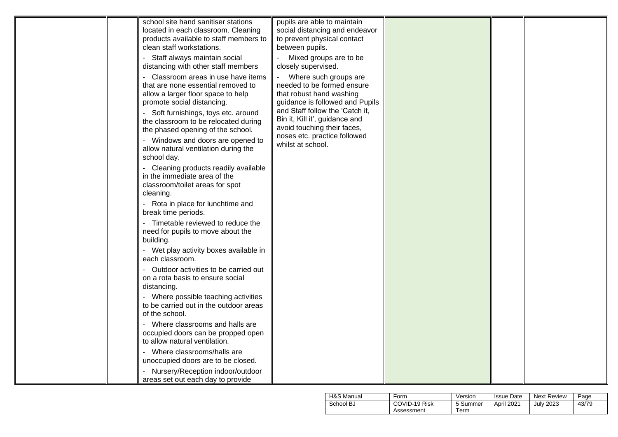| school site hand sanitiser stations<br>located in each classroom. Cleaning<br>products available to staff members to<br>clean staff workstations.<br>Staff always maintain social<br>distancing with other staff members<br>Classroom areas in use have items<br>that are none essential removed to<br>allow a larger floor space to help<br>promote social distancing.<br>Soft furnishings, toys etc. around<br>the classroom to be relocated during<br>the phased opening of the school.<br>Windows and doors are opened to<br>allow natural ventilation during the<br>school day.<br>Cleaning products readily available<br>in the immediate area of the<br>classroom/toilet areas for spot<br>cleaning.<br>- Rota in place for lunchtime and<br>break time periods.<br>Timetable reviewed to reduce the<br>need for pupils to move about the<br>building.<br>- Wet play activity boxes available in<br>each classroom. | pupils are able to maintain<br>social distancing and endeavor<br>to prevent physical contact<br>between pupils.<br>Mixed groups are to be<br>closely supervised.<br>Where such groups are<br>needed to be formed ensure<br>that robust hand washing<br>guidance is followed and Pupils<br>and Staff follow the 'Catch it,<br>Bin it, Kill it', guidance and<br>avoid touching their faces,<br>noses etc. practice followed<br>whilst at school. |  |  |
|----------------------------------------------------------------------------------------------------------------------------------------------------------------------------------------------------------------------------------------------------------------------------------------------------------------------------------------------------------------------------------------------------------------------------------------------------------------------------------------------------------------------------------------------------------------------------------------------------------------------------------------------------------------------------------------------------------------------------------------------------------------------------------------------------------------------------------------------------------------------------------------------------------------------------|-------------------------------------------------------------------------------------------------------------------------------------------------------------------------------------------------------------------------------------------------------------------------------------------------------------------------------------------------------------------------------------------------------------------------------------------------|--|--|
| Outdoor activities to be carried out<br>on a rota basis to ensure social                                                                                                                                                                                                                                                                                                                                                                                                                                                                                                                                                                                                                                                                                                                                                                                                                                                   |                                                                                                                                                                                                                                                                                                                                                                                                                                                 |  |  |
| distancing.<br>Where possible teaching activities<br>to be carried out in the outdoor areas<br>of the school.<br>Where classrooms and halls are<br>occupied doors can be propped open<br>to allow natural ventilation.<br>- Where classrooms/halls are<br>unoccupied doors are to be closed.<br>Nursery/Reception indoor/outdoor<br>areas set out each day to provide                                                                                                                                                                                                                                                                                                                                                                                                                                                                                                                                                      |                                                                                                                                                                                                                                                                                                                                                                                                                                                 |  |  |

| H&S Manual | Form          | Version  | <b>Issue Date</b> | Next Review      | Page  |
|------------|---------------|----------|-------------------|------------------|-------|
| School BJ  | COVID-19 Risk | 5 Summer | April 2021        | <b>July 2023</b> | 43/79 |
|            | Assessment    | erm      |                   |                  |       |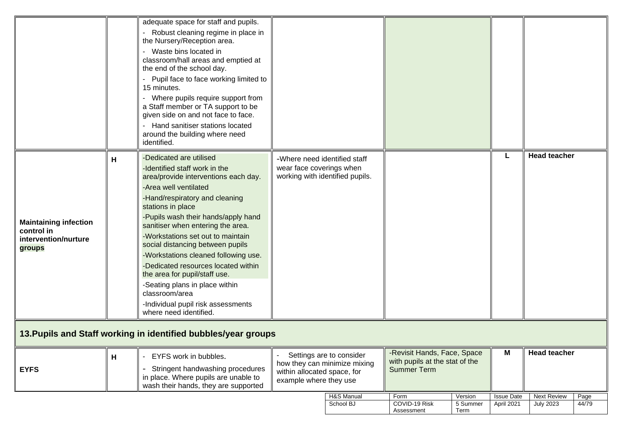|                                                                              |   | adequate space for staff and pupils.<br>Robust cleaning regime in place in<br>the Nursery/Reception area.<br>Waste bins located in<br>classroom/hall areas and emptied at<br>the end of the school day.<br>Pupil face to face working limited to<br>15 minutes.<br>Where pupils require support from<br>a Staff member or TA support to be<br>given side on and not face to face.<br>Hand sanitiser stations located<br>around the building where need<br>identified.                                                                                                     |                                                          |                                                          |                                                                                     |                             |                                 |                                        |               |
|------------------------------------------------------------------------------|---|---------------------------------------------------------------------------------------------------------------------------------------------------------------------------------------------------------------------------------------------------------------------------------------------------------------------------------------------------------------------------------------------------------------------------------------------------------------------------------------------------------------------------------------------------------------------------|----------------------------------------------------------|----------------------------------------------------------|-------------------------------------------------------------------------------------|-----------------------------|---------------------------------|----------------------------------------|---------------|
| <b>Maintaining infection</b><br>control in<br>intervention/nurture<br>groups | н | -Dedicated are utilised<br>-Identified staff work in the<br>area/provide interventions each day.<br>-Area well ventilated<br>-Hand/respiratory and cleaning<br>stations in place<br>-Pupils wash their hands/apply hand<br>sanitiser when entering the area.<br>-Workstations set out to maintain<br>social distancing between pupils<br>-Workstations cleaned following use.<br>-Dedicated resources located within<br>the area for pupil/staff use.<br>-Seating plans in place within<br>classroom/area<br>-Individual pupil risk assessments<br>where need identified. | -Where need identified staff<br>wear face coverings when | working with identified pupils.                          |                                                                                     |                             |                                 | <b>Head teacher</b>                    |               |
|                                                                              |   | 13. Pupils and Staff working in identified bubbles/year groups                                                                                                                                                                                                                                                                                                                                                                                                                                                                                                            |                                                          |                                                          |                                                                                     |                             |                                 |                                        |               |
| <b>EYFS</b>                                                                  | H | EYFS work in bubbles.<br>$\sim$<br>Stringent handwashing procedures<br>$\overline{\phantom{a}}$<br>in place. Where pupils are unable to<br>wash their hands, they are supported                                                                                                                                                                                                                                                                                                                                                                                           | within allocated space, for<br>example where they use    | Settings are to consider<br>how they can minimize mixing | -Revisit Hands, Face, Space<br>with pupils at the stat of the<br><b>Summer Term</b> |                             | M                               | <b>Head teacher</b>                    |               |
|                                                                              |   |                                                                                                                                                                                                                                                                                                                                                                                                                                                                                                                                                                           |                                                          | H&S Manual<br>School BJ                                  | Form<br>COVID-19 Risk<br>Assessment                                                 | Version<br>5 Summer<br>Term | <b>Issue Date</b><br>April 2021 | <b>Next Review</b><br><b>July 2023</b> | Page<br>44/79 |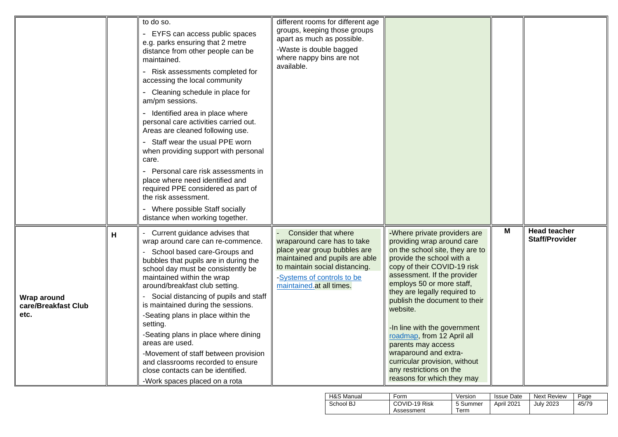|                                            |   | to do so.<br>EYFS can access public spaces<br>e.g. parks ensuring that 2 metre<br>distance from other people can be<br>maintained.<br>Risk assessments completed for<br>accessing the local community<br>- Cleaning schedule in place for<br>am/pm sessions.<br>Identified area in place where<br>personal care activities carried out.<br>Areas are cleaned following use.<br>Staff wear the usual PPE worn<br>when providing support with personal<br>care.<br>Personal care risk assessments in<br>place where need identified and<br>required PPE considered as part of<br>the risk assessment.<br>Where possible Staff socially<br>distance when working together. | different rooms for different age<br>groups, keeping those groups<br>apart as much as possible.<br>-Waste is double bagged<br>where nappy bins are not<br>available.                                             |                                                                                                                                                                                                                                                                                                                                                                                                                                                                                                           |   |                                              |
|--------------------------------------------|---|-------------------------------------------------------------------------------------------------------------------------------------------------------------------------------------------------------------------------------------------------------------------------------------------------------------------------------------------------------------------------------------------------------------------------------------------------------------------------------------------------------------------------------------------------------------------------------------------------------------------------------------------------------------------------|------------------------------------------------------------------------------------------------------------------------------------------------------------------------------------------------------------------|-----------------------------------------------------------------------------------------------------------------------------------------------------------------------------------------------------------------------------------------------------------------------------------------------------------------------------------------------------------------------------------------------------------------------------------------------------------------------------------------------------------|---|----------------------------------------------|
| Wrap around<br>care/Breakfast Club<br>etc. | н | Current guidance advises that<br>wrap around care can re-commence.<br>School based care-Groups and<br>bubbles that pupils are in during the<br>school day must be consistently be<br>maintained within the wrap<br>around/breakfast club setting.<br>Social distancing of pupils and staff<br>is maintained during the sessions.<br>-Seating plans in place within the<br>setting.<br>-Seating plans in place where dining<br>areas are used.<br>-Movement of staff between provision<br>and classrooms recorded to ensure<br>close contacts can be identified.<br>-Work spaces placed on a rota                                                                        | Consider that where<br>wraparound care has to take<br>place year group bubbles are<br>maintained and pupils are able<br>to maintain social distancing.<br>-Systems of controls to be<br>maintained.at all times. | -Where private providers are<br>providing wrap around care<br>on the school site, they are to<br>provide the school with a<br>copy of their COVID-19 risk<br>assessment. If the provider<br>employs 50 or more staff,<br>they are legally required to<br>publish the document to their<br>website.<br>-In line with the government<br>roadmap, from 12 April all<br>parents may access<br>wraparound and extra-<br>curricular provision, without<br>any restrictions on the<br>reasons for which they may | M | <b>Head teacher</b><br><b>Staff/Provider</b> |

| H&S Manual | Form          | Version  | <b>Issue Date</b> | <b>Next Review</b> | Page  |
|------------|---------------|----------|-------------------|--------------------|-------|
| School BJ  | COVID-19 Risk | 5 Summer | April 2021        | <b>July 2023</b>   | 45/79 |
|            | Assessment    | Геrm     |                   |                    |       |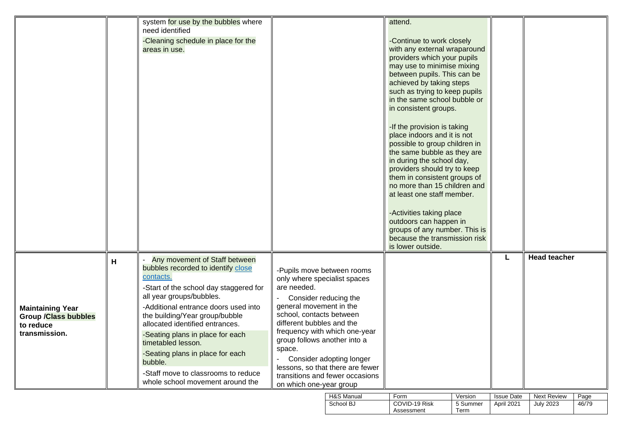|                                                                                       |   | system for use by the bubbles where<br>need identified<br>-Cleaning schedule in place for the<br>areas in use.                                                                                                                                                                                                                                                                                                                                          |                                                                                                                                                                                                                                                                                                                                                                                                 | attend.<br>-Continue to work closely<br>with any external wraparound<br>providers which your pupils<br>may use to minimise mixing<br>between pupils. This can be<br>achieved by taking steps<br>such as trying to keep pupils<br>in the same school bubble or<br>in consistent groups.<br>-If the provision is taking<br>place indoors and it is not<br>possible to group children in<br>the same bubble as they are<br>in during the school day,<br>providers should try to keep<br>them in consistent groups of<br>no more than 15 children and<br>at least one staff member.<br>-Activities taking place<br>outdoors can happen in |                                 |                                        |               |
|---------------------------------------------------------------------------------------|---|---------------------------------------------------------------------------------------------------------------------------------------------------------------------------------------------------------------------------------------------------------------------------------------------------------------------------------------------------------------------------------------------------------------------------------------------------------|-------------------------------------------------------------------------------------------------------------------------------------------------------------------------------------------------------------------------------------------------------------------------------------------------------------------------------------------------------------------------------------------------|---------------------------------------------------------------------------------------------------------------------------------------------------------------------------------------------------------------------------------------------------------------------------------------------------------------------------------------------------------------------------------------------------------------------------------------------------------------------------------------------------------------------------------------------------------------------------------------------------------------------------------------|---------------------------------|----------------------------------------|---------------|
|                                                                                       |   |                                                                                                                                                                                                                                                                                                                                                                                                                                                         |                                                                                                                                                                                                                                                                                                                                                                                                 | groups of any number. This is<br>because the transmission risk<br>is lower outside.                                                                                                                                                                                                                                                                                                                                                                                                                                                                                                                                                   |                                 |                                        |               |
| <b>Maintaining Year</b><br><b>Group / Class bubbles</b><br>to reduce<br>transmission. | н | Any movement of Staff between<br>bubbles recorded to identify close<br>contacts.<br>-Start of the school day staggered for<br>all year groups/bubbles.<br>-Additional entrance doors used into<br>the building/Year group/bubble<br>allocated identified entrances.<br>-Seating plans in place for each<br>timetabled lesson.<br>-Seating plans in place for each<br>bubble.<br>-Staff move to classrooms to reduce<br>whole school movement around the | -Pupils move between rooms<br>only where specialist spaces<br>are needed.<br>Consider reducing the<br>general movement in the<br>school, contacts between<br>different bubbles and the<br>frequency with which one-year<br>group follows another into a<br>space.<br>Consider adopting longer<br>lessons, so that there are fewer<br>transitions and fewer occasions<br>on which one-year group |                                                                                                                                                                                                                                                                                                                                                                                                                                                                                                                                                                                                                                       |                                 | <b>Head teacher</b>                    |               |
|                                                                                       |   |                                                                                                                                                                                                                                                                                                                                                                                                                                                         | H&S Manual<br>School BJ                                                                                                                                                                                                                                                                                                                                                                         | Form<br>Version<br>COVID-19 Risk<br>5 Summer                                                                                                                                                                                                                                                                                                                                                                                                                                                                                                                                                                                          | <b>Issue Date</b><br>April 2021 | <b>Next Review</b><br><b>July 2023</b> | Page<br>46/79 |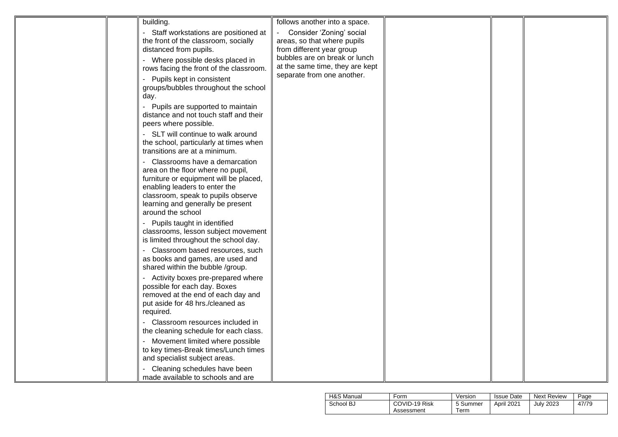|  | building.                                                                      | follows another into a space.                           |  |  |
|--|--------------------------------------------------------------------------------|---------------------------------------------------------|--|--|
|  | - Staff workstations are positioned at<br>the front of the classroom, socially | Consider 'Zoning' social<br>areas, so that where pupils |  |  |
|  | distanced from pupils.                                                         | from different year group                               |  |  |
|  | - Where possible desks placed in                                               | bubbles are on break or lunch                           |  |  |
|  | rows facing the front of the classroom.                                        | at the same time, they are kept                         |  |  |
|  | - Pupils kept in consistent                                                    | separate from one another.                              |  |  |
|  | groups/bubbles throughout the school<br>day.                                   |                                                         |  |  |
|  | Pupils are supported to maintain                                               |                                                         |  |  |
|  | distance and not touch staff and their<br>peers where possible.                |                                                         |  |  |
|  | SLT will continue to walk around                                               |                                                         |  |  |
|  | the school, particularly at times when<br>transitions are at a minimum.        |                                                         |  |  |
|  | Classrooms have a demarcation                                                  |                                                         |  |  |
|  | area on the floor where no pupil,                                              |                                                         |  |  |
|  | furniture or equipment will be placed,                                         |                                                         |  |  |
|  | enabling leaders to enter the                                                  |                                                         |  |  |
|  | classroom, speak to pupils observe<br>learning and generally be present        |                                                         |  |  |
|  | around the school                                                              |                                                         |  |  |
|  | Pupils taught in identified                                                    |                                                         |  |  |
|  | classrooms, lesson subject movement                                            |                                                         |  |  |
|  | is limited throughout the school day.                                          |                                                         |  |  |
|  | - Classroom based resources, such<br>as books and games, are used and          |                                                         |  |  |
|  | shared within the bubble /group.                                               |                                                         |  |  |
|  | - Activity boxes pre-prepared where                                            |                                                         |  |  |
|  | possible for each day. Boxes                                                   |                                                         |  |  |
|  | removed at the end of each day and                                             |                                                         |  |  |
|  | put aside for 48 hrs./cleaned as<br>required.                                  |                                                         |  |  |
|  | Classroom resources included in                                                |                                                         |  |  |
|  | the cleaning schedule for each class.                                          |                                                         |  |  |
|  | Movement limited where possible                                                |                                                         |  |  |
|  | to key times-Break times/Lunch times                                           |                                                         |  |  |
|  | and specialist subject areas.                                                  |                                                         |  |  |
|  | - Cleaning schedules have been<br>made available to schools and are            |                                                         |  |  |
|  |                                                                                |                                                         |  |  |

| H&S Manual | Form          | Version  | <b>Issue Date</b> | Next Review      | Page  |
|------------|---------------|----------|-------------------|------------------|-------|
| School BJ  | COVID-19 Risk | 5 Summer | April 2021        | <b>July 2023</b> | 47/79 |
|            | Assessment    | ™erm     |                   |                  |       |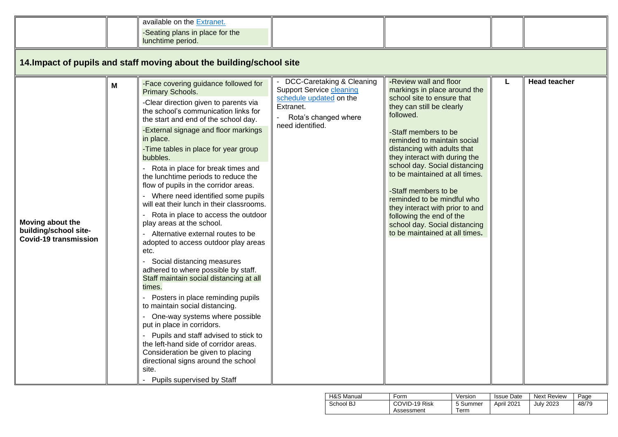|                                                                           |   | available on the Extranet.<br>-Seating plans in place for the<br>lunchtime period.                                                                                                                                                                                                                                                                                                                                                                                                                                                                                                                                                                                                                                                                                                                                                                                                                                                                                                                                                                                                                                                    |                                                                                                                                                    |                                                                                                                                                                                                                                                                                                                                                                                                                                                                                                                  |   |                     |
|---------------------------------------------------------------------------|---|---------------------------------------------------------------------------------------------------------------------------------------------------------------------------------------------------------------------------------------------------------------------------------------------------------------------------------------------------------------------------------------------------------------------------------------------------------------------------------------------------------------------------------------------------------------------------------------------------------------------------------------------------------------------------------------------------------------------------------------------------------------------------------------------------------------------------------------------------------------------------------------------------------------------------------------------------------------------------------------------------------------------------------------------------------------------------------------------------------------------------------------|----------------------------------------------------------------------------------------------------------------------------------------------------|------------------------------------------------------------------------------------------------------------------------------------------------------------------------------------------------------------------------------------------------------------------------------------------------------------------------------------------------------------------------------------------------------------------------------------------------------------------------------------------------------------------|---|---------------------|
|                                                                           |   | 14. Impact of pupils and staff moving about the building/school site                                                                                                                                                                                                                                                                                                                                                                                                                                                                                                                                                                                                                                                                                                                                                                                                                                                                                                                                                                                                                                                                  |                                                                                                                                                    |                                                                                                                                                                                                                                                                                                                                                                                                                                                                                                                  |   |                     |
| Moving about the<br>building/school site-<br><b>Covid-19 transmission</b> | M | -Face covering guidance followed for<br>Primary Schools.<br>-Clear direction given to parents via<br>the school's communication links for<br>the start and end of the school day.<br><b>External signage and floor markings</b><br>in place.<br>-Time tables in place for year group<br>bubbles.<br>Rota in place for break times and<br>the lunchtime periods to reduce the<br>flow of pupils in the corridor areas.<br>Where need identified some pupils<br>will eat their lunch in their classrooms.<br>Rota in place to access the outdoor<br>play areas at the school.<br>Alternative external routes to be<br>adopted to access outdoor play areas<br>etc.<br>Social distancing measures<br>adhered to where possible by staff.<br>Staff maintain social distancing at all<br>times.<br>Posters in place reminding pupils<br>to maintain social distancing.<br>One-way systems where possible<br>put in place in corridors.<br>Pupils and staff advised to stick to<br>the left-hand side of corridor areas.<br>Consideration be given to placing<br>directional signs around the school<br>site.<br>Pupils supervised by Staff | - DCC-Caretaking & Cleaning<br><b>Support Service cleaning</b><br>schedule updated on the<br>Extranet.<br>Rota's changed where<br>need identified. | -Review wall and floor<br>markings in place around the<br>school site to ensure that<br>they can still be clearly<br>followed.<br>-Staff members to be<br>reminded to maintain social<br>distancing with adults that<br>they interact with during the<br>school day. Social distancing<br>to be maintained at all times.<br>-Staff members to be<br>reminded to be mindful who<br>they interact with prior to and<br>following the end of the<br>school day. Social distancing<br>to be maintained at all times. | L | <b>Head teacher</b> |

| H&S Manual | Form          | Version  | <b>Issue Date</b> | <b>Next Review</b> | Page  |
|------------|---------------|----------|-------------------|--------------------|-------|
| School BJ  | COVID-19 Risk | 5 Summer | April 2021        | <b>July 2023</b>   | 48/79 |
|            | Assessment    | erm      |                   |                    |       |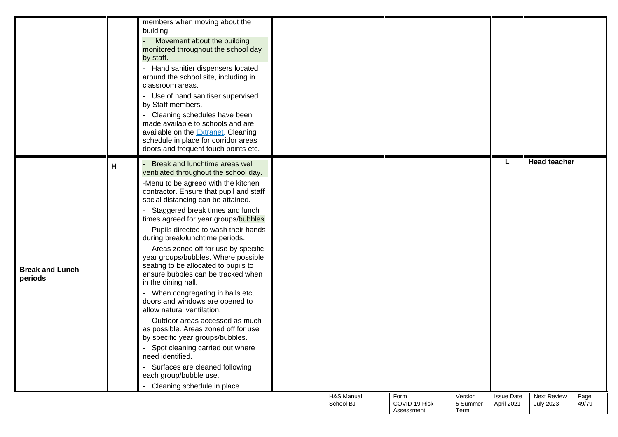| Break and lunchtime areas well<br>H<br>ventilated throughout the school day.<br>-Menu to be agreed with the kitchen<br>contractor. Ensure that pupil and staff<br>social distancing can be attained.<br>Staggered break times and lunch<br>times agreed for year groups/bubbles<br>Pupils directed to wash their hands<br>$\sim$<br>during break/lunchtime periods.<br>Areas zoned off for use by specific<br>year groups/bubbles. Where possible<br>seating to be allocated to pupils to<br><b>Break and Lunch</b><br>ensure bubbles can be tracked when<br>periods<br>in the dining hall.<br>When congregating in halls etc,<br>doors and windows are opened to<br>allow natural ventilation.<br>Outdoor areas accessed as much<br>as possible. Areas zoned off for use<br>by specific year groups/bubbles.<br>Spot cleaning carried out where<br>need identified.<br>Surfaces are cleaned following<br>each group/bubble use.<br>Cleaning schedule in place<br>$\sim$ | H&S Manual<br>Page<br>Form<br>Version<br><b>Issue Date</b><br><b>Next Review</b><br>School BJ<br>COVID-19 Risk<br>April 2021<br>49/79<br>5 Summer<br><b>July 2023</b> |  | members when moving about the<br>building.<br>Movement about the building<br>monitored throughout the school day<br>by staff.<br>Hand sanitier dispensers located<br>around the school site, including in<br>classroom areas.<br>Use of hand sanitiser supervised<br>by Staff members.<br>Cleaning schedules have been<br>$\blacksquare$<br>made available to schools and are<br>available on the <b>Extranet</b> . Cleaning<br>schedule in place for corridor areas<br>doors and frequent touch points etc. |  |  |                     |  |
|--------------------------------------------------------------------------------------------------------------------------------------------------------------------------------------------------------------------------------------------------------------------------------------------------------------------------------------------------------------------------------------------------------------------------------------------------------------------------------------------------------------------------------------------------------------------------------------------------------------------------------------------------------------------------------------------------------------------------------------------------------------------------------------------------------------------------------------------------------------------------------------------------------------------------------------------------------------------------|-----------------------------------------------------------------------------------------------------------------------------------------------------------------------|--|--------------------------------------------------------------------------------------------------------------------------------------------------------------------------------------------------------------------------------------------------------------------------------------------------------------------------------------------------------------------------------------------------------------------------------------------------------------------------------------------------------------|--|--|---------------------|--|
|                                                                                                                                                                                                                                                                                                                                                                                                                                                                                                                                                                                                                                                                                                                                                                                                                                                                                                                                                                          |                                                                                                                                                                       |  |                                                                                                                                                                                                                                                                                                                                                                                                                                                                                                              |  |  | <b>Head teacher</b> |  |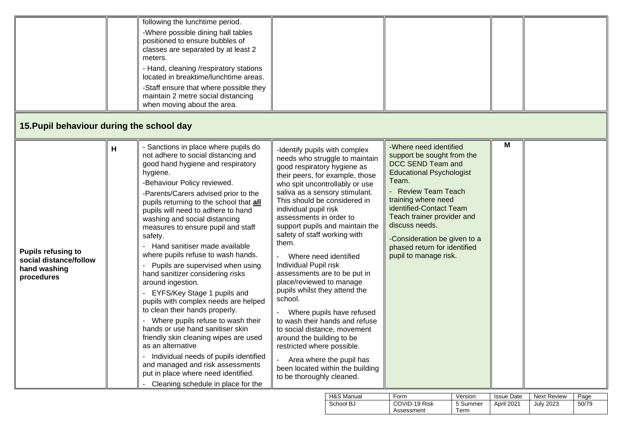| M<br>-Where need identified<br>- Sanctions in place where pupils do<br>н<br>-Identify pupils with complex<br>not adhere to social distancing and<br>support be sought from the<br>needs who struggle to maintain<br>DCC SEND Team and<br>good hand hygiene and respiratory<br>good respiratory hygiene as<br>hygiene.<br><b>Educational Psychologist</b><br>their peers, for example, those<br>Team.<br>-Behaviour Policy reviewed.<br>who spit uncontrollably or use<br><b>Review Team Teach</b><br>saliva as a sensory stimulant.<br>-Parents/Carers advised prior to the<br>training where need<br>This should be considered in<br>pupils returning to the school that all<br>identified-Contact Team<br>individual pupil risk<br>pupils will need to adhere to hand<br>Teach trainer provider and<br>assessments in order to<br>washing and social distancing<br>discuss needs.<br>support pupils and maintain the<br>measures to ensure pupil and staff<br>safety of staff working with<br>safety.<br>-Consideration be given to a<br>them.<br>Hand sanitiser made available<br>phased return for identified<br><b>Pupils refusing to</b><br>where pupils refuse to wash hands.<br>pupil to manage risk.<br>Where need identified<br>$\blacksquare$<br>social distance/follow<br>Individual Pupil risk<br>Pupils are supervised when using<br>hand washing<br>hand sanitizer considering risks<br>assessments are to be put in<br>procedures<br>place/reviewed to manage<br>around ingestion.<br>pupils whilst they attend the<br>EYFS/Key Stage 1 pupils and<br>school.<br>pupils with complex needs are helped<br>to clean their hands properly.<br>Where pupils have refused<br>Where pupils refuse to wash their<br>to wash their hands and refuse<br>hands or use hand sanitiser skin<br>to social distance, movement<br>friendly skin cleaning wipes are used<br>around the building to be<br>as an alternative<br>restricted where possible.<br>Individual needs of pupils identified<br>Area where the pupil has<br>and managed and risk assessments<br>been located within the building<br>put in place where need identified.<br>to be thoroughly cleaned. | 15. Pupil behaviour during the school day | following the lunchtime period.<br>-Where possible dining hall tables<br>positioned to ensure bubbles of<br>classes are separated by at least 2<br>meters.<br>- Hand, cleaning /respiratory stations<br>located in breaktime/lunchtime areas.<br>-Staff ensure that where possible they<br>maintain 2 metre social distancing<br>when moving about the area. |  |  |
|---------------------------------------------------------------------------------------------------------------------------------------------------------------------------------------------------------------------------------------------------------------------------------------------------------------------------------------------------------------------------------------------------------------------------------------------------------------------------------------------------------------------------------------------------------------------------------------------------------------------------------------------------------------------------------------------------------------------------------------------------------------------------------------------------------------------------------------------------------------------------------------------------------------------------------------------------------------------------------------------------------------------------------------------------------------------------------------------------------------------------------------------------------------------------------------------------------------------------------------------------------------------------------------------------------------------------------------------------------------------------------------------------------------------------------------------------------------------------------------------------------------------------------------------------------------------------------------------------------------------------------------------------------------------------------------------------------------------------------------------------------------------------------------------------------------------------------------------------------------------------------------------------------------------------------------------------------------------------------------------------------------------------------------------------------------------------------------------------------------------------------------------------------------------------|-------------------------------------------|--------------------------------------------------------------------------------------------------------------------------------------------------------------------------------------------------------------------------------------------------------------------------------------------------------------------------------------------------------------|--|--|
|                                                                                                                                                                                                                                                                                                                                                                                                                                                                                                                                                                                                                                                                                                                                                                                                                                                                                                                                                                                                                                                                                                                                                                                                                                                                                                                                                                                                                                                                                                                                                                                                                                                                                                                                                                                                                                                                                                                                                                                                                                                                                                                                                                           |                                           | Cleaning schedule in place for the                                                                                                                                                                                                                                                                                                                           |  |  |

| H&S Manual | Form          | Version  | <b>Issue Date</b> | <b>Next Review</b> | Page  |
|------------|---------------|----------|-------------------|--------------------|-------|
| School BJ  | COVID-19 Risk | 5 Summer | April 2021        | <b>July 2023</b>   | 50/79 |
|            | Assessment    | erm      |                   |                    |       |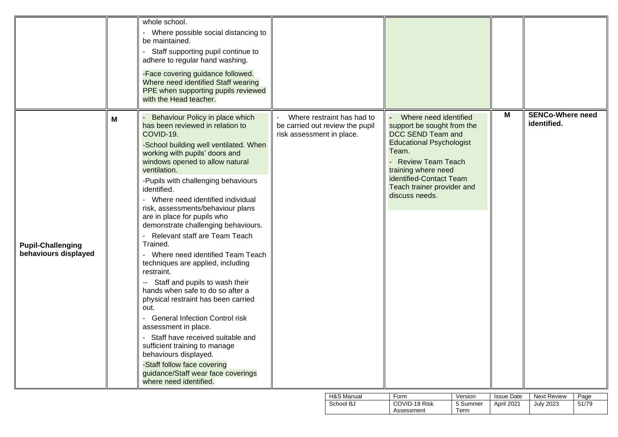|                                                  |   | whole school.<br>- Where possible social distancing to<br>be maintained.<br>Staff supporting pupil continue to<br>adhere to regular hand washing.<br>-Face covering guidance followed.<br>Where need identified Staff wearing<br>PPE when supporting pupils reviewed<br>with the Head teacher.                                                                                                                                                                                                                                                                                                                                                                                                                                                                                                                                                                                                                                              |                                                                                            |                                                                                                                                                                                                                                                    |   |                                        |
|--------------------------------------------------|---|---------------------------------------------------------------------------------------------------------------------------------------------------------------------------------------------------------------------------------------------------------------------------------------------------------------------------------------------------------------------------------------------------------------------------------------------------------------------------------------------------------------------------------------------------------------------------------------------------------------------------------------------------------------------------------------------------------------------------------------------------------------------------------------------------------------------------------------------------------------------------------------------------------------------------------------------|--------------------------------------------------------------------------------------------|----------------------------------------------------------------------------------------------------------------------------------------------------------------------------------------------------------------------------------------------------|---|----------------------------------------|
| <b>Pupil-Challenging</b><br>behaviours displayed | M | Behaviour Policy in place which<br>has been reviewed in relation to<br>COVID-19.<br>-School building well ventilated. When<br>working with pupils' doors and<br>windows opened to allow natural<br>ventilation.<br>-Pupils with challenging behaviours<br>identified.<br>Where need identified individual<br>risk, assessments/behaviour plans<br>are in place for pupils who<br>demonstrate challenging behaviours.<br>Relevant staff are Team Teach<br>Trained.<br>Where need identified Team Teach<br>techniques are applied, including<br>restraint.<br>Staff and pupils to wash their<br>hands when safe to do so after a<br>physical restraint has been carried<br>out.<br><b>General Infection Control risk</b><br>assessment in place.<br>Staff have received suitable and<br>sufficient training to manage<br>behaviours displayed.<br>-Staff follow face covering<br>guidance/Staff wear face coverings<br>where need identified. | Where restraint has had to<br>be carried out review the pupil<br>risk assessment in place. | Where need identified<br>support be sought from the<br>DCC SEND Team and<br><b>Educational Psychologist</b><br>Team.<br><b>Review Team Teach</b><br>training where need<br>identified-Contact Team<br>Teach trainer provider and<br>discuss needs. | M | <b>SENCo-Where need</b><br>identified. |

| H&S Manual | Form          | Version  | <b>Issue Date</b> | <b>Next Review</b> | Page  |
|------------|---------------|----------|-------------------|--------------------|-------|
| School BJ  | COVID-19 Risk | 5 Summer | April 2021        | <b>July 2023</b>   | 51/79 |
|            | Assessment    | erm      |                   |                    |       |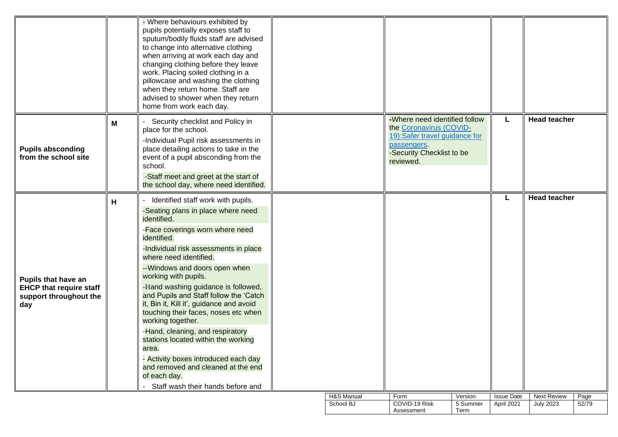|                                                                                               |   | - Where behaviours exhibited by<br>pupils potentially exposes staff to<br>sputum/bodily fluids staff are advised<br>to change into alternative clothing<br>when arriving at work each day and<br>changing clothing before they leave<br>work. Placing soiled clothing in a<br>pillowcase and washing the clothing<br>when they return home. Staff are<br>advised to shower when they return<br>home from work each day.                                                                                                                                                                                                                                                                |                         |                                                                                                                                                    |                     |                                 |                                        |               |
|-----------------------------------------------------------------------------------------------|---|----------------------------------------------------------------------------------------------------------------------------------------------------------------------------------------------------------------------------------------------------------------------------------------------------------------------------------------------------------------------------------------------------------------------------------------------------------------------------------------------------------------------------------------------------------------------------------------------------------------------------------------------------------------------------------------|-------------------------|----------------------------------------------------------------------------------------------------------------------------------------------------|---------------------|---------------------------------|----------------------------------------|---------------|
| <b>Pupils absconding</b><br>from the school site                                              | м | Security checklist and Policy in<br>place for the school.<br>-Individual Pupil risk assessments in<br>place detailing actions to take in the<br>event of a pupil absconding from the<br>school.<br>-Staff meet and greet at the start of<br>the school day, where need identified.                                                                                                                                                                                                                                                                                                                                                                                                     |                         | -Where need identified follow<br>the Coronavirus (COVID-<br>19):Safer travel guidance for<br>passengers.<br>-Security Checklist to be<br>reviewed. |                     | L.                              | <b>Head teacher</b>                    |               |
| <b>Pupils that have an</b><br><b>EHCP that require staff</b><br>support throughout the<br>day | н | Identified staff work with pupils.<br>-Seating plans in place where need<br>identified.<br>-Face coverings worn where need<br>identified.<br>-Individual risk assessments in place<br>where need identified.<br>--Windows and doors open when<br>working with pupils.<br>-Hand washing guidance is followed,<br>and Pupils and Staff follow the 'Catch<br>it, Bin it, Kill it', guidance and avoid<br>touching their faces, noses etc when<br>working together.<br>-Hand, cleaning, and respiratory<br>stations located within the working<br>area.<br>- Activity boxes introduced each day<br>and removed and cleaned at the end<br>of each day.<br>Staff wash their hands before and |                         |                                                                                                                                                    |                     | L                               | <b>Head teacher</b>                    |               |
|                                                                                               |   |                                                                                                                                                                                                                                                                                                                                                                                                                                                                                                                                                                                                                                                                                        | H&S Manual<br>School BJ | Form<br>COVID-19 Risk                                                                                                                              | Version<br>5 Summer | <b>Issue Date</b><br>April 2021 | <b>Next Review</b><br><b>July 2023</b> | Page<br>52/79 |
|                                                                                               |   |                                                                                                                                                                                                                                                                                                                                                                                                                                                                                                                                                                                                                                                                                        |                         | Assessment                                                                                                                                         | Term                |                                 |                                        |               |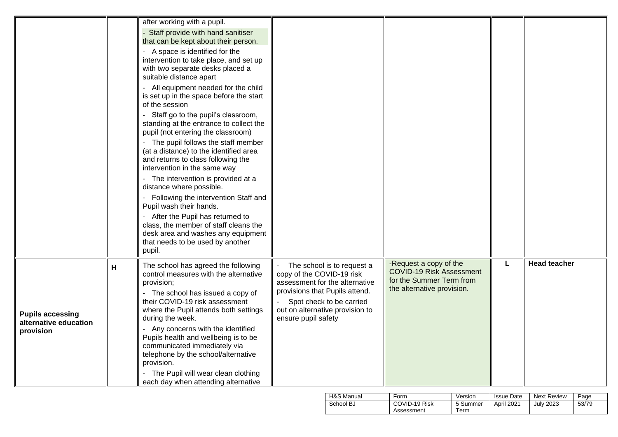|                                                               |   | after working with a pupil.<br>Staff provide with hand sanitiser<br>that can be kept about their person.<br>- A space is identified for the<br>intervention to take place, and set up<br>with two separate desks placed a<br>suitable distance apart<br>- All equipment needed for the child<br>is set up in the space before the start<br>of the session<br>Staff go to the pupil's classroom,<br>standing at the entrance to collect the<br>pupil (not entering the classroom)<br>The pupil follows the staff member<br>(at a distance) to the identified area<br>and returns to class following the<br>intervention in the same way<br>- The intervention is provided at a<br>distance where possible.<br>Following the intervention Staff and<br>Pupil wash their hands.<br>- After the Pupil has returned to<br>class, the member of staff cleans the<br>desk area and washes any equipment<br>that needs to be used by another |                                                                                                                                                                                                                   |                                                                                                                     |   |                     |
|---------------------------------------------------------------|---|--------------------------------------------------------------------------------------------------------------------------------------------------------------------------------------------------------------------------------------------------------------------------------------------------------------------------------------------------------------------------------------------------------------------------------------------------------------------------------------------------------------------------------------------------------------------------------------------------------------------------------------------------------------------------------------------------------------------------------------------------------------------------------------------------------------------------------------------------------------------------------------------------------------------------------------|-------------------------------------------------------------------------------------------------------------------------------------------------------------------------------------------------------------------|---------------------------------------------------------------------------------------------------------------------|---|---------------------|
| <b>Pupils accessing</b><br>alternative education<br>provision | н | pupil.<br>The school has agreed the following<br>control measures with the alternative<br>provision;<br>- The school has issued a copy of<br>their COVID-19 risk assessment<br>where the Pupil attends both settings<br>during the week.<br>- Any concerns with the identified<br>Pupils health and wellbeing is to be<br>communicated immediately via<br>telephone by the school/alternative<br>provision.<br>- The Pupil will wear clean clothing<br>each day when attending alternative                                                                                                                                                                                                                                                                                                                                                                                                                                           | The school is to request a<br>copy of the COVID-19 risk<br>assessment for the alternative<br>provisions that Pupils attend.<br>Spot check to be carried<br>out on alternative provision to<br>ensure pupil safety | -Request a copy of the<br><b>COVID-19 Risk Assessment</b><br>for the Summer Term from<br>the alternative provision. | L | <b>Head teacher</b> |

| H&S Manual | Form          | Version  | <b>Issue Date</b> | <b>Next Review</b> | Page  |
|------------|---------------|----------|-------------------|--------------------|-------|
| School BJ  | COVID-19 Risk | 5 Summer | April 2021        | <b>July 2023</b>   | 53/79 |
|            | Assessment    | erm      |                   |                    |       |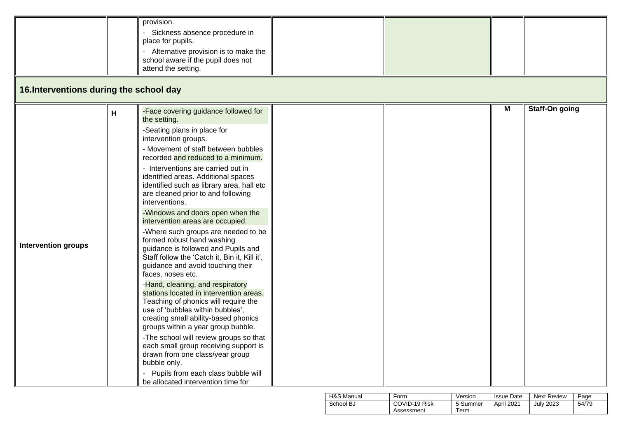|                                         |   | provision.<br>- Sickness absence procedure in<br>place for pupils.<br>- Alternative provision is to make the<br>school aware if the pupil does not<br>attend the setting.                                                                                                                                                                                                                                                                                                                                                                                                                                                                                                                                                                                                                                                                                                                                                                                                                                                                                                                                                              |  |  |   |                       |  |  |
|-----------------------------------------|---|----------------------------------------------------------------------------------------------------------------------------------------------------------------------------------------------------------------------------------------------------------------------------------------------------------------------------------------------------------------------------------------------------------------------------------------------------------------------------------------------------------------------------------------------------------------------------------------------------------------------------------------------------------------------------------------------------------------------------------------------------------------------------------------------------------------------------------------------------------------------------------------------------------------------------------------------------------------------------------------------------------------------------------------------------------------------------------------------------------------------------------------|--|--|---|-----------------------|--|--|
| 16. Interventions during the school day |   |                                                                                                                                                                                                                                                                                                                                                                                                                                                                                                                                                                                                                                                                                                                                                                                                                                                                                                                                                                                                                                                                                                                                        |  |  |   |                       |  |  |
| <b>Intervention groups</b>              | H | -Face covering guidance followed for<br>the setting.<br>-Seating plans in place for<br>intervention groups.<br>- Movement of staff between bubbles<br>recorded and reduced to a minimum.<br>- Interventions are carried out in<br>identified areas. Additional spaces<br>identified such as library area, hall etc<br>are cleaned prior to and following<br>interventions.<br>-Windows and doors open when the<br>intervention areas are occupied.<br>-Where such groups are needed to be<br>formed robust hand washing<br>guidance is followed and Pupils and<br>Staff follow the 'Catch it, Bin it, Kill it',<br>guidance and avoid touching their<br>faces, noses etc.<br>-Hand, cleaning, and respiratory<br>stations located in intervention areas.<br>Teaching of phonics will require the<br>use of 'bubbles within bubbles',<br>creating small ability-based phonics<br>groups within a year group bubble.<br>-The school will review groups so that<br>each small group receiving support is<br>drawn from one class/year group<br>bubble only.<br>- Pupils from each class bubble will<br>be allocated intervention time for |  |  | M | <b>Staff-On going</b> |  |  |

| H&S Manual | Form          | Version  | <b>Issue Date</b> | Next Review      | Page  |
|------------|---------------|----------|-------------------|------------------|-------|
| School BJ  | COVID-19 Risk | 5 Summer | April 2021        | <b>July 2023</b> | 54/79 |
|            | Assessment    | ™erm     |                   |                  |       |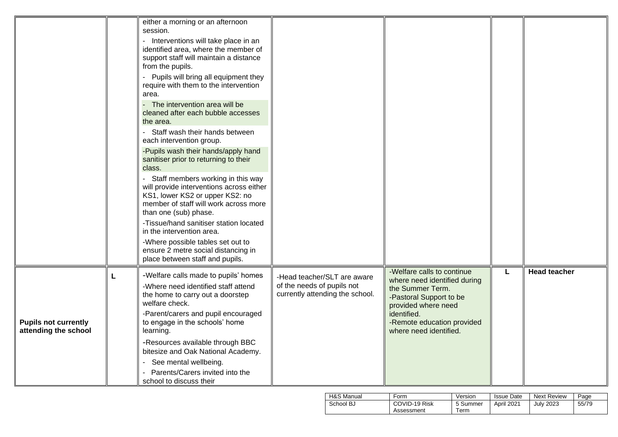|                                                     | either a morning or an afternoon<br>session.<br>Interventions will take place in an<br>identified area, where the member of<br>support staff will maintain a distance<br>from the pupils.<br>Pupils will bring all equipment they<br>require with them to the intervention<br>area.<br>The intervention area will be<br>cleaned after each bubble accesses<br>the area.<br>Staff wash their hands between<br>each intervention group.<br>-Pupils wash their hands/apply hand<br>sanitiser prior to returning to their<br>class.<br>Staff members working in this way<br>will provide interventions across either<br>KS1, lower KS2 or upper KS2: no<br>member of staff will work across more<br>than one (sub) phase.<br>-Tissue/hand sanitiser station located<br>in the intervention area.<br>-Where possible tables set out to<br>ensure 2 metre social distancing in<br>place between staff and pupils. |                                                                                              |                                                                                                                                                                                                         |   |                     |
|-----------------------------------------------------|-------------------------------------------------------------------------------------------------------------------------------------------------------------------------------------------------------------------------------------------------------------------------------------------------------------------------------------------------------------------------------------------------------------------------------------------------------------------------------------------------------------------------------------------------------------------------------------------------------------------------------------------------------------------------------------------------------------------------------------------------------------------------------------------------------------------------------------------------------------------------------------------------------------|----------------------------------------------------------------------------------------------|---------------------------------------------------------------------------------------------------------------------------------------------------------------------------------------------------------|---|---------------------|
| <b>Pupils not currently</b><br>attending the school | -Welfare calls made to pupils' homes<br>-Where need identified staff attend<br>the home to carry out a doorstep<br>welfare check.<br>-Parent/carers and pupil encouraged<br>to engage in the schools' home<br>learning.<br>-Resources available through BBC<br>bitesize and Oak National Academy.<br>See mental wellbeing.<br>Parents/Carers invited into the<br>school to discuss their                                                                                                                                                                                                                                                                                                                                                                                                                                                                                                                    | -Head teacher/SLT are aware<br>of the needs of pupils not<br>currently attending the school. | -Welfare calls to continue<br>where need identified during<br>the Summer Term.<br>-Pastoral Support to be<br>provided where need<br>identified.<br>-Remote education provided<br>where need identified. | L | <b>Head teacher</b> |

| H&S Manual | Form          | Version  | <b>Issue Date</b> | <b>Next Review</b> | Page  |
|------------|---------------|----------|-------------------|--------------------|-------|
| School BJ  | COVID-19 Risk | 5 Summer | April 2021        | <b>July 2023</b>   | 55/79 |
|            | Assessment    | erm      |                   |                    |       |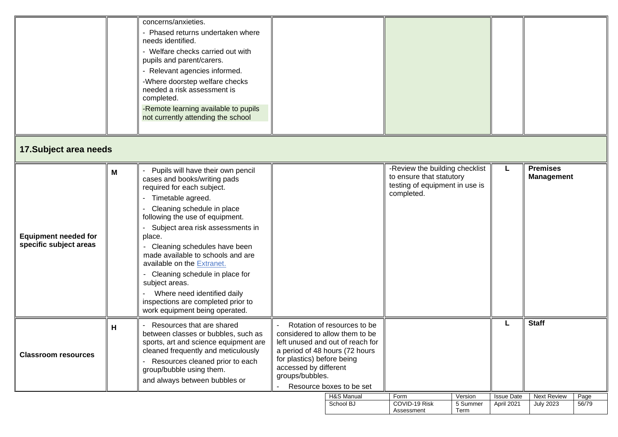|                                                       |   | concerns/anxieties.<br>Phased returns undertaken where<br>needs identified.<br>- Welfare checks carried out with<br>pupils and parent/carers.<br>Relevant agencies informed.<br>-Where doorstep welfare checks<br>needed a risk assessment is<br>completed.<br>-Remote learning available to pupils<br>not currently attending the school                                                                                                                                                                 |                                                                                                                                                                                                                                           |                         |                                                                                                            |                             |                                 |                                        |               |
|-------------------------------------------------------|---|-----------------------------------------------------------------------------------------------------------------------------------------------------------------------------------------------------------------------------------------------------------------------------------------------------------------------------------------------------------------------------------------------------------------------------------------------------------------------------------------------------------|-------------------------------------------------------------------------------------------------------------------------------------------------------------------------------------------------------------------------------------------|-------------------------|------------------------------------------------------------------------------------------------------------|-----------------------------|---------------------------------|----------------------------------------|---------------|
| 17. Subject area needs                                |   |                                                                                                                                                                                                                                                                                                                                                                                                                                                                                                           |                                                                                                                                                                                                                                           |                         |                                                                                                            |                             |                                 |                                        |               |
| <b>Equipment needed for</b><br>specific subject areas | M | Pupils will have their own pencil<br>cases and books/writing pads<br>required for each subject.<br>Timetable agreed.<br>Cleaning schedule in place<br>following the use of equipment.<br>Subject area risk assessments in<br>place.<br>Cleaning schedules have been<br>made available to schools and are<br>available on the <b>Extranet</b> .<br>Cleaning schedule in place for<br>subject areas.<br>Where need identified daily<br>inspections are completed prior to<br>work equipment being operated. |                                                                                                                                                                                                                                           |                         | -Review the building checklist<br>to ensure that statutory<br>testing of equipment in use is<br>completed. |                             | L.                              | <b>Premises</b><br><b>Management</b>   |               |
| <b>Classroom resources</b>                            | H | Resources that are shared<br>between classes or bubbles, such as<br>sports, art and science equipment are<br>cleaned frequently and meticulously<br>Resources cleaned prior to each<br>group/bubble using them.<br>and always between bubbles or                                                                                                                                                                                                                                                          | Rotation of resources to be<br>considered to allow them to be<br>left unused and out of reach for<br>a period of 48 hours (72 hours<br>for plastics) before being<br>accessed by different<br>groups/bubbles.<br>Resource boxes to be set |                         | L.                                                                                                         | <b>Staff</b>                |                                 |                                        |               |
|                                                       |   |                                                                                                                                                                                                                                                                                                                                                                                                                                                                                                           |                                                                                                                                                                                                                                           | H&S Manual<br>School BJ | Form<br>COVID-19 Risk<br>Assessment                                                                        | Version<br>5 Summer<br>Term | <b>Issue Date</b><br>April 2021 | <b>Next Review</b><br><b>July 2023</b> | Page<br>56/79 |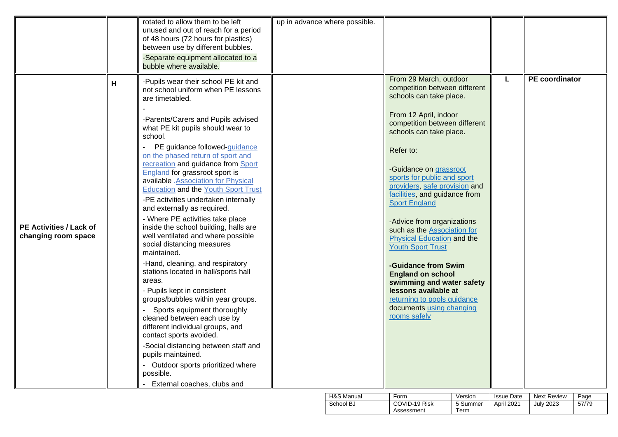|                                                |   | rotated to allow them to be left<br>unused and out of reach for a period<br>of 48 hours (72 hours for plastics)<br>between use by different bubbles.<br>-Separate equipment allocated to a<br>bubble where available.                                                                                                                                                                                                                                                                                                                                                                                                                                                                                                                                                                                                                                                                                                                                                                                                                                                                                       | up in advance where possible. |                                                                                                                                                                                                                                                                                                                                                                                                                                                                                                                                                                                                                                                          |    |                |
|------------------------------------------------|---|-------------------------------------------------------------------------------------------------------------------------------------------------------------------------------------------------------------------------------------------------------------------------------------------------------------------------------------------------------------------------------------------------------------------------------------------------------------------------------------------------------------------------------------------------------------------------------------------------------------------------------------------------------------------------------------------------------------------------------------------------------------------------------------------------------------------------------------------------------------------------------------------------------------------------------------------------------------------------------------------------------------------------------------------------------------------------------------------------------------|-------------------------------|----------------------------------------------------------------------------------------------------------------------------------------------------------------------------------------------------------------------------------------------------------------------------------------------------------------------------------------------------------------------------------------------------------------------------------------------------------------------------------------------------------------------------------------------------------------------------------------------------------------------------------------------------------|----|----------------|
| PE Activities / Lack of<br>changing room space | H | -Pupils wear their school PE kit and<br>not school uniform when PE lessons<br>are timetabled.<br>-Parents/Carers and Pupils advised<br>what PE kit pupils should wear to<br>school.<br>PE guidance followed-guidance<br>on the phased return of sport and<br>recreation and guidance from Sport<br><b>England</b> for grassroot sport is<br>available . Association for Physical<br><b>Education and the Youth Sport Trust</b><br>-PE activities undertaken internally<br>and externally as required.<br>- Where PE activities take place<br>inside the school building, halls are<br>well ventilated and where possible<br>social distancing measures<br>maintained.<br>-Hand, cleaning, and respiratory<br>stations located in hall/sports hall<br>areas.<br>- Pupils kept in consistent<br>groups/bubbles within year groups.<br>Sports equipment thoroughly<br>cleaned between each use by<br>different individual groups, and<br>contact sports avoided.<br>-Social distancing between staff and<br>pupils maintained.<br>Outdoor sports prioritized where<br>possible.<br>External coaches, clubs and |                               | From 29 March, outdoor<br>competition between different<br>schools can take place.<br>From 12 April, indoor<br>competition between different<br>schools can take place.<br>Refer to:<br>-Guidance on grassroot<br>sports for public and sport<br>providers, safe provision and<br>facilities, and guidance from<br><b>Sport England</b><br>-Advice from organizations<br>such as the Association for<br><b>Physical Education and the</b><br><b>Youth Sport Trust</b><br>-Guidance from Swim<br><b>England on school</b><br>swimming and water safety<br>lessons available at<br>returning to pools guidance<br>documents using changing<br>rooms safely | L. | PE coordinator |

| H&S Manual | Form          | Version  | <b>Issue Date</b> | <b>Next Review</b> | Page  |
|------------|---------------|----------|-------------------|--------------------|-------|
| School BJ  | COVID-19 Risk | 5 Summer | April 2021        | <b>July 2023</b>   | 57/79 |
|            | Assessment    | erm      |                   |                    |       |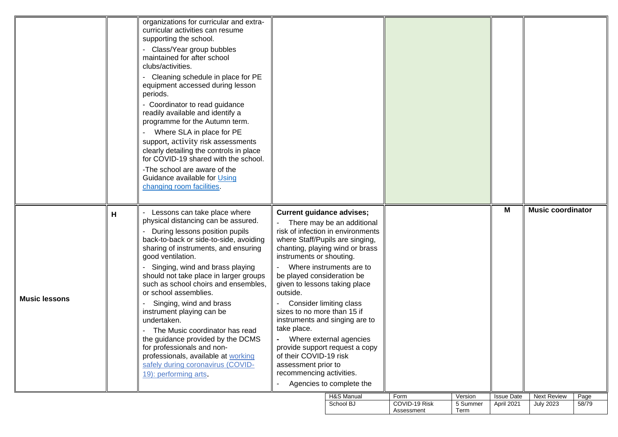|                      |   | organizations for curricular and extra-<br>curricular activities can resume                                                                                                  |                                                                         |                                                                                                                                       |                             |                  |                   |                          |       |
|----------------------|---|------------------------------------------------------------------------------------------------------------------------------------------------------------------------------|-------------------------------------------------------------------------|---------------------------------------------------------------------------------------------------------------------------------------|-----------------------------|------------------|-------------------|--------------------------|-------|
|                      |   | supporting the school.<br>Class/Year group bubbles<br>maintained for after school<br>clubs/activities.                                                                       |                                                                         |                                                                                                                                       |                             |                  |                   |                          |       |
|                      |   | Cleaning schedule in place for PE<br>equipment accessed during lesson<br>periods.                                                                                            |                                                                         |                                                                                                                                       |                             |                  |                   |                          |       |
|                      |   | Coordinator to read guidance<br>readily available and identify a<br>programme for the Autumn term.                                                                           |                                                                         |                                                                                                                                       |                             |                  |                   |                          |       |
|                      |   | Where SLA in place for PE<br>support, activity risk assessments                                                                                                              |                                                                         |                                                                                                                                       |                             |                  |                   |                          |       |
|                      |   | clearly detailing the controls in place<br>for COVID-19 shared with the school.                                                                                              |                                                                         |                                                                                                                                       |                             |                  |                   |                          |       |
|                      |   | -The school are aware of the<br>Guidance available for Using<br>changing room facilities                                                                                     |                                                                         |                                                                                                                                       |                             |                  |                   |                          |       |
|                      | H | Lessons can take place where                                                                                                                                                 | <b>Current guidance advises;</b>                                        |                                                                                                                                       |                             |                  | M                 | <b>Music coordinator</b> |       |
|                      |   | physical distancing can be assured.<br>During lessons position pupils<br>back-to-back or side-to-side, avoiding<br>sharing of instruments, and ensuring<br>good ventilation. | instruments or shouting.                                                | There may be an additional<br>risk of infection in environments<br>where Staff/Pupils are singing,<br>chanting, playing wind or brass |                             |                  |                   |                          |       |
|                      |   | Singing, wind and brass playing<br>should not take place in larger groups<br>such as school choirs and ensembles,<br>or school assemblies.                                   | be played consideration be<br>given to lessons taking place<br>outside. | Where instruments are to                                                                                                              |                             |                  |                   |                          |       |
| <b>Music lessons</b> |   | Singing, wind and brass<br>instrument playing can be<br>undertaken.<br>The Music coordinator has read                                                                        | Consider limiting class<br>sizes to no more than 15 if<br>take place.   | instruments and singing are to                                                                                                        |                             |                  |                   |                          |       |
|                      |   | the guidance provided by the DCMS<br>for professionals and non-<br>professionals, available at working                                                                       | of their COVID-19 risk                                                  | Where external agencies<br>provide support request a copy                                                                             |                             |                  |                   |                          |       |
|                      |   | safely during coronavirus (COVID-<br>19): performing arts.                                                                                                                   | assessment prior to<br>recommencing activities.                         |                                                                                                                                       |                             |                  |                   |                          |       |
|                      |   |                                                                                                                                                                              |                                                                         | Agencies to complete the                                                                                                              |                             |                  |                   |                          |       |
|                      |   |                                                                                                                                                                              |                                                                         | H&S Manual                                                                                                                            | Form                        | Version          | <b>Issue Date</b> | <b>Next Review</b>       | Page  |
|                      |   |                                                                                                                                                                              |                                                                         | School BJ                                                                                                                             | COVID-19 Risk<br>Assessment | 5 Summer<br>Term | April 2021        | <b>July 2023</b>         | 58/79 |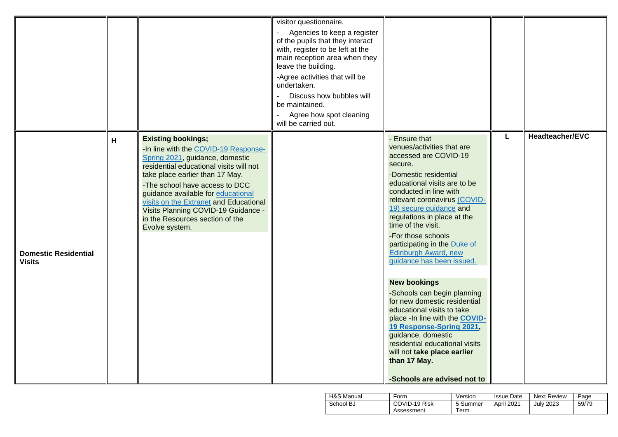|                                              |   |                                                                                                                                                                                                                                                                                                                                                                                                  | visitor questionnaire.<br>Agencies to keep a register<br>of the pupils that they interact<br>with, register to be left at the<br>main reception area when they<br>leave the building.<br>-Agree activities that will be<br>undertaken.<br>Discuss how bubbles will<br>be maintained.<br>Agree how spot cleaning<br>will be carried out. |                                                                                                                                                                                                                                                                                                                                                                                                                                                                                                                                                                                                                                                                                                                        |    |                        |
|----------------------------------------------|---|--------------------------------------------------------------------------------------------------------------------------------------------------------------------------------------------------------------------------------------------------------------------------------------------------------------------------------------------------------------------------------------------------|-----------------------------------------------------------------------------------------------------------------------------------------------------------------------------------------------------------------------------------------------------------------------------------------------------------------------------------------|------------------------------------------------------------------------------------------------------------------------------------------------------------------------------------------------------------------------------------------------------------------------------------------------------------------------------------------------------------------------------------------------------------------------------------------------------------------------------------------------------------------------------------------------------------------------------------------------------------------------------------------------------------------------------------------------------------------------|----|------------------------|
| <b>Domestic Residential</b><br><b>Visits</b> | H | <b>Existing bookings;</b><br>-In line with the COVID-19 Response-<br>Spring 2021, guidance, domestic<br>residential educational visits will not<br>take place earlier than 17 May.<br>-The school have access to DCC<br>guidance available for educational<br>visits on the Extranet and Educational<br>Visits Planning COVID-19 Guidance -<br>in the Resources section of the<br>Evolve system. |                                                                                                                                                                                                                                                                                                                                         | - Ensure that<br>venues/activities that are<br>accessed are COVID-19<br>secure.<br>-Domestic residential<br>educational visits are to be<br>conducted in line with<br>relevant coronavirus (COVID-<br>19) secure guidance and<br>regulations in place at the<br>time of the visit.<br>-For those schools<br>participating in the Duke of<br>Edinburgh Award, new<br>quidance has been issued.<br><b>New bookings</b><br>-Schools can begin planning<br>for new domestic residential<br>educational visits to take<br>place - In line with the COVID-<br>19 Response-Spring 2021,<br>guidance, domestic<br>residential educational visits<br>will not take place earlier<br>than 17 May.<br>-Schools are advised not to | L. | <b>Headteacher/EVC</b> |

| H&S Manual | Form          | Version  | <b>Issue Date</b> | <b>Next Review</b> | Page  |
|------------|---------------|----------|-------------------|--------------------|-------|
| School BJ  | COVID-19 Risk | 5 Summer | April 2021        | <b>July 2023</b>   | 59/79 |
|            | Assessment    | ⊺erm     |                   |                    |       |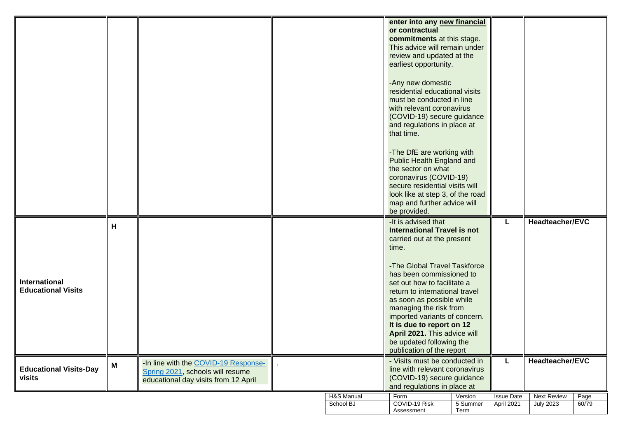|                                                   |   |                                                                                                                  |                         | enter into any new financial<br>or contractual<br>commitments at this stage.<br>This advice will remain under<br>review and updated at the<br>earliest opportunity.                                                                                                                                                                     |                     |                                 |                                        |               |
|---------------------------------------------------|---|------------------------------------------------------------------------------------------------------------------|-------------------------|-----------------------------------------------------------------------------------------------------------------------------------------------------------------------------------------------------------------------------------------------------------------------------------------------------------------------------------------|---------------------|---------------------------------|----------------------------------------|---------------|
|                                                   |   |                                                                                                                  |                         | -Any new domestic<br>residential educational visits<br>must be conducted in line<br>with relevant coronavirus<br>(COVID-19) secure guidance<br>and regulations in place at<br>that time.                                                                                                                                                |                     |                                 |                                        |               |
|                                                   |   |                                                                                                                  |                         | -The DfE are working with<br>Public Health England and<br>the sector on what<br>coronavirus (COVID-19)<br>secure residential visits will<br>look like at step 3, of the road<br>map and further advice will<br>be provided.                                                                                                             |                     |                                 |                                        |               |
|                                                   |   |                                                                                                                  |                         | -It is advised that                                                                                                                                                                                                                                                                                                                     |                     | L                               | Headteacher/EVC                        |               |
|                                                   | н |                                                                                                                  |                         | <b>International Travel is not</b><br>carried out at the present<br>time.                                                                                                                                                                                                                                                               |                     |                                 |                                        |               |
| <b>International</b><br><b>Educational Visits</b> |   |                                                                                                                  |                         | -The Global Travel Taskforce<br>has been commissioned to<br>set out how to facilitate a<br>return to international travel<br>as soon as possible while<br>managing the risk from<br>imported variants of concern.<br>It is due to report on 12<br>April 2021. This advice will<br>be updated following the<br>publication of the report |                     |                                 |                                        |               |
| <b>Educational Visits-Day</b><br>visits           | M | -In line with the COVID-19 Response-<br>Spring 2021, schools will resume<br>educational day visits from 12 April |                         | - Visits must be conducted in<br>line with relevant coronavirus<br>(COVID-19) secure guidance<br>and regulations in place at                                                                                                                                                                                                            |                     | L.                              | Headteacher/EVC                        |               |
|                                                   |   |                                                                                                                  | H&S Manual<br>School BJ | Form<br>COVID-19 Risk                                                                                                                                                                                                                                                                                                                   | Version<br>5 Summer | <b>Issue Date</b><br>April 2021 | <b>Next Review</b><br><b>July 2023</b> | Page<br>60/79 |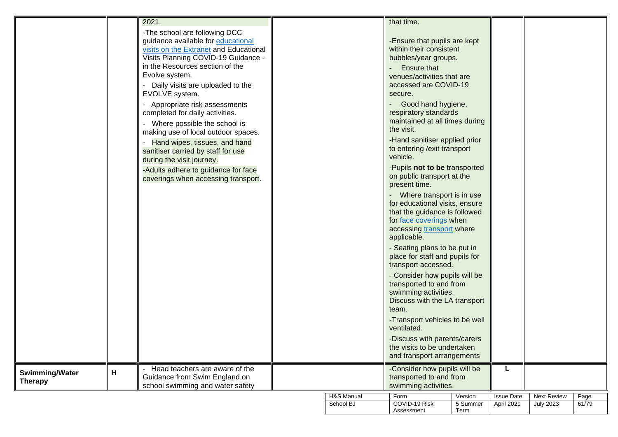|                                  |   | 2021.                                                                                                                                                                                                                                                           |                         | that time.                                                                                                                                                               |                  |                   |                    |       |
|----------------------------------|---|-----------------------------------------------------------------------------------------------------------------------------------------------------------------------------------------------------------------------------------------------------------------|-------------------------|--------------------------------------------------------------------------------------------------------------------------------------------------------------------------|------------------|-------------------|--------------------|-------|
|                                  |   | -The school are following DCC<br>guidance available for educational<br>visits on the Extranet and Educational<br>Visits Planning COVID-19 Guidance -<br>in the Resources section of the<br>Evolve system.<br>Daily visits are uploaded to the<br>EVOLVE system. |                         | -Ensure that pupils are kept<br>within their consistent<br>bubbles/year groups.<br><b>Ensure that</b><br>venues/activities that are<br>accessed are COVID-19<br>secure.  |                  |                   |                    |       |
|                                  |   | Appropriate risk assessments<br>completed for daily activities.<br>Where possible the school is<br>making use of local outdoor spaces.<br>Hand wipes, tissues, and hand<br>sanitiser carried by staff for use<br>during the visit journey.                      |                         | Good hand hygiene,<br>respiratory standards<br>maintained at all times during<br>the visit.<br>-Hand sanitiser applied prior<br>to entering / exit transport<br>vehicle. |                  |                   |                    |       |
|                                  |   | -Adults adhere to guidance for face<br>coverings when accessing transport.                                                                                                                                                                                      |                         | -Pupils not to be transported<br>on public transport at the<br>present time.                                                                                             |                  |                   |                    |       |
|                                  |   |                                                                                                                                                                                                                                                                 |                         | - Where transport is in use<br>for educational visits, ensure<br>that the guidance is followed<br>for face coverings when<br>accessing transport where<br>applicable.    |                  |                   |                    |       |
|                                  |   |                                                                                                                                                                                                                                                                 |                         | - Seating plans to be put in<br>place for staff and pupils for<br>transport accessed.                                                                                    |                  |                   |                    |       |
|                                  |   |                                                                                                                                                                                                                                                                 |                         | - Consider how pupils will be<br>transported to and from<br>swimming activities.<br>Discuss with the LA transport<br>team.<br>-Transport vehicles to be well             |                  |                   |                    |       |
|                                  |   |                                                                                                                                                                                                                                                                 |                         | ventilated.<br>-Discuss with parents/carers<br>the visits to be undertaken<br>and transport arrangements                                                                 |                  |                   |                    |       |
| Swimming/Water<br><b>Therapy</b> | н | Head teachers are aware of the<br>Guidance from Swim England on<br>school swimming and water safety                                                                                                                                                             |                         | -Consider how pupils will be<br>transported to and from<br>swimming activities.                                                                                          |                  | L                 |                    |       |
|                                  |   |                                                                                                                                                                                                                                                                 | H&S Manual<br>School BJ | Form<br>COVID-19 Risk                                                                                                                                                    | Version          | <b>Issue Date</b> | <b>Next Review</b> | Page  |
|                                  |   |                                                                                                                                                                                                                                                                 |                         | Assessment                                                                                                                                                               | 5 Summer<br>Term | April 2021        | <b>July 2023</b>   | 61/79 |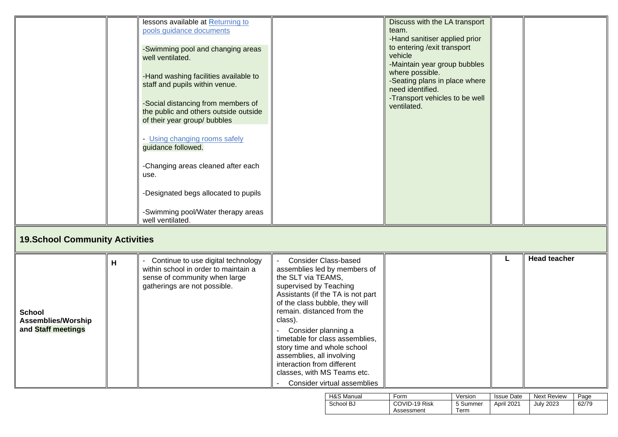|                                       | lessons available at Returning to     |                                                         |                                   | Discuss with the LA transport           |                                   |                                 |                                 |               |
|---------------------------------------|---------------------------------------|---------------------------------------------------------|-----------------------------------|-----------------------------------------|-----------------------------------|---------------------------------|---------------------------------|---------------|
|                                       | pools guidance documents              |                                                         |                                   | team.                                   |                                   |                                 |                                 |               |
|                                       |                                       |                                                         |                                   | -Hand sanitiser applied prior           |                                   |                                 |                                 |               |
|                                       | -Swimming pool and changing areas     |                                                         |                                   | to entering / exit transport<br>vehicle |                                   |                                 |                                 |               |
|                                       | well ventilated.                      |                                                         |                                   | -Maintain year group bubbles            |                                   |                                 |                                 |               |
|                                       |                                       |                                                         |                                   | where possible.                         |                                   |                                 |                                 |               |
|                                       | -Hand washing facilities available to |                                                         |                                   | -Seating plans in place where           |                                   |                                 |                                 |               |
|                                       | staff and pupils within venue.        |                                                         |                                   | need identified.                        |                                   |                                 |                                 |               |
|                                       | -Social distancing from members of    |                                                         |                                   | -Transport vehicles to be well          |                                   |                                 |                                 |               |
|                                       | the public and others outside outside |                                                         |                                   | ventilated.                             |                                   |                                 |                                 |               |
|                                       | of their year group/ bubbles          |                                                         |                                   |                                         |                                   |                                 |                                 |               |
|                                       |                                       |                                                         |                                   |                                         |                                   |                                 |                                 |               |
|                                       | - Using changing rooms safely         |                                                         |                                   |                                         |                                   |                                 |                                 |               |
|                                       | guidance followed.                    |                                                         |                                   |                                         |                                   |                                 |                                 |               |
|                                       |                                       |                                                         |                                   |                                         |                                   |                                 |                                 |               |
|                                       | -Changing areas cleaned after each    |                                                         |                                   |                                         |                                   |                                 |                                 |               |
|                                       | use.                                  |                                                         |                                   |                                         |                                   |                                 |                                 |               |
|                                       | -Designated begs allocated to pupils  |                                                         |                                   |                                         |                                   |                                 |                                 |               |
|                                       |                                       |                                                         |                                   |                                         |                                   |                                 |                                 |               |
|                                       | -Swimming pool/Water therapy areas    |                                                         |                                   |                                         |                                   |                                 |                                 |               |
|                                       | well ventilated.                      |                                                         |                                   |                                         |                                   |                                 |                                 |               |
|                                       |                                       |                                                         |                                   |                                         |                                   |                                 |                                 |               |
| <b>19.School Community Activities</b> |                                       |                                                         |                                   |                                         |                                   |                                 |                                 |               |
|                                       |                                       |                                                         |                                   |                                         |                                   |                                 |                                 |               |
| н                                     | Continue to use digital technology    |                                                         | <b>Consider Class-based</b>       |                                         |                                   |                                 | <b>Head teacher</b>             |               |
|                                       | within school in order to maintain a  |                                                         | assemblies led by members of      |                                         |                                   |                                 |                                 |               |
|                                       | sense of community when large         | the SLT via TEAMS,                                      |                                   |                                         |                                   |                                 |                                 |               |
|                                       | gatherings are not possible.          | supervised by Teaching                                  | Assistants (if the TA is not part |                                         |                                   |                                 |                                 |               |
|                                       |                                       | of the class bubble, they will                          |                                   |                                         |                                   |                                 |                                 |               |
| <b>School</b>                         |                                       | remain. distanced from the                              |                                   |                                         |                                   |                                 |                                 |               |
| <b>Assemblies/Worship</b>             |                                       | class).                                                 |                                   |                                         |                                   |                                 |                                 |               |
| and Staff meetings                    |                                       | Consider planning a                                     |                                   |                                         |                                   |                                 |                                 |               |
|                                       |                                       |                                                         | timetable for class assemblies,   |                                         |                                   |                                 |                                 |               |
|                                       |                                       | story time and whole school                             |                                   |                                         |                                   |                                 |                                 |               |
|                                       |                                       | assemblies, all involving<br>interaction from different |                                   |                                         |                                   |                                 |                                 |               |
|                                       |                                       |                                                         | classes, with MS Teams etc.       |                                         |                                   |                                 |                                 |               |
|                                       |                                       |                                                         | Consider virtual assemblies       |                                         |                                   |                                 |                                 |               |
|                                       |                                       |                                                         |                                   |                                         |                                   |                                 |                                 |               |
|                                       |                                       |                                                         | H&S Manual<br>School BJ           | Form<br>COVID-19 Risk                   | $\overline{V}$ ersion<br>5 Summer | <b>Issue Date</b><br>April 2021 | Next Review<br><b>July 2023</b> | Page<br>62/79 |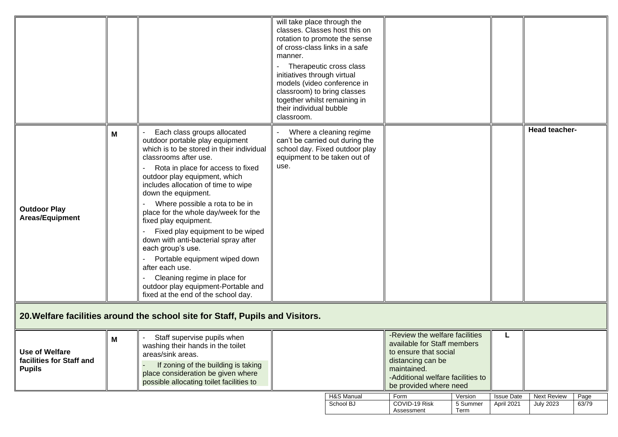|                                                                         |                                                                                                                                                                                                                                                                                                                                                                                                                                                                                                                                                                                                                                                | will take place through the<br>classes. Classes host this on<br>rotation to promote the sense<br>of cross-class links in a safe<br>manner.<br>initiatives through virtual<br>models (video conference in<br>classroom) to bring classes<br>together whilst remaining in<br>their individual bubble<br>classroom. | Therapeutic cross class                                                                      |                                                                                                                                                                                           |                             |                                 |                                        |               |
|-------------------------------------------------------------------------|------------------------------------------------------------------------------------------------------------------------------------------------------------------------------------------------------------------------------------------------------------------------------------------------------------------------------------------------------------------------------------------------------------------------------------------------------------------------------------------------------------------------------------------------------------------------------------------------------------------------------------------------|------------------------------------------------------------------------------------------------------------------------------------------------------------------------------------------------------------------------------------------------------------------------------------------------------------------|----------------------------------------------------------------------------------------------|-------------------------------------------------------------------------------------------------------------------------------------------------------------------------------------------|-----------------------------|---------------------------------|----------------------------------------|---------------|
| M<br><b>Outdoor Play</b><br>Areas/Equipment                             | Each class groups allocated<br>outdoor portable play equipment<br>which is to be stored in their individual<br>classrooms after use.<br>Rota in place for access to fixed<br>outdoor play equipment, which<br>includes allocation of time to wipe<br>down the equipment.<br>Where possible a rota to be in<br>place for the whole day/week for the<br>fixed play equipment.<br>Fixed play equipment to be wiped<br>down with anti-bacterial spray after<br>each group's use.<br>Portable equipment wiped down<br>after each use.<br>Cleaning regime in place for<br>outdoor play equipment-Portable and<br>fixed at the end of the school day. | equipment to be taken out of<br>use.                                                                                                                                                                                                                                                                             | Where a cleaning regime<br>can't be carried out during the<br>school day. Fixed outdoor play |                                                                                                                                                                                           |                             |                                 | Head teacher-                          |               |
|                                                                         | 20. Welfare facilities around the school site for Staff, Pupils and Visitors.                                                                                                                                                                                                                                                                                                                                                                                                                                                                                                                                                                  |                                                                                                                                                                                                                                                                                                                  |                                                                                              |                                                                                                                                                                                           |                             |                                 |                                        |               |
| M<br><b>Use of Welfare</b><br>facilities for Staff and<br><b>Pupils</b> | Staff supervise pupils when<br>washing their hands in the toilet<br>areas/sink areas.<br>If zoning of the building is taking<br>place consideration be given where<br>possible allocating toilet facilities to                                                                                                                                                                                                                                                                                                                                                                                                                                 |                                                                                                                                                                                                                                                                                                                  |                                                                                              | -Review the welfare facilities<br>available for Staff members<br>to ensure that social<br>distancing can be<br>maintained.<br>-Additional welfare facilities to<br>be provided where need |                             |                                 |                                        |               |
|                                                                         |                                                                                                                                                                                                                                                                                                                                                                                                                                                                                                                                                                                                                                                |                                                                                                                                                                                                                                                                                                                  | H&S Manual<br>School BJ                                                                      | Form<br>COVID-19 Risk<br>Assessment                                                                                                                                                       | Version<br>5 Summer<br>Term | <b>Issue Date</b><br>April 2021 | <b>Next Review</b><br><b>July 2023</b> | Page<br>63/79 |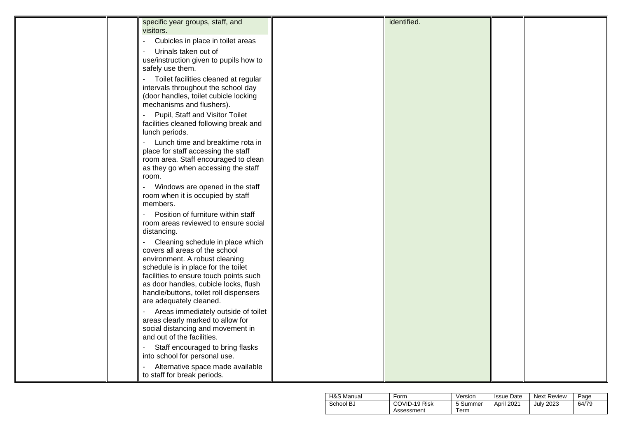|  | specific year groups, staff, and<br>visitors.                                   | identified. |  |
|--|---------------------------------------------------------------------------------|-------------|--|
|  | Cubicles in place in toilet areas                                               |             |  |
|  | Urinals taken out of                                                            |             |  |
|  | use/instruction given to pupils how to                                          |             |  |
|  | safely use them.                                                                |             |  |
|  | Toilet facilities cleaned at regular                                            |             |  |
|  | intervals throughout the school day<br>(door handles, toilet cubicle locking    |             |  |
|  | mechanisms and flushers).                                                       |             |  |
|  | Pupil, Staff and Visitor Toilet                                                 |             |  |
|  | facilities cleaned following break and                                          |             |  |
|  | lunch periods.                                                                  |             |  |
|  | Lunch time and breaktime rota in                                                |             |  |
|  | place for staff accessing the staff                                             |             |  |
|  | room area. Staff encouraged to clean<br>as they go when accessing the staff     |             |  |
|  | room.                                                                           |             |  |
|  | Windows are opened in the staff                                                 |             |  |
|  | room when it is occupied by staff                                               |             |  |
|  | members.                                                                        |             |  |
|  | Position of furniture within staff                                              |             |  |
|  | room areas reviewed to ensure social                                            |             |  |
|  | distancing.                                                                     |             |  |
|  | Cleaning schedule in place which<br>covers all areas of the school              |             |  |
|  | environment. A robust cleaning                                                  |             |  |
|  | schedule is in place for the toilet                                             |             |  |
|  | facilities to ensure touch points such                                          |             |  |
|  | as door handles, cubicle locks, flush<br>handle/buttons, toilet roll dispensers |             |  |
|  | are adequately cleaned.                                                         |             |  |
|  | Areas immediately outside of toilet                                             |             |  |
|  | areas clearly marked to allow for                                               |             |  |
|  | social distancing and movement in                                               |             |  |
|  | and out of the facilities.                                                      |             |  |
|  | Staff encouraged to bring flasks<br>into school for personal use.               |             |  |
|  |                                                                                 |             |  |
|  | Alternative space made available<br>to staff for break periods.                 |             |  |
|  |                                                                                 |             |  |

| H&S Manual | Form          | Version  | <b>Issue Date</b> | <b>Next Review</b> | Page  |
|------------|---------------|----------|-------------------|--------------------|-------|
| School BJ  | COVID-19 Risk | 5 Summer | April 2021        | <b>July 2023</b>   | 64/79 |
|            | Assessment    | ⊺erm     |                   |                    |       |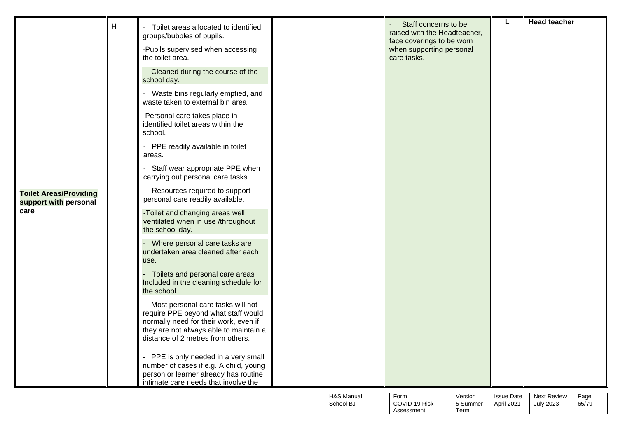|                                                        |   |                                                                                                                                                                                                    | Staff concerns to be                    | L. | <b>Head teacher</b> |
|--------------------------------------------------------|---|----------------------------------------------------------------------------------------------------------------------------------------------------------------------------------------------------|-----------------------------------------|----|---------------------|
|                                                        | H | Toilet areas allocated to identified                                                                                                                                                               | raised with the Headteacher,            |    |                     |
|                                                        |   | groups/bubbles of pupils.                                                                                                                                                                          | face coverings to be worn               |    |                     |
|                                                        |   | -Pupils supervised when accessing<br>the toilet area.                                                                                                                                              | when supporting personal<br>care tasks. |    |                     |
|                                                        |   | - Cleaned during the course of the<br>school day.                                                                                                                                                  |                                         |    |                     |
|                                                        |   | - Waste bins regularly emptied, and<br>waste taken to external bin area                                                                                                                            |                                         |    |                     |
|                                                        |   | -Personal care takes place in<br>identified toilet areas within the<br>school.                                                                                                                     |                                         |    |                     |
|                                                        |   | - PPE readily available in toilet<br>areas.                                                                                                                                                        |                                         |    |                     |
|                                                        |   | - Staff wear appropriate PPE when<br>carrying out personal care tasks.                                                                                                                             |                                         |    |                     |
| <b>Toilet Areas/Providing</b><br>support with personal |   | - Resources required to support<br>personal care readily available.                                                                                                                                |                                         |    |                     |
| care                                                   |   | -Toilet and changing areas well<br>ventilated when in use /throughout<br>the school day.                                                                                                           |                                         |    |                     |
|                                                        |   | - Where personal care tasks are<br>undertaken area cleaned after each<br>use.                                                                                                                      |                                         |    |                     |
|                                                        |   | - Toilets and personal care areas<br>Included in the cleaning schedule for<br>the school.                                                                                                          |                                         |    |                     |
|                                                        |   | - Most personal care tasks will not<br>require PPE beyond what staff would<br>normally need for their work, even if<br>they are not always able to maintain a<br>distance of 2 metres from others. |                                         |    |                     |
|                                                        |   | - PPE is only needed in a very small<br>number of cases if e.g. A child, young<br>person or learner already has routine<br>intimate care needs that involve the                                    |                                         |    |                     |

| H&S Manual | Form          | Version  | <b>Issue Date</b> | <b>Next Review</b> | Page  |
|------------|---------------|----------|-------------------|--------------------|-------|
| School BJ  | COVID-19 Risk | 5 Summer | April 2021        | <b>July 2023</b>   | 65/79 |
|            | Assessment    | erm      |                   |                    |       |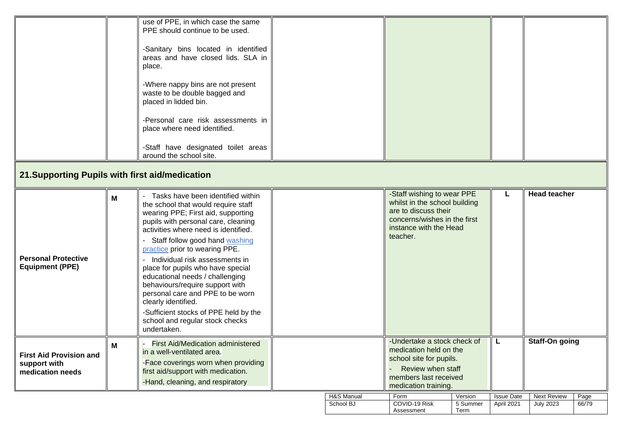|                                                                    |   | use of PPE, in which case the same<br>PPE should continue to be used.<br>-Sanitary bins located in identified<br>areas and have closed lids. SLA in<br>place.<br>-Where nappy bins are not present<br>waste to be double bagged and<br>placed in lidded bin.<br>-Personal care risk assessments in<br>place where need identified.<br>-Staff have designated toilet areas<br>around the school site.                                                                                                                                                                 |                         |                                                                                                                                                           |                             |                                 |                                        |               |
|--------------------------------------------------------------------|---|----------------------------------------------------------------------------------------------------------------------------------------------------------------------------------------------------------------------------------------------------------------------------------------------------------------------------------------------------------------------------------------------------------------------------------------------------------------------------------------------------------------------------------------------------------------------|-------------------------|-----------------------------------------------------------------------------------------------------------------------------------------------------------|-----------------------------|---------------------------------|----------------------------------------|---------------|
| 21. Supporting Pupils with first aid/medication                    |   |                                                                                                                                                                                                                                                                                                                                                                                                                                                                                                                                                                      |                         |                                                                                                                                                           |                             |                                 |                                        |               |
| <b>Personal Protective</b><br><b>Equipment (PPE)</b>               | м | Tasks have been identified within<br>the school that would require staff<br>wearing PPE; First aid, supporting<br>pupils with personal care, cleaning<br>activities where need is identified.<br>Staff follow good hand washing<br>practice prior to wearing PPE.<br>Individual risk assessments in<br>place for pupils who have special<br>educational needs / challenging<br>behaviours/require support with<br>personal care and PPE to be worn<br>clearly identified.<br>-Sufficient stocks of PPE held by the<br>school and regular stock checks<br>undertaken. |                         | -Staff wishing to wear PPE<br>whilst in the school building<br>are to discuss their<br>concerns/wishes in the first<br>instance with the Head<br>teacher. |                             |                                 | <b>Head teacher</b>                    |               |
| <b>First Aid Provision and</b><br>support with<br>medication needs | M | <b>First Aid/Medication administered</b><br>in a well-ventilated area.<br>-Face coverings worn when providing<br>first aid/support with medication.<br>-Hand, cleaning, and respiratory                                                                                                                                                                                                                                                                                                                                                                              |                         | -Undertake a stock check of<br>medication held on the<br>school site for pupils.<br>Review when staff<br>members last received<br>medication training.    |                             |                                 | Staff-On going                         |               |
|                                                                    |   |                                                                                                                                                                                                                                                                                                                                                                                                                                                                                                                                                                      | H&S Manual<br>School BJ | Form<br>COVID-19 Risk<br>Assessment                                                                                                                       | Version<br>5 Summer<br>Term | <b>Issue Date</b><br>April 2021 | <b>Next Review</b><br><b>July 2023</b> | Page<br>66/79 |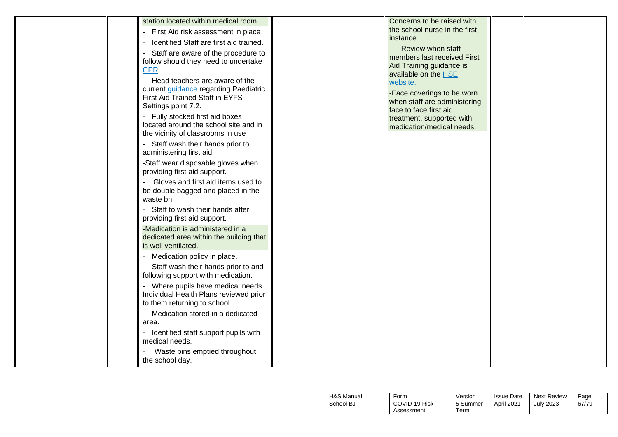| station located within medical room.                                   | Concerns to be raised with<br>the school nurse in the first |  |
|------------------------------------------------------------------------|-------------------------------------------------------------|--|
| First Aid risk assessment in place                                     | instance.                                                   |  |
| Identified Staff are first aid trained.                                |                                                             |  |
| Staff are aware of the procedure to                                    | Review when staff<br>members last received First            |  |
| follow should they need to undertake                                   | Aid Training guidance is                                    |  |
| <b>CPR</b>                                                             | available on the <b>HSE</b>                                 |  |
| Head teachers are aware of the                                         | website.                                                    |  |
| current guidance regarding Paediatric                                  | -Face coverings to be worn                                  |  |
| First Aid Trained Staff in EYFS                                        | when staff are administering                                |  |
| Settings point 7.2.                                                    | face to face first aid                                      |  |
| - Fully stocked first aid boxes                                        | treatment, supported with                                   |  |
| located around the school site and in                                  | medication/medical needs.                                   |  |
| the vicinity of classrooms in use                                      |                                                             |  |
| Staff wash their hands prior to                                        |                                                             |  |
| administering first aid                                                |                                                             |  |
| -Staff wear disposable gloves when                                     |                                                             |  |
| providing first aid support.                                           |                                                             |  |
| Gloves and first aid items used to                                     |                                                             |  |
| be double bagged and placed in the<br>waste bn.                        |                                                             |  |
|                                                                        |                                                             |  |
| Staff to wash their hands after                                        |                                                             |  |
| providing first aid support.                                           |                                                             |  |
| -Medication is administered in a                                       |                                                             |  |
| dedicated area within the building that<br>is well ventilated.         |                                                             |  |
|                                                                        |                                                             |  |
| Medication policy in place.                                            |                                                             |  |
| Staff wash their hands prior to and                                    |                                                             |  |
| following support with medication.                                     |                                                             |  |
| Where pupils have medical needs                                        |                                                             |  |
| Individual Health Plans reviewed prior<br>to them returning to school. |                                                             |  |
|                                                                        |                                                             |  |
| Medication stored in a dedicated                                       |                                                             |  |
| area.                                                                  |                                                             |  |
| Identified staff support pupils with<br>medical needs.                 |                                                             |  |
|                                                                        |                                                             |  |
| Waste bins emptied throughout                                          |                                                             |  |
| the school day.                                                        |                                                             |  |

| School BJ<br>COVID-19 Risk<br>Julv 2023<br>April 2021<br>5 Summer<br>⊺erm<br>Assessment | 67/79 |
|-----------------------------------------------------------------------------------------|-------|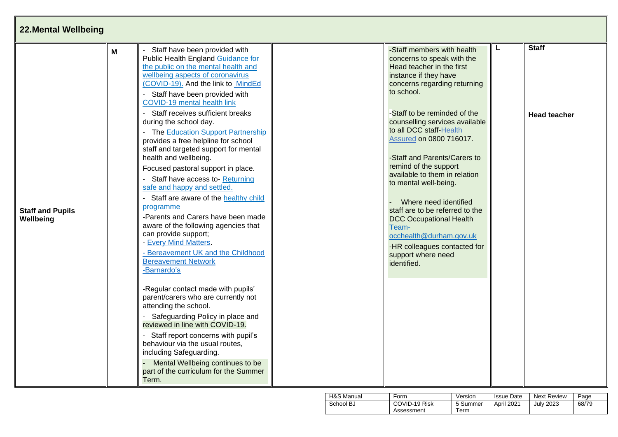| <b>22. Mental Wellbeing</b>          |   |                                                                                                                                                                                                                                                                                                                                                                                                                                                                                                                                                                                                                                                                                                                                                                                                                                                                                                                                                                                                                                                                                                                                                                                                                                            |                                                                                                                                                                                                                                                                                                                                                                                                                                                                                                                                                                                                                |                                     |
|--------------------------------------|---|--------------------------------------------------------------------------------------------------------------------------------------------------------------------------------------------------------------------------------------------------------------------------------------------------------------------------------------------------------------------------------------------------------------------------------------------------------------------------------------------------------------------------------------------------------------------------------------------------------------------------------------------------------------------------------------------------------------------------------------------------------------------------------------------------------------------------------------------------------------------------------------------------------------------------------------------------------------------------------------------------------------------------------------------------------------------------------------------------------------------------------------------------------------------------------------------------------------------------------------------|----------------------------------------------------------------------------------------------------------------------------------------------------------------------------------------------------------------------------------------------------------------------------------------------------------------------------------------------------------------------------------------------------------------------------------------------------------------------------------------------------------------------------------------------------------------------------------------------------------------|-------------------------------------|
| <b>Staff and Pupils</b><br>Wellbeing | M | - Staff have been provided with<br><b>Public Health England Guidance for</b><br>the public on the mental health and<br>wellbeing aspects of coronavirus<br>(COVID-19). And the link to MindEd<br>Staff have been provided with<br><b>COVID-19 mental health link</b><br>Staff receives sufficient breaks<br>during the school day.<br>The Education Support Partnership<br>provides a free helpline for school<br>staff and targeted support for mental<br>health and wellbeing.<br>Focused pastoral support in place.<br>Staff have access to- Returning<br>safe and happy and settled.<br>- Staff are aware of the healthy child<br>programme<br>-Parents and Carers have been made<br>aware of the following agencies that<br>can provide support;<br>- Every Mind Matters.<br>Bereavement UK and the Childhood<br><b>Bereavement Network</b><br>-Barnardo's<br>-Regular contact made with pupils'<br>parent/carers who are currently not<br>attending the school.<br>- Safeguarding Policy in place and<br>reviewed in line with COVID-19.<br>- Staff report concerns with pupil's<br>behaviour via the usual routes,<br>including Safeguarding.<br>Mental Wellbeing continues to be<br>part of the curriculum for the Summer<br>Term. | -Staff members with health<br>concerns to speak with the<br>Head teacher in the first<br>instance if they have<br>concerns regarding returning<br>to school.<br>-Staff to be reminded of the<br>counselling services available<br>to all DCC staff-Health<br>Assured on 0800 716017.<br>-Staff and Parents/Carers to<br>remind of the support<br>available to them in relation<br>to mental well-being.<br>Where need identified<br>staff are to be referred to the<br><b>DCC Occupational Health</b><br>Team-<br>occhealth@durham.gov.uk<br>-HR colleagues contacted for<br>support where need<br>identified. | <b>Staff</b><br><b>Head teacher</b> |

| H&S Manual | Form                        | Version         | <b>Issue Date</b> | <b>Next Review</b> | Page  |
|------------|-----------------------------|-----------------|-------------------|--------------------|-------|
| School BJ  | COVID-19 Risk<br>Assessment | 5 Summer<br>erm | <b>April 2021</b> | <b>July 2023</b>   | 68/79 |
|            |                             |                 |                   |                    |       |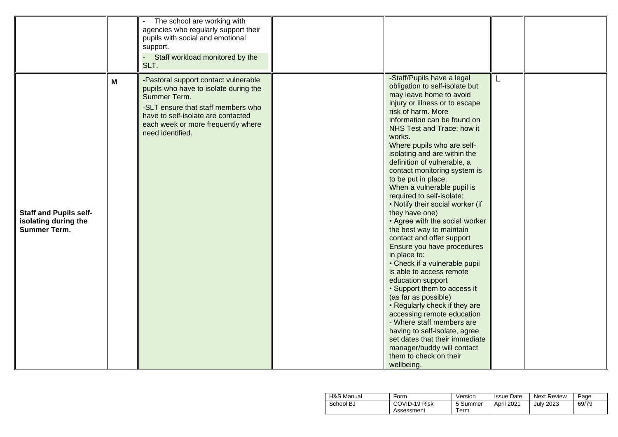|                                                                              |   | The school are working with<br>agencies who regularly support their<br>pupils with social and emotional<br>support.<br>Staff workload monitored by the<br>SLT.                                                                      |                                                                                                                                                                                                                                                                                                                                                                                                                                                                                                                                                                                                                                                                                                                                                                                                                                                                                                                                                                                                                    |    |  |
|------------------------------------------------------------------------------|---|-------------------------------------------------------------------------------------------------------------------------------------------------------------------------------------------------------------------------------------|--------------------------------------------------------------------------------------------------------------------------------------------------------------------------------------------------------------------------------------------------------------------------------------------------------------------------------------------------------------------------------------------------------------------------------------------------------------------------------------------------------------------------------------------------------------------------------------------------------------------------------------------------------------------------------------------------------------------------------------------------------------------------------------------------------------------------------------------------------------------------------------------------------------------------------------------------------------------------------------------------------------------|----|--|
| <b>Staff and Pupils self-</b><br>isolating during the<br><b>Summer Term.</b> | M | -Pastoral support contact vulnerable<br>pupils who have to isolate during the<br>Summer Term.<br>-SLT ensure that staff members who<br>have to self-isolate are contacted<br>each week or more frequently where<br>need identified. | -Staff/Pupils have a legal<br>obligation to self-isolate but<br>may leave home to avoid<br>injury or illness or to escape<br>risk of harm. More<br>information can be found on<br>NHS Test and Trace: how it<br>works.<br>Where pupils who are self-<br>isolating and are within the<br>definition of vulnerable, a<br>contact monitoring system is<br>to be put in place.<br>When a vulnerable pupil is<br>required to self-isolate:<br>• Notify their social worker (if<br>they have one)<br>• Agree with the social worker<br>the best way to maintain<br>contact and offer support<br>Ensure you have procedures<br>in place to:<br>• Check if a vulnerable pupil<br>is able to access remote<br>education support<br>• Support them to access it<br>(as far as possible)<br>• Regularly check if they are<br>accessing remote education<br>- Where staff members are<br>having to self-isolate, agree<br>set dates that their immediate<br>manager/buddy will contact<br>them to check on their<br>wellbeing. | L. |  |

| H&S Manual | Form          | Version  | <b>Issue Date</b> | <b>Next Review</b> | Page  |
|------------|---------------|----------|-------------------|--------------------|-------|
| School BJ  | COVID-19 Risk | 5 Summer | April 2021        | <b>July 2023</b>   | 69/79 |
|            | Assessment    | erm      |                   |                    |       |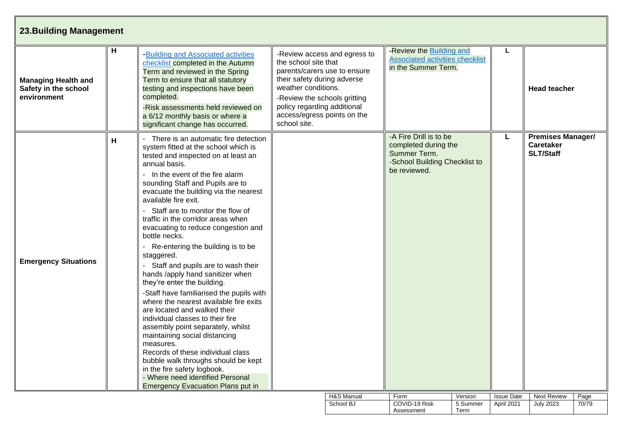| <b>23. Building Management</b>                                    |   |                                                                                                                                                                                                                                                                                                                                                                                                                                                                                                                                                                                                                                                                                                                                                                                                                                                                                                                                                                                                                       |                                                                                                                                                                                                                          |                              |                                                                                                                 |         |                   |                                                                  |
|-------------------------------------------------------------------|---|-----------------------------------------------------------------------------------------------------------------------------------------------------------------------------------------------------------------------------------------------------------------------------------------------------------------------------------------------------------------------------------------------------------------------------------------------------------------------------------------------------------------------------------------------------------------------------------------------------------------------------------------------------------------------------------------------------------------------------------------------------------------------------------------------------------------------------------------------------------------------------------------------------------------------------------------------------------------------------------------------------------------------|--------------------------------------------------------------------------------------------------------------------------------------------------------------------------------------------------------------------------|------------------------------|-----------------------------------------------------------------------------------------------------------------|---------|-------------------|------------------------------------------------------------------|
| <b>Managing Health and</b><br>Safety in the school<br>environment | н | -Building and Associated activities<br>checklist completed in the Autumn<br>Term and reviewed in the Spring<br>Term to ensure that all statutory<br>testing and inspections have been<br>completed.<br>-Risk assessments held reviewed on<br>a 6/12 monthly basis or where a<br>significant change has occurred.                                                                                                                                                                                                                                                                                                                                                                                                                                                                                                                                                                                                                                                                                                      | the school site that<br>parents/carers use to ensure<br>their safety during adverse<br>weather conditions.<br>-Review the schools gritting<br>policy regarding additional<br>access/egress points on the<br>school site. | -Review access and egress to | -Review the Building and<br><b>Associated activities checklist</b><br>in the Summer Term.                       |         | L                 | <b>Head teacher</b>                                              |
| <b>Emergency Situations</b>                                       | н | There is an automatic fire detection<br>system fitted at the school which is<br>tested and inspected on at least an<br>annual basis.<br>- In the event of the fire alarm<br>sounding Staff and Pupils are to<br>evacuate the building via the nearest<br>available fire exit.<br>Staff are to monitor the flow of<br>traffic in the corridor areas when<br>evacuating to reduce congestion and<br>bottle necks.<br>- Re-entering the building is to be<br>staggered.<br>Staff and pupils are to wash their<br>hands /apply hand sanitizer when<br>they're enter the building.<br>-Staff have familiarised the pupils with<br>where the nearest available fire exits<br>are located and walked their<br>individual classes to their fire<br>assembly point separately, whilst<br>maintaining social distancing<br>measures.<br>Records of these individual class<br>bubble walk throughs should be kept<br>in the fire safety logbook.<br>- Where need identified Personal<br><b>Emergency Evacuation Plans put in</b> |                                                                                                                                                                                                                          |                              | -A Fire Drill is to be<br>completed during the<br>Summer Term.<br>-School Building Checklist to<br>be reviewed. |         | L                 | <b>Premises Manager/</b><br><b>Caretaker</b><br><b>SLT/Staff</b> |
|                                                                   |   |                                                                                                                                                                                                                                                                                                                                                                                                                                                                                                                                                                                                                                                                                                                                                                                                                                                                                                                                                                                                                       |                                                                                                                                                                                                                          | H&S Manual                   | Form                                                                                                            | Version | <b>Issue Date</b> | <b>Next Review</b><br>Page                                       |

| H&S Manual | Form                        | Version         | <b>Issue Date</b> | <b>Next Review</b> | Page  |
|------------|-----------------------------|-----------------|-------------------|--------------------|-------|
| School BJ  | COVID-19 Risk<br>Assessment | 5 Summer<br>erm | April 2021        | <b>July 2023</b>   | 70/79 |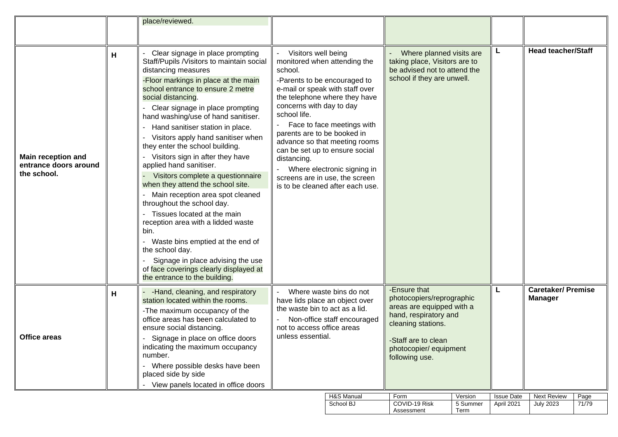|                                                            |   | place/reviewed.                                                                                                                                                                                                                                                                                                                                                                                                                                                                                                                                                                                                                                                                                                                                                                                                                                                      |                                                                                                                          |                                                                                                                                                                                                                                                                                                                                        |                                                                                                                                                                                          |                                   |                                 |                                        |               |                                             |  |
|------------------------------------------------------------|---|----------------------------------------------------------------------------------------------------------------------------------------------------------------------------------------------------------------------------------------------------------------------------------------------------------------------------------------------------------------------------------------------------------------------------------------------------------------------------------------------------------------------------------------------------------------------------------------------------------------------------------------------------------------------------------------------------------------------------------------------------------------------------------------------------------------------------------------------------------------------|--------------------------------------------------------------------------------------------------------------------------|----------------------------------------------------------------------------------------------------------------------------------------------------------------------------------------------------------------------------------------------------------------------------------------------------------------------------------------|------------------------------------------------------------------------------------------------------------------------------------------------------------------------------------------|-----------------------------------|---------------------------------|----------------------------------------|---------------|---------------------------------------------|--|
|                                                            |   |                                                                                                                                                                                                                                                                                                                                                                                                                                                                                                                                                                                                                                                                                                                                                                                                                                                                      |                                                                                                                          |                                                                                                                                                                                                                                                                                                                                        |                                                                                                                                                                                          |                                   |                                 |                                        |               |                                             |  |
| Main reception and<br>entrance doors around<br>the school. | н | Clear signage in place prompting<br>Staff/Pupils /Visitors to maintain social<br>distancing measures<br>-Floor markings in place at the main<br>school entrance to ensure 2 metre<br>social distancing.<br>Clear signage in place prompting<br>hand washing/use of hand sanitiser.<br>Hand sanitiser station in place.<br>Visitors apply hand sanitiser when<br>they enter the school building.<br>Visitors sign in after they have<br>applied hand sanitiser.<br>÷.<br>Visitors complete a questionnaire<br>when they attend the school site.<br>Main reception area spot cleaned<br>throughout the school day.<br>Tissues located at the main<br>reception area with a lidded waste<br>bin.<br>Waste bins emptied at the end of<br>the school day.<br>Signage in place advising the use<br>of face coverings clearly displayed at<br>the entrance to the building. | Visitors well being<br>school.<br>concerns with day to day<br>school life.<br>parents are to be booked in<br>distancing. | monitored when attending the<br>-Parents to be encouraged to<br>e-mail or speak with staff over<br>the telephone where they have<br>Face to face meetings with<br>advance so that meeting rooms<br>can be set up to ensure social<br>Where electronic signing in<br>screens are in use, the screen<br>is to be cleaned after each use. | Where planned visits are<br>taking place, Visitors are to<br>be advised not to attend the<br>school if they are unwell.                                                                  |                                   | L                               | <b>Head teacher/Staff</b>              |               |                                             |  |
| <b>Office areas</b>                                        | н | -Hand, cleaning, and respiratory<br>station located within the rooms.<br>-The maximum occupancy of the<br>office areas has been calculated to<br>ensure social distancing.<br>Signage in place on office doors<br>indicating the maximum occupancy<br>number.<br>Where possible desks have been<br>$\blacksquare$<br>placed side by side<br>View panels located in office doors                                                                                                                                                                                                                                                                                                                                                                                                                                                                                      | the waste bin to act as a lid.<br>not to access office areas<br>unless essential.                                        | Where waste bins do not<br>have lids place an object over<br>Non-office staff encouraged                                                                                                                                                                                                                                               | -Ensure that<br>photocopiers/reprographic<br>areas are equipped with a<br>hand, respiratory and<br>cleaning stations.<br>-Staff are to clean<br>photocopier/ equipment<br>following use. |                                   |                                 |                                        | L             | <b>Caretaker/ Premise</b><br><b>Manager</b> |  |
|                                                            |   |                                                                                                                                                                                                                                                                                                                                                                                                                                                                                                                                                                                                                                                                                                                                                                                                                                                                      |                                                                                                                          | H&S Manual<br>School BJ                                                                                                                                                                                                                                                                                                                | Form<br>COVID-19 Risk                                                                                                                                                                    | $\overline{V}$ ersion<br>5 Summer | <b>Issue Date</b><br>April 2021 | <b>Next Review</b><br><b>July 2023</b> | Page<br>71/79 |                                             |  |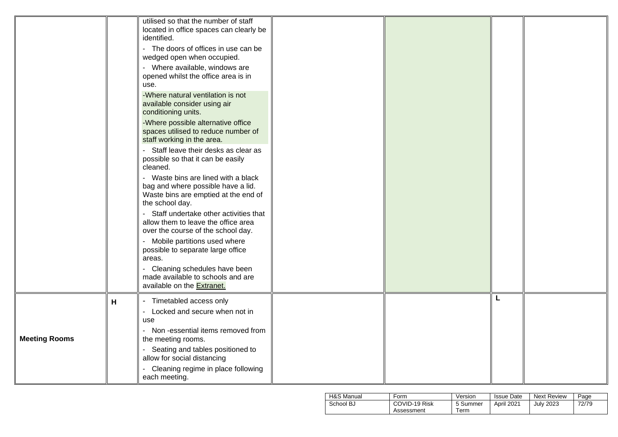|                      |   | utilised so that the number of staff<br>located in office spaces can clearly be<br>identified.<br>The doors of offices in use can be<br>wedged open when occupied.<br>- Where available, windows are<br>opened whilst the office area is in |
|----------------------|---|---------------------------------------------------------------------------------------------------------------------------------------------------------------------------------------------------------------------------------------------|
|                      |   | use.<br>-Where natural ventilation is not<br>available consider using air<br>conditioning units.<br>-Where possible alternative office<br>spaces utilised to reduce number of                                                               |
|                      |   | staff working in the area.<br>- Staff leave their desks as clear as<br>possible so that it can be easily<br>cleaned.                                                                                                                        |
|                      |   | - Waste bins are lined with a black<br>bag and where possible have a lid.<br>Waste bins are emptied at the end of<br>the school day.                                                                                                        |
|                      |   | - Staff undertake other activities that<br>allow them to leave the office area<br>over the course of the school day.                                                                                                                        |
|                      |   | - Mobile partitions used where<br>possible to separate large office<br>areas.                                                                                                                                                               |
|                      |   | - Cleaning schedules have been<br>made available to schools and are<br>available on the <b>Extranet.</b>                                                                                                                                    |
|                      | н | Timetabled access only<br>- Locked and secure when not in<br>use                                                                                                                                                                            |
| <b>Meeting Rooms</b> |   | Non-essential items removed from<br>the meeting rooms.<br>Seating and tables positioned to                                                                                                                                                  |
|                      |   | allow for social distancing<br>Cleaning regime in place following<br>each meeting.                                                                                                                                                          |

| H&S Manual | Form          | Version  | <b>Issue Date</b> | <b>Next Review</b> | Page  |
|------------|---------------|----------|-------------------|--------------------|-------|
| School BJ  | COVID-19 Risk | 5 Summer | April 2021        | <b>July 2023</b>   | 72/79 |
|            | Assessment    | erm      |                   |                    |       |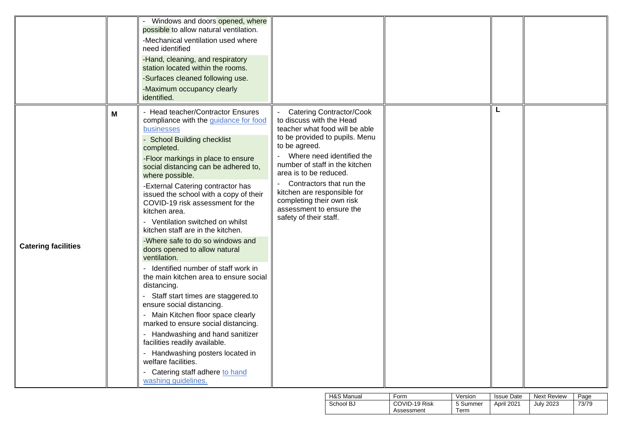|                            |   | Windows and doors opened, where<br>possible to allow natural ventilation.<br>-Mechanical ventilation used where<br>need identified<br>-Hand, cleaning, and respiratory<br>station located within the rooms.<br>-Surfaces cleaned following use.<br>-Maximum occupancy clearly<br>identified.                                                                                                                                                                                                                                                                                                                                                                                                                                                                                                                                                                                                                                                                                       |                                                                                                                                                                                                                                                                                                                                                                                  |   |  |
|----------------------------|---|------------------------------------------------------------------------------------------------------------------------------------------------------------------------------------------------------------------------------------------------------------------------------------------------------------------------------------------------------------------------------------------------------------------------------------------------------------------------------------------------------------------------------------------------------------------------------------------------------------------------------------------------------------------------------------------------------------------------------------------------------------------------------------------------------------------------------------------------------------------------------------------------------------------------------------------------------------------------------------|----------------------------------------------------------------------------------------------------------------------------------------------------------------------------------------------------------------------------------------------------------------------------------------------------------------------------------------------------------------------------------|---|--|
| <b>Catering facilities</b> | M | - Head teacher/Contractor Ensures<br>compliance with the guidance for food<br>businesses<br><b>School Building checklist</b><br>completed.<br>-Floor markings in place to ensure<br>social distancing can be adhered to,<br>where possible.<br>-External Catering contractor has<br>issued the school with a copy of their<br>COVID-19 risk assessment for the<br>kitchen area.<br>- Ventilation switched on whilst<br>kitchen staff are in the kitchen.<br>-Where safe to do so windows and<br>doors opened to allow natural<br>ventilation.<br>Identified number of staff work in<br>the main kitchen area to ensure social<br>distancing.<br>Staff start times are staggered.to<br>ensure social distancing.<br>Main Kitchen floor space clearly<br>marked to ensure social distancing.<br>Handwashing and hand sanitizer<br>facilities readily available.<br>- Handwashing posters located in<br>welfare facilities.<br>- Catering staff adhere to hand<br>washing guidelines. | Catering Contractor/Cook<br>to discuss with the Head<br>teacher what food will be able<br>to be provided to pupils. Menu<br>to be agreed.<br>Where need identified the<br>number of staff in the kitchen<br>area is to be reduced.<br>Contractors that run the<br>kitchen are responsible for<br>completing their own risk<br>assessment to ensure the<br>safety of their staff. | L |  |

| H&S Manual | Form          | Version  | <b>Issue Date</b> | <b>Next Review</b> | Page  |
|------------|---------------|----------|-------------------|--------------------|-------|
| School BJ  | COVID-19 Risk | 5 Summer | April 2021        | <b>July 2023</b>   | 73/79 |
|            | Assessment    | erm      |                   |                    |       |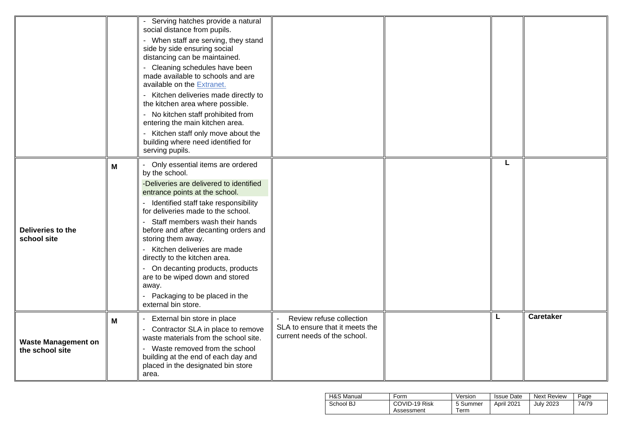|                                               |   | Serving hatches provide a natural<br>social distance from pupils.<br>- When staff are serving, they stand<br>side by side ensuring social<br>distancing can be maintained.<br>Cleaning schedules have been<br>made available to schools and are<br>available on the Extranet.<br>Kitchen deliveries made directly to<br>the kitchen area where possible.<br>- No kitchen staff prohibited from<br>entering the main kitchen area.<br>Kitchen staff only move about the<br>building where need identified for<br>serving pupils. |                                                                                             |   |                  |
|-----------------------------------------------|---|---------------------------------------------------------------------------------------------------------------------------------------------------------------------------------------------------------------------------------------------------------------------------------------------------------------------------------------------------------------------------------------------------------------------------------------------------------------------------------------------------------------------------------|---------------------------------------------------------------------------------------------|---|------------------|
| Deliveries to the<br>school site              | M | Only essential items are ordered<br>by the school.<br>-Deliveries are delivered to identified<br>entrance points at the school.<br>Identified staff take responsibility<br>for deliveries made to the school.<br>Staff members wash their hands<br>before and after decanting orders and<br>storing them away.<br>Kitchen deliveries are made<br>directly to the kitchen area.<br>On decanting products, products<br>are to be wiped down and stored<br>away.<br>Packaging to be placed in the<br>external bin store.           |                                                                                             | L |                  |
| <b>Waste Management on</b><br>the school site | Μ | External bin store in place<br>Contractor SLA in place to remove<br>$\overline{\phantom{a}}$<br>waste materials from the school site.<br>Waste removed from the school<br>building at the end of each day and<br>placed in the designated bin store<br>area.                                                                                                                                                                                                                                                                    | Review refuse collection<br>SLA to ensure that it meets the<br>current needs of the school. | L | <b>Caretaker</b> |

| H&S Manual | Form          | Version  | <b>Issue Date</b> | <b>Next Review</b> | Page  |
|------------|---------------|----------|-------------------|--------------------|-------|
| School BJ  | COVID-19 Risk | 5 Summer | April 2021        | <b>July 2023</b>   | 74/79 |
|            | Assessment    | erm      |                   |                    |       |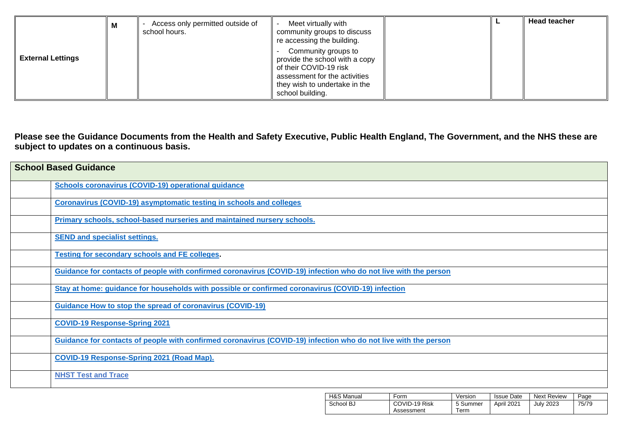|                          | M | Access only permitted outside of<br>school hours. | Meet virtually with<br>community groups to discuss<br>re accessing the building.                                                                                      |  | <b>Head teacher</b> |
|--------------------------|---|---------------------------------------------------|-----------------------------------------------------------------------------------------------------------------------------------------------------------------------|--|---------------------|
| <b>External Lettings</b> |   |                                                   | Community groups to<br>provide the school with a copy<br>of their COVID-19 risk<br>assessment for the activities<br>they wish to undertake in the<br>school building. |  |                     |

**Please see the Guidance Documents from the Health and Safety Executive, Public Health England, The Government, and the NHS these are subject to updates on a continuous basis.**

| <b>School Based Guidance</b>                                                                                    |  |  |  |  |
|-----------------------------------------------------------------------------------------------------------------|--|--|--|--|
| <b>Schools coronavirus (COVID-19) operational guidance</b>                                                      |  |  |  |  |
| <b>Coronavirus (COVID-19) asymptomatic testing in schools and colleges</b>                                      |  |  |  |  |
| Primary schools, school-based nurseries and maintained nursery schools.                                         |  |  |  |  |
| <b>SEND and specialist settings.</b>                                                                            |  |  |  |  |
| <b>Testing for secondary schools and FE colleges.</b>                                                           |  |  |  |  |
| Guidance for contacts of people with confirmed coronavirus (COVID-19) infection who do not live with the person |  |  |  |  |
| Stay at home: guidance for households with possible or confirmed coronavirus (COVID-19) infection               |  |  |  |  |
| <b>Guidance How to stop the spread of coronavirus (COVID-19)</b>                                                |  |  |  |  |
| <b>COVID-19 Response-Spring 2021</b>                                                                            |  |  |  |  |
| Guidance for contacts of people with confirmed coronavirus (COVID-19) infection who do not live with the person |  |  |  |  |
| COVID-19 Response-Spring 2021 (Road Map).                                                                       |  |  |  |  |
| <b>NHST Test and Trace</b>                                                                                      |  |  |  |  |

| H&S Manual | Form          | Version  | <b>Issue Date</b> | <b>Next Review</b> | Page  |
|------------|---------------|----------|-------------------|--------------------|-------|
| School BJ  | COVID-19 Risk | 5 Summer | April 2021        | <b>July 2023</b>   | 75/79 |
|            | Assessment    | ⊺erm     |                   |                    |       |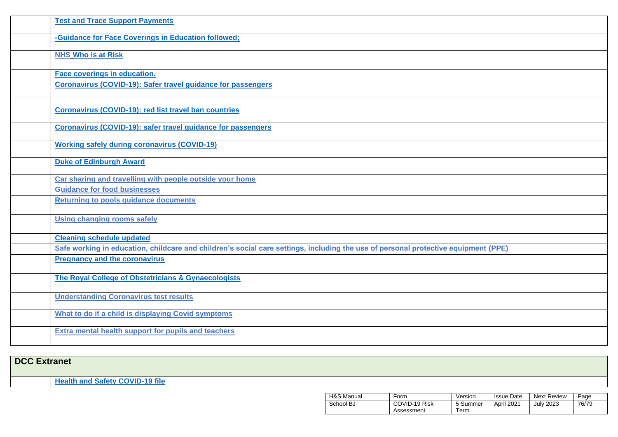| <b>Test and Trace Support Payments</b>                                                                                             |
|------------------------------------------------------------------------------------------------------------------------------------|
| -Guidance for Face Coverings in Education followed;                                                                                |
| <b>NHS Who is at Risk</b>                                                                                                          |
| <b>Face coverings in education.</b>                                                                                                |
| <b>Coronavirus (COVID-19): Safer travel guidance for passengers</b>                                                                |
| Coronavirus (COVID-19): red list travel ban countries                                                                              |
| Coronavirus (COVID-19): safer travel guidance for passengers                                                                       |
| <b>Working safely during coronavirus (COVID-19)</b>                                                                                |
| <b>Duke of Edinburgh Award</b>                                                                                                     |
| Car sharing and travelling with people outside your home                                                                           |
| <b>Guidance for food businesses</b>                                                                                                |
| <b>Returning to pools guidance documents</b>                                                                                       |
| <b>Using changing rooms safely</b>                                                                                                 |
| <b>Cleaning schedule updated</b>                                                                                                   |
| Safe working in education, childcare and children's social care settings, including the use of personal protective equipment (PPE) |
| <b>Pregnancy and the coronavirus</b>                                                                                               |
| The Royal College of Obstetricians & Gynaecologists                                                                                |
| <b>Understanding Coronavirus test results</b>                                                                                      |
| What to do if a child is displaying Covid symptoms                                                                                 |
| Extra mental health support for pupils and teachers                                                                                |

| <b>DCC Extranet</b> |                                                                  |        |   |  |  |
|---------------------|------------------------------------------------------------------|--------|---|--|--|
|                     | <b>COVID-19 file</b><br>Safety COVID.<br>ı and<br>lealth<br>эагы |        |   |  |  |
|                     |                                                                  | $\sim$ | . |  |  |

| H&S Manual | Form                        | Version         | <b>Issue Date</b> | <b>Next Review</b> | Page  |
|------------|-----------------------------|-----------------|-------------------|--------------------|-------|
| School BJ  | COVID-19 Risk<br>Assessment | 5 Summer<br>erm | April 2021        | <b>July 2023</b>   | 76/79 |
|            |                             |                 |                   |                    |       |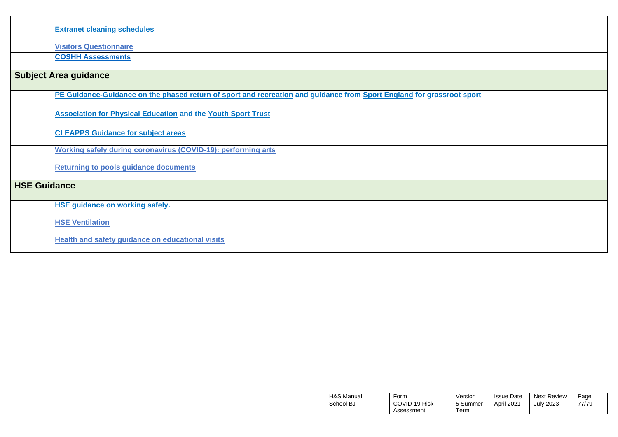|                              | <b>Extranet cleaning schedules</b>                                                                                    |
|------------------------------|-----------------------------------------------------------------------------------------------------------------------|
|                              | <b>Visitors Questionnaire</b>                                                                                         |
|                              | <b>COSHH Assessments</b>                                                                                              |
| <b>Subject Area guidance</b> |                                                                                                                       |
|                              | PE Guidance-Guidance on the phased return of sport and recreation and guidance from Sport England for grassroot sport |
|                              | <b>Association for Physical Education and the Youth Sport Trust</b>                                                   |
|                              | <b>CLEAPPS Guidance for subject areas</b>                                                                             |
|                              |                                                                                                                       |
|                              | <b>Working safely during coronavirus (COVID-19): performing arts</b>                                                  |
|                              | <b>Returning to pools guidance documents</b>                                                                          |
| <b>HSE Guidance</b>          |                                                                                                                       |
|                              | <b>HSE guidance on working safely.</b>                                                                                |
| <b>HSE Ventilation</b>       |                                                                                                                       |
|                              | <b>Health and safety guidance on educational visits</b>                                                               |

| H&S Manual | Form          | Version  | <b>Issue Date</b> | <b>Next Review</b> | Page  |
|------------|---------------|----------|-------------------|--------------------|-------|
| School BJ  | COVID-19 Risk | 5 Summer | April 2021        | <b>July 2023</b>   | 77/79 |
|            | Assessment    | erm      |                   |                    |       |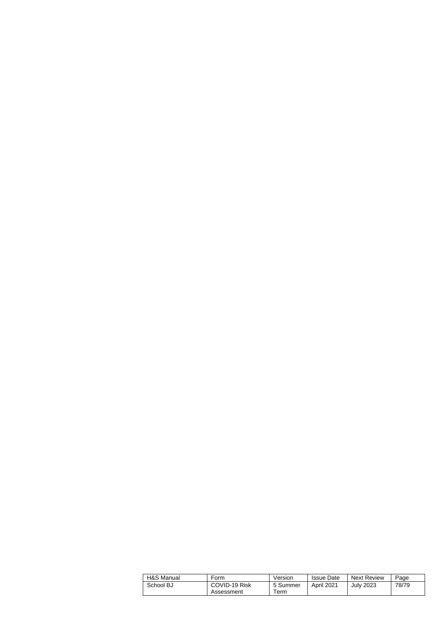| H&S Manual | Form          | Version  | <b>Issue Date</b> | <b>Next Review</b> | Page  |
|------------|---------------|----------|-------------------|--------------------|-------|
| School BJ  | COVID-19 Risk | 5 Summer | April 2021        | Julv 2023          | 78/79 |
|            | Assessment    | erm      |                   |                    |       |